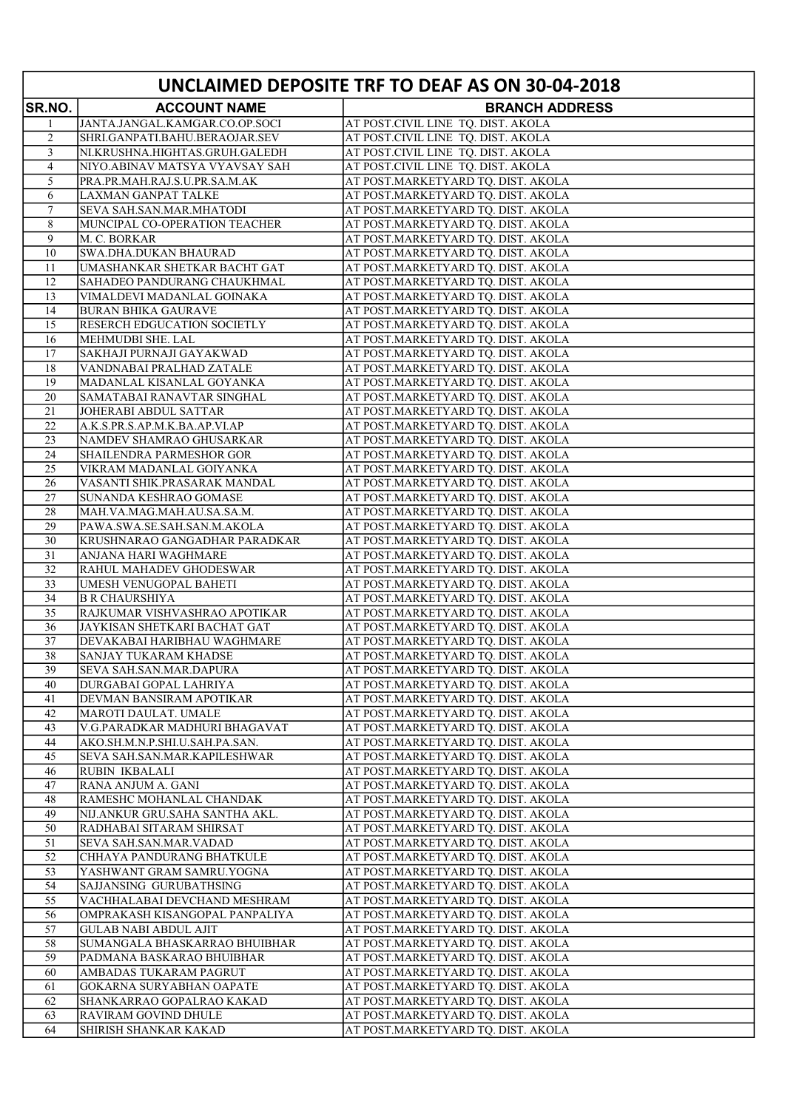| UNCLAIMED DEPOSITE TRF TO DEAF AS ON 30-04-2018 |                                                             |                                                                          |
|-------------------------------------------------|-------------------------------------------------------------|--------------------------------------------------------------------------|
| <b>SR.NO.</b>                                   | <b>ACCOUNT NAME</b>                                         | <b>BRANCH ADDRESS</b>                                                    |
| 1                                               | JANTA.JANGAL.KAMGAR.CO.OP.SOCI                              | AT POST.CIVIL LINE TQ. DIST. AKOLA                                       |
| 2                                               | SHRI.GANPATI.BAHU.BERAOJAR.SEV                              | AT POST.CIVIL LINE TQ. DIST. AKOLA                                       |
| 3                                               | NI.KRUSHNA.HIGHTAS.GRUH.GALEDH                              | AT POST.CIVIL LINE TQ. DIST. AKOLA                                       |
| $\overline{4}$                                  | NIYO.ABINAV MATSYA VYAVSAY SAH                              | AT POST.CIVIL LINE TQ. DIST. AKOLA                                       |
| 5                                               | PRA.PR.MAH.RAJ.S.U.PR.SA.M.AK                               | AT POST.MARKETYARD TQ. DIST. AKOLA                                       |
| 6                                               | LAXMAN GANPAT TALKE                                         | AT POST.MARKETYARD TQ. DIST. AKOLA                                       |
| 7                                               | SEVA SAH.SAN.MAR.MHATODI                                    | AT POST.MARKETYARD TQ. DIST. AKOLA                                       |
| 8<br>9                                          | MUNCIPAL CO-OPERATION TEACHER                               | AT POST.MARKETYARD TQ. DIST. AKOLA                                       |
| 10                                              | M. C. BORKAR<br>SWA.DHA.DUKAN BHAURAD                       | AT POST.MARKETYARD TQ. DIST. AKOLA<br>AT POST.MARKETYARD TQ. DIST. AKOLA |
| 11                                              | UMASHANKAR SHETKAR BACHT GAT                                | AT POST.MARKETYARD TQ. DIST. AKOLA                                       |
| 12                                              | SAHADEO PANDURANG CHAUKHMAL                                 | AT POST.MARKETYARD TQ. DIST. AKOLA                                       |
| 13                                              | VIMALDEVI MADANLAL GOINAKA                                  | AT POST.MARKETYARD TQ. DIST. AKOLA                                       |
| 14                                              | <b>BURAN BHIKA GAURAVE</b>                                  | AT POST.MARKETYARD TQ. DIST. AKOLA                                       |
| 15                                              | <b>RESERCH EDGUCATION SOCIETLY</b>                          | AT POST.MARKETYARD TQ. DIST. AKOLA                                       |
| 16                                              | MEHMUDBI SHE. LAL                                           | AT POST.MARKETYARD TQ. DIST. AKOLA                                       |
| 17                                              | SAKHAJI PURNAJI GAYAKWAD                                    | AT POST.MARKETYARD TQ. DIST. AKOLA                                       |
| 18                                              | VANDNABAI PRALHAD ZATALE                                    | AT POST.MARKETYARD TQ. DIST. AKOLA                                       |
| 19                                              | MADANLAL KISANLAL GOYANKA                                   | AT POST.MARKETYARD TQ. DIST. AKOLA                                       |
| 20                                              | SAMATABAI RANAVTAR SINGHAL                                  | AT POST.MARKETYARD TQ. DIST. AKOLA                                       |
| 21                                              | JOHERABI ABDUL SATTAR                                       | AT POST.MARKETYARD TQ. DIST. AKOLA                                       |
| 22<br>23                                        | A.K.S.PR.S.AP.M.K.BA.AP.VI.AP<br>NAMDEV SHAMRAO GHUSARKAR   | AT POST.MARKETYARD TQ. DIST. AKOLA<br>AT POST.MARKETYARD TQ. DIST. AKOLA |
| 24                                              | <b>SHAILENDRA PARMESHOR GOR</b>                             | AT POST.MARKETYARD TQ. DIST. AKOLA                                       |
| 25                                              | VIKRAM MADANLAL GOIYANKA                                    | AT POST.MARKETYARD TQ. DIST. AKOLA                                       |
| 26                                              | VASANTI SHIK.PRASARAK MANDAL                                | AT POST.MARKETYARD TQ. DIST. AKOLA                                       |
| 27                                              | SUNANDA KESHRAO GOMASE                                      | AT POST.MARKETYARD TQ. DIST. AKOLA                                       |
| 28                                              | MAH.VA.MAG.MAH.AU.SA.SA.M.                                  | AT POST.MARKETYARD TQ. DIST. AKOLA                                       |
| 29                                              | PAWA.SWA.SE.SAH.SAN.M.AKOLA                                 | AT POST.MARKETYARD TQ. DIST. AKOLA                                       |
| 30                                              | KRUSHNARAO GANGADHAR PARADKAR                               | AT POST.MARKETYARD TQ. DIST. AKOLA                                       |
| 31                                              | ANJANA HARI WAGHMARE                                        | AT POST.MARKETYARD TQ. DIST. AKOLA                                       |
| 32                                              | RAHUL MAHADEV GHODESWAR                                     | AT POST.MARKETYARD TQ. DIST. AKOLA                                       |
| 33                                              | UMESH VENUGOPAL BAHETI                                      | AT POST.MARKETYARD TQ. DIST. AKOLA                                       |
| 34                                              | <b>B R CHAURSHIYA</b>                                       | AT POST.MARKETYARD TQ. DIST. AKOLA                                       |
| 35                                              | RAJKUMAR VISHVASHRAO APOTIKAR                               | AT POST.MARKETYARD TQ. DIST. AKOLA                                       |
| 36<br>37                                        | JAYKISAN SHETKARI BACHAT GAT<br>DEVAKABAI HARIBHAU WAGHMARE | AT POST.MARKETYARD TQ. DIST. AKOLA<br>AT POST.MARKETYARD TQ. DIST. AKOLA |
| 38                                              | <b>SANJAY TUKARAM KHADSE</b>                                | AT POST.MARKETYARD TQ. DIST. AKOLA                                       |
| 39                                              | SEVA SAH.SAN.MAR.DAPURA                                     | AT POST.MARKETYARD TQ. DIST. AKOLA                                       |
| 40                                              | DURGABAI GOPAL LAHRIYA                                      | AT POST.MARKETYARD TQ. DIST. AKOLA                                       |
| 41                                              | DEVMAN BANSIRAM APOTIKAR                                    | AT POST.MARKETYARD TQ. DIST. AKOLA                                       |
| 42                                              | MAROTI DAULAT. UMALE                                        | AT POST.MARKETYARD TQ. DIST. AKOLA                                       |
| 43                                              | V.G.PARADKAR MADHURI BHAGAVAT                               | AT POST.MARKETYARD TQ. DIST. AKOLA                                       |
| 44                                              | AKO.SH.M.N.P.SHI.U.SAH.PA.SAN.                              | AT POST.MARKETYARD TQ. DIST. AKOLA                                       |
| 45                                              | SEVA SAH.SAN.MAR.KAPILESHWAR                                | AT POST.MARKETYARD TQ. DIST. AKOLA                                       |
| 46                                              | <b>RUBIN IKBALALI</b>                                       | AT POST.MARKETYARD TQ. DIST. AKOLA                                       |
| 47                                              | RANA ANJUM A. GANI                                          | AT POST.MARKETYARD TQ. DIST. AKOLA                                       |
| 48<br>49                                        | RAMESHC MOHANLAL CHANDAK                                    | AT POST.MARKETYARD TQ. DIST. AKOLA<br>AT POST.MARKETYARD TQ. DIST. AKOLA |
| 50                                              | NIJ.ANKUR GRU.SAHA SANTHA AKL.<br>RADHABAI SITARAM SHIRSAT  | AT POST.MARKETYARD TQ. DIST. AKOLA                                       |
| 51                                              | <b>SEVA SAH.SAN.MAR.VADAD</b>                               | AT POST.MARKETYARD TQ. DIST. AKOLA                                       |
| 52                                              | CHHAYA PANDURANG BHATKULE                                   | AT POST.MARKETYARD TQ. DIST. AKOLA                                       |
| 53                                              | YASHWANT GRAM SAMRU.YOGNA                                   | AT POST.MARKETYARD TQ. DIST. AKOLA                                       |
| 54                                              | SAJJANSING GURUBATHSING                                     | AT POST.MARKETYARD TQ. DIST. AKOLA                                       |
| 55                                              | VACHHALABAI DEVCHAND MESHRAM                                | AT POST.MARKETYARD TQ. DIST. AKOLA                                       |
| 56                                              | OMPRAKASH KISANGOPAL PANPALIYA                              | AT POST.MARKETYARD TQ. DIST. AKOLA                                       |
| 57                                              | <b>GULAB NABI ABDUL AJIT</b>                                | AT POST.MARKETYARD TQ. DIST. AKOLA                                       |
| 58                                              | SUMANGALA BHASKARRAO BHUIBHAR                               | AT POST.MARKETYARD TQ. DIST. AKOLA                                       |
| 59                                              | PADMANA BASKARAO BHUIBHAR                                   | AT POST.MARKETYARD TQ. DIST. AKOLA                                       |
| 60                                              | AMBADAS TUKARAM PAGRUT                                      | AT POST.MARKETYARD TQ. DIST. AKOLA                                       |
| 61                                              | GOKARNA SURYABHAN OAPATE                                    | AT POST.MARKETYARD TQ. DIST. AKOLA                                       |
| 62<br>63                                        | SHANKARRAO GOPALRAO KAKAD<br>RAVIRAM GOVIND DHULE           | AT POST.MARKETYARD TQ. DIST. AKOLA<br>AT POST.MARKETYARD TQ. DIST. AKOLA |
| 64                                              | SHIRISH SHANKAR KAKAD                                       | AT POST.MARKETYARD TQ. DIST. AKOLA                                       |
|                                                 |                                                             |                                                                          |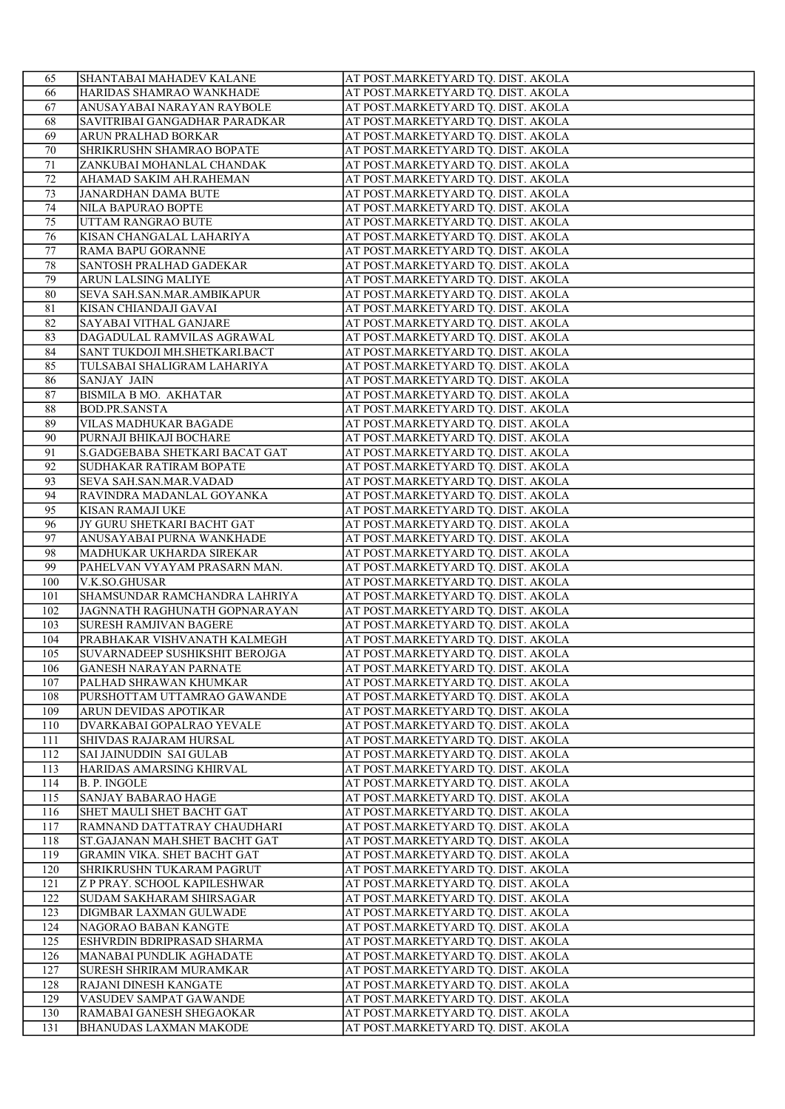| 65              | <b>SHANTABAI MAHADEV KALANE</b>       | AT POST.MARKETYARD TQ. DIST. AKOLA |
|-----------------|---------------------------------------|------------------------------------|
| 66              | HARIDAS SHAMRAO WANKHADE              | AT POST.MARKETYARD TQ. DIST. AKOLA |
| 67              | ANUSAYABAI NARAYAN RAYBOLE            | AT POST.MARKETYARD TQ. DIST. AKOLA |
| 68              | SAVITRIBAI GANGADHAR PARADKAR         | AT POST.MARKETYARD TQ. DIST. AKOLA |
| 69              | ARUN PRALHAD BORKAR                   | AT POST.MARKETYARD TQ. DIST. AKOLA |
| 70              | SHRIKRUSHN SHAMRAO BOPATE             | AT POST.MARKETYARD TQ. DIST. AKOLA |
| 71              | ZANKUBAI MOHANLAL CHANDAK             | AT POST.MARKETYARD TQ. DIST. AKOLA |
| 72              | AHAMAD SAKIM AH.RAHEMAN               | AT POST.MARKETYARD TQ. DIST. AKOLA |
| 73              | JANARDHAN DAMA BUTE                   | AT POST.MARKETYARD TQ. DIST. AKOLA |
| 74              | NILA BAPURAO BOPTE                    | AT POST.MARKETYARD TQ. DIST. AKOLA |
| 75              | UTTAM RANGRAO BUTE                    | AT POST.MARKETYARD TQ. DIST. AKOLA |
| $\overline{76}$ | KISAN CHANGALAL LAHARIYA              | AT POST.MARKETYARD TQ. DIST. AKOLA |
| 77              | RAMA BAPU GORANNE                     | AT POST.MARKETYARD TQ. DIST. AKOLA |
| 78              | SANTOSH PRALHAD GADEKAR               | AT POST.MARKETYARD TQ. DIST. AKOLA |
| 79              | ARUN LALSING MALIYE                   | AT POST.MARKETYARD TQ. DIST. AKOLA |
| 80              | SEVA SAH.SAN.MAR.AMBIKAPUR            | AT POST.MARKETYARD TQ. DIST. AKOLA |
| 81              | KISAN CHIANDAJI GAVAI                 | AT POST.MARKETYARD TQ. DIST. AKOLA |
| 82              | SAYABAI VITHAL GANJARE                | AT POST.MARKETYARD TQ. DIST. AKOLA |
| 83              | DAGADULAL RAMVILAS AGRAWAL            | AT POST.MARKETYARD TQ. DIST. AKOLA |
| 84              | SANT TUKDOJI MH.SHETKARI.BACT         | AT POST.MARKETYARD TQ. DIST. AKOLA |
| 85              | TULSABAI SHALIGRAM LAHARIYA           | AT POST.MARKETYARD TQ. DIST. AKOLA |
| 86              | <b>SANJAY JAIN</b>                    | AT POST.MARKETYARD TQ. DIST. AKOLA |
| 87              | BISMILA B MO. AKHATAR                 | AT POST.MARKETYARD TQ. DIST. AKOLA |
| 88              | <b>BOD.PR.SANSTA</b>                  | AT POST.MARKETYARD TQ. DIST. AKOLA |
| 89              | VILAS MADHUKAR BAGADE                 | AT POST.MARKETYARD TQ. DIST. AKOLA |
| 90              | PURNAJI BHIKAJI BOCHARE               | AT POST.MARKETYARD TQ. DIST. AKOLA |
| 91              | S.GADGEBABA SHETKARI BACAT GAT        | AT POST.MARKETYARD TQ. DIST. AKOLA |
| 92              | SUDHAKAR RATIRAM BOPATE               | AT POST.MARKETYARD TQ. DIST. AKOLA |
| 93              | <b>SEVA SAH.SAN.MAR.VADAD</b>         | AT POST.MARKETYARD TQ. DIST. AKOLA |
| 94              | RAVINDRA MADANLAL GOYANKA             | AT POST.MARKETYARD TQ. DIST. AKOLA |
| 95              | KISAN RAMAJI UKE                      | AT POST.MARKETYARD TQ. DIST. AKOLA |
| 96              | JY GURU SHETKARI BACHT GAT            | AT POST.MARKETYARD TQ. DIST. AKOLA |
| 97              | ANUSAYABAI PURNA WANKHADE             | AT POST.MARKETYARD TQ. DIST. AKOLA |
| 98              | MADHUKAR UKHARDA SIREKAR              | AT POST.MARKETYARD TQ. DIST. AKOLA |
| 99              | PAHELVAN VYAYAM PRASARN MAN.          | AT POST.MARKETYARD TQ. DIST. AKOLA |
| 100             | V.K.SO.GHUSAR                         | AT POST.MARKETYARD TQ. DIST. AKOLA |
| 101             | SHAMSUNDAR RAMCHANDRA LAHRIYA         | AT POST.MARKETYARD TQ. DIST. AKOLA |
| 102             | JAGNNATH RAGHUNATH GOPNARAYAN         | AT POST.MARKETYARD TQ. DIST. AKOLA |
| 103             | <b>SURESH RAMJIVAN BAGERE</b>         | AT POST.MARKETYARD TQ. DIST. AKOLA |
| 104             | PRABHAKAR VISHVANATH KALMEGH          | AT POST.MARKETYARD TQ. DIST. AKOLA |
| 105             | <b>SUVARNADEEP SUSHIKSHIT BEROJGA</b> | AT POST.MARKETYARD TQ. DIST. AKOLA |
|                 | <b>GANESH NARAYAN PARNATE</b>         | AT POST.MARKETYARD TQ. DIST. AKOLA |
| 106<br>107      | PALHAD SHRAWAN KHUMKAR                | AT POST.MARKETYARD TQ. DIST. AKOLA |
| 108             | PURSHOTTAM UTTAMRAO GAWANDE           |                                    |
|                 |                                       | AT POST.MARKETYARD TQ. DIST. AKOLA |
| 109             | ARUN DEVIDAS APOTIKAR                 | AT POST.MARKETYARD TQ. DIST. AKOLA |
| 110             | DVARKABAI GOPALRAO YEVALE             | AT POST.MARKETYARD TQ. DIST. AKOLA |
| 111             | SHIVDAS RAJARAM HURSAL                | AT POST.MARKETYARD TQ. DIST. AKOLA |
| 112             | <b>SAI JAINUDDIN SAI GULAB</b>        | AT POST.MARKETYARD TQ. DIST. AKOLA |
| 113             | HARIDAS AMARSING KHIRVAL              | AT POST.MARKETYARD TQ. DIST. AKOLA |
| 114             | <b>B. P. INGOLE</b>                   | AT POST.MARKETYARD TQ. DIST. AKOLA |
| 115             | SANJAY BABARAO HAGE                   | AT POST.MARKETYARD TQ. DIST. AKOLA |
| 116             | SHET MAULI SHET BACHT GAT             | AT POST.MARKETYARD TQ. DIST. AKOLA |
| 117             | RAMNAND DATTATRAY CHAUDHARI           | AT POST.MARKETYARD TQ. DIST. AKOLA |
| 118             | ST.GAJANAN MAH.SHET BACHT GAT         | AT POST.MARKETYARD TQ. DIST. AKOLA |
| 119             | GRAMIN VIKA. SHET BACHT GAT           | AT POST.MARKETYARD TQ. DIST. AKOLA |
| 120             | SHRIKRUSHN TUKARAM PAGRUT             | AT POST.MARKETYARD TQ. DIST. AKOLA |
| 121             | Z P PRAY. SCHOOL KAPILESHWAR          | AT POST.MARKETYARD TQ. DIST. AKOLA |
| 122             | SUDAM SAKHARAM SHIRSAGAR              | AT POST.MARKETYARD TQ. DIST. AKOLA |
| 123             | DIGMBAR LAXMAN GULWADE                | AT POST.MARKETYARD TQ. DIST. AKOLA |
| 124             | NAGORAO BABAN KANGTE                  | AT POST.MARKETYARD TQ. DIST. AKOLA |
| 125             | ESHVRDIN BDRIPRASAD SHARMA            | AT POST.MARKETYARD TQ. DIST. AKOLA |
| 126             | MANABAI PUNDLIK AGHADATE              | AT POST.MARKETYARD TQ. DIST. AKOLA |
| 127             | <b>SURESH SHRIRAM MURAMKAR</b>        | AT POST.MARKETYARD TQ. DIST. AKOLA |
| 128             | RAJANI DINESH KANGATE                 | AT POST.MARKETYARD TQ. DIST. AKOLA |
| 129             | VASUDEV SAMPAT GAWANDE                | AT POST.MARKETYARD TQ. DIST. AKOLA |
| 130             | RAMABAI GANESH SHEGAOKAR              | AT POST.MARKETYARD TQ. DIST. AKOLA |
| 131             | <b>BHANUDAS LAXMAN MAKODE</b>         | AT POST.MARKETYARD TQ. DIST. AKOLA |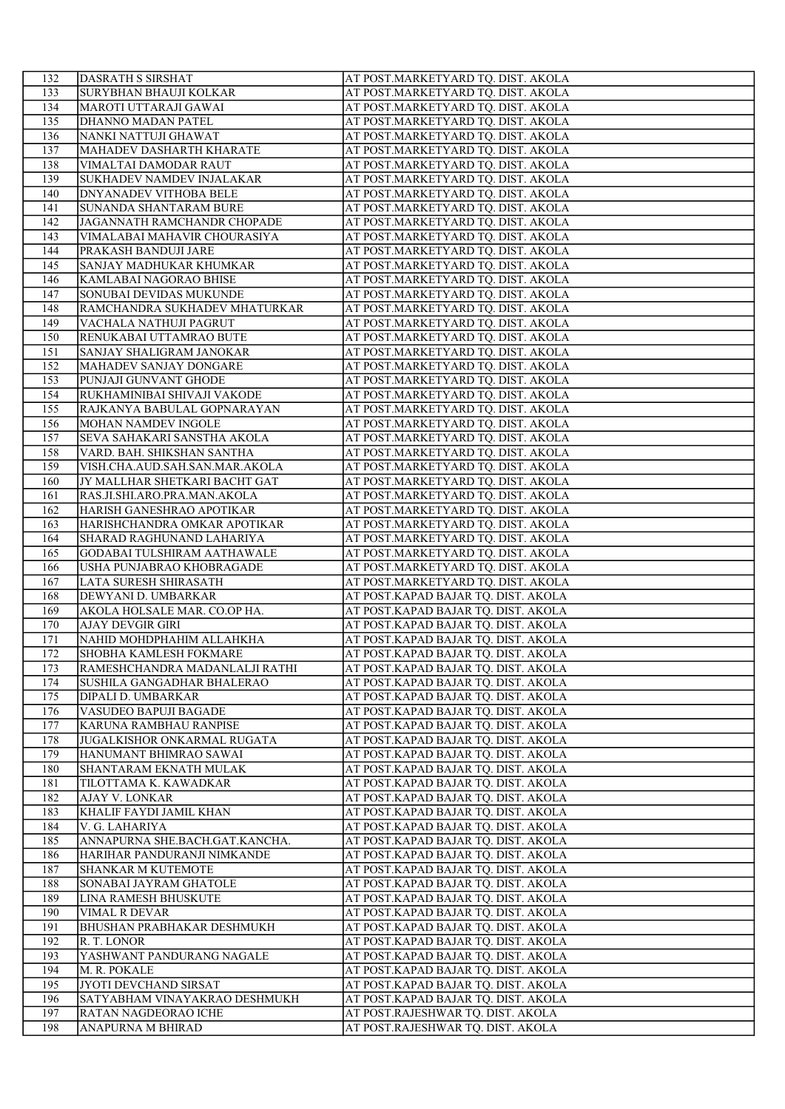| 132        | DASRATH S SIRSHAT                                         | AT POST.MARKETYARD TQ. DIST. AKOLA                                       |
|------------|-----------------------------------------------------------|--------------------------------------------------------------------------|
| 133        | <b>SURYBHAN BHAUJI KOLKAR</b>                             | AT POST.MARKETYARD TQ. DIST. AKOLA                                       |
| 134        | MAROTI UTTARAJI GAWAI                                     | AT POST.MARKETYARD TQ. DIST. AKOLA                                       |
| 135        | DHANNO MADAN PATEL                                        | AT POST.MARKETYARD TQ. DIST. AKOLA                                       |
| 136        | NANKI NATTUJI GHAWAT                                      | AT POST.MARKETYARD TQ. DIST. AKOLA                                       |
| 137        | MAHADEV DASHARTH KHARATE                                  | AT POST.MARKETYARD TQ. DIST. AKOLA                                       |
| 138        | VIMALTAI DAMODAR RAUT                                     | AT POST.MARKETYARD TQ. DIST. AKOLA                                       |
| 139        | SUKHADEV NAMDEV INJALAKAR                                 | AT POST.MARKETYARD TQ. DIST. AKOLA                                       |
| 140        | <b>DNYANADEV VITHOBA BELE</b>                             | AT POST.MARKETYARD TQ. DIST. AKOLA                                       |
| 141        | <b>SUNANDA SHANTARAM BURE</b>                             | AT POST.MARKETYARD TQ. DIST. AKOLA                                       |
| 142        | JAGANNATH RAMCHANDR CHOPADE                               | AT POST.MARKETYARD TQ. DIST. AKOLA                                       |
| 143        | VIMALABAI MAHAVIR CHOURASIYA                              | AT POST.MARKETYARD TQ. DIST. AKOLA                                       |
| 144        | PRAKASH BANDUJI JARE                                      | AT POST.MARKETYARD TQ. DIST. AKOLA                                       |
| 145        | SANJAY MADHUKAR KHUMKAR                                   | AT POST.MARKETYARD TQ. DIST. AKOLA                                       |
| 146        | KAMLABAI NAGORAO BHISE                                    | AT POST.MARKETYARD TQ. DIST. AKOLA                                       |
| 147        | SONUBAI DEVIDAS MUKUNDE                                   | AT POST.MARKETYARD TQ. DIST. AKOLA                                       |
| 148        | RAMCHANDRA SUKHADEV MHATURKAR                             | AT POST.MARKETYARD TQ. DIST. AKOLA                                       |
| 149        | VACHALA NATHUJI PAGRUT                                    | AT POST.MARKETYARD TQ. DIST. AKOLA                                       |
| 150        | RENUKABAI UTTAMRAO BUTE                                   | AT POST.MARKETYARD TQ. DIST. AKOLA                                       |
| 151        | SANJAY SHALIGRAM JANOKAR                                  | AT POST.MARKETYARD TQ. DIST. AKOLA                                       |
| 152        | MAHADEV SANJAY DONGARE                                    | AT POST.MARKETYARD TQ. DIST. AKOLA                                       |
| 153        | PUNJAJI GUNVANT GHODE                                     | AT POST.MARKETYARD TQ. DIST. AKOLA                                       |
| 154        | RUKHAMINIBAI SHIVAJI VAKODE                               | AT POST.MARKETYARD TQ. DIST. AKOLA                                       |
| 155        | RAJKANYA BABULAL GOPNARAYAN                               | AT POST.MARKETYARD TQ. DIST. AKOLA                                       |
| 156        | <b>MOHAN NAMDEV INGOLE</b>                                | AT POST.MARKETYARD TQ. DIST. AKOLA                                       |
| 157        | SEVA SAHAKARI SANSTHA AKOLA                               | AT POST.MARKETYARD TQ. DIST. AKOLA                                       |
| 158        | VARD. BAH. SHIKSHAN SANTHA                                | AT POST.MARKETYARD TQ. DIST. AKOLA                                       |
| 159        | VISH.CHA.AUD.SAH.SAN.MAR.AKOLA                            | AT POST.MARKETYARD TQ. DIST. AKOLA                                       |
| 160        | JY MALLHAR SHETKARI BACHT GAT                             | AT POST.MARKETYARD TQ. DIST. AKOLA                                       |
| 161        | RAS.JI.SHI.ARO.PRA.MAN.AKOLA                              | AT POST.MARKETYARD TQ. DIST. AKOLA                                       |
| 162        | HARISH GANESHRAO APOTIKAR<br>HARISHCHANDRA OMKAR APOTIKAR | AT POST.MARKETYARD TQ. DIST. AKOLA<br>AT POST.MARKETYARD TQ. DIST. AKOLA |
| 163<br>164 | SHARAD RAGHUNAND LAHARIYA                                 | AT POST.MARKETYARD TQ. DIST. AKOLA                                       |
| 165        | GODABAI TULSHIRAM AATHAWALE                               | AT POST.MARKETYARD TQ. DIST. AKOLA                                       |
| 166        | USHA PUNJABRAO KHOBRAGADE                                 | AT POST.MARKETYARD TQ. DIST. AKOLA                                       |
| 167        | LATA SURESH SHIRASATH                                     | AT POST.MARKETYARD TQ. DIST. AKOLA                                       |
| 168        | DEWYANI D. UMBARKAR                                       | AT POST.KAPAD BAJAR TQ. DIST. AKOLA                                      |
| 169        | AKOLA HOLSALE MAR. CO.OP HA.                              | AT POST.KAPAD BAJAR TQ. DIST. AKOLA                                      |
| 170        | <b>AJAY DEVGIR GIRI</b>                                   | AT POST.KAPAD BAJAR TQ. DIST. AKOLA                                      |
| 171        | NAHID MOHDPHAHIM ALLAHKHA                                 | AT POST.KAPAD BAJAR TQ. DIST. AKOLA                                      |
| 172        | SHOBHA KAMLESH FOKMARE                                    | AT POST.KAPAD BAJAR TQ. DIST. AKOLA                                      |
| 173        | RAMESHCHANDRA MADANLALJI RATHI                            | AT POST.KAPAD BAJAR TQ. DIST. AKOLA                                      |
| 174        | SUSHILA GANGADHAR BHALERAO                                | AT POST.KAPAD BAJAR TQ. DIST. AKOLA                                      |
| 175        | DIPALI D. UMBARKAR                                        | AT POST.KAPAD BAJAR TQ. DIST. AKOLA                                      |
| 176        | VASUDEO BAPUJI BAGADE                                     | AT POST.KAPAD BAJAR TQ. DIST. AKOLA                                      |
| 177        | KARUNA RAMBHAU RANPISE                                    | AT POST.KAPAD BAJAR TQ. DIST. AKOLA                                      |
| 178        | <b>JUGALKISHOR ONKARMAL RUGATA</b>                        | AT POST.KAPAD BAJAR TQ. DIST. AKOLA                                      |
| 179        | HANUMANT BHIMRAO SAWAI                                    | AT POST.KAPAD BAJAR TQ. DIST. AKOLA                                      |
| 180        | SHANTARAM EKNATH MULAK                                    | AT POST.KAPAD BAJAR TQ. DIST. AKOLA                                      |
| 181        | TILOTTAMA K. KAWADKAR                                     | AT POST.KAPAD BAJAR TQ. DIST. AKOLA                                      |
| 182        | <b>AJAY V. LONKAR</b>                                     | AT POST.KAPAD BAJAR TQ. DIST. AKOLA                                      |
| 183        | KHALIF FAYDI JAMIL KHAN                                   | AT POST.KAPAD BAJAR TQ. DIST. AKOLA                                      |
| 184        | V. G. LAHARIYA                                            | AT POST.KAPAD BAJAR TQ. DIST. AKOLA                                      |
| 185        | ANNAPURNA SHE.BACH.GAT.KANCHA.                            | AT POST.KAPAD BAJAR TQ. DIST. AKOLA                                      |
| 186        | HARIHAR PANDURANJI NIMKANDE                               | AT POST.KAPAD BAJAR TQ. DIST. AKOLA                                      |
| 187        | SHANKAR M KUTEMOTE                                        | AT POST.KAPAD BAJAR TQ. DIST. AKOLA                                      |
| 188        | SONABAI JAYRAM GHATOLE                                    | AT POST.KAPAD BAJAR TQ. DIST. AKOLA                                      |
| 189        | LINA RAMESH BHUSKUTE                                      | AT POST.KAPAD BAJAR TQ. DIST. AKOLA                                      |
| 190        | VIMAL R DEVAR                                             | AT POST.KAPAD BAJAR TQ. DIST. AKOLA                                      |
| 191        | BHUSHAN PRABHAKAR DESHMUKH                                | AT POST.KAPAD BAJAR TQ. DIST. AKOLA                                      |
| 192        | R. T. LONOR                                               | AT POST.KAPAD BAJAR TQ. DIST. AKOLA                                      |
| 193        | YASHWANT PANDURANG NAGALE                                 | AT POST.KAPAD BAJAR TQ. DIST. AKOLA                                      |
| 194        | M. R. POKALE                                              | AT POST.KAPAD BAJAR TQ. DIST. AKOLA                                      |
| 195        | JYOTI DEVCHAND SIRSAT<br>SATYABHAM VINAYAKRAO DESHMUKH    | AT POST.KAPAD BAJAR TQ. DIST. AKOLA                                      |
| 196<br>197 | RATAN NAGDEORAO ICHE                                      | AT POST.KAPAD BAJAR TQ. DIST. AKOLA<br>AT POST.RAJESHWAR TQ. DIST. AKOLA |
| 198        | ANAPURNA M BHIRAD                                         | AT POST.RAJESHWAR TQ. DIST. AKOLA                                        |
|            |                                                           |                                                                          |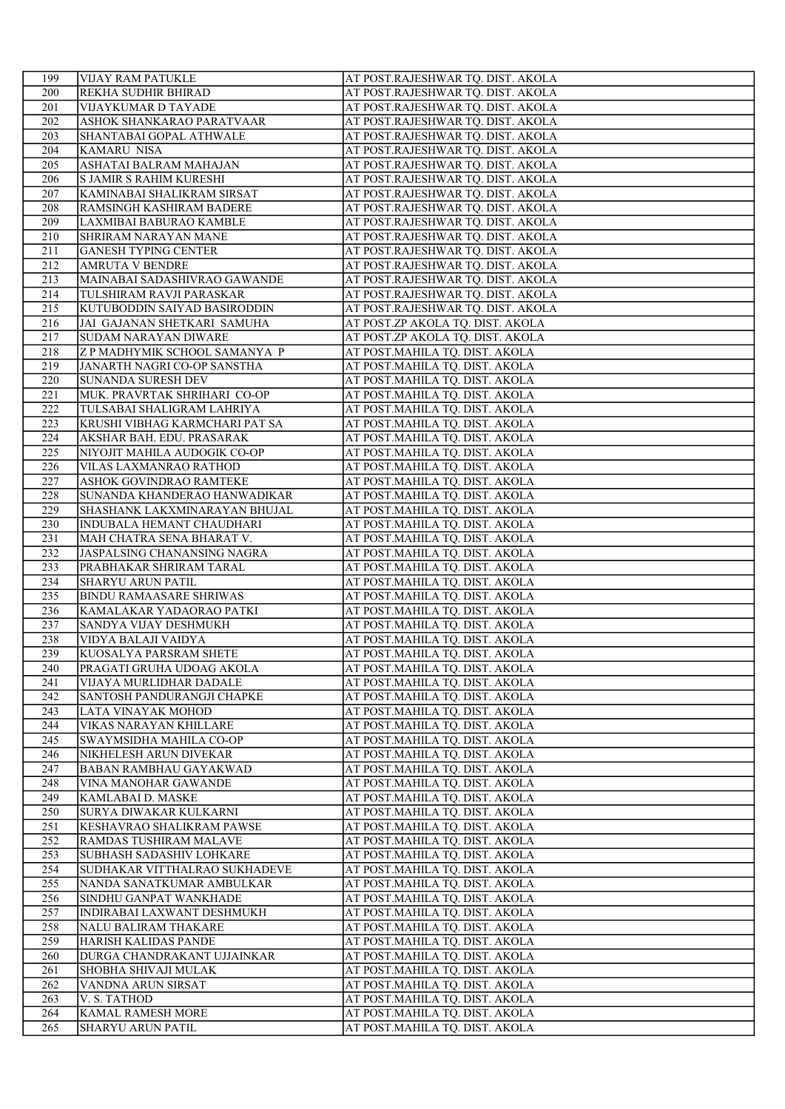| 199 | VIJAY RAM PATUKLE              | AT POST.RAJESHWAR TQ. DIST. AKOLA |
|-----|--------------------------------|-----------------------------------|
| 200 | REKHA SUDHIR BHIRAD            | AT POST.RAJESHWAR TQ. DIST. AKOLA |
| 201 | VIJAYKUMAR D TAYADE            | AT POST.RAJESHWAR TQ. DIST. AKOLA |
| 202 | ASHOK SHANKARAO PARATVAAR      | AT POST.RAJESHWAR TQ. DIST. AKOLA |
| 203 | SHANTABAI GOPAL ATHWALE        | AT POST.RAJESHWAR TQ. DIST. AKOLA |
| 204 | <b>KAMARU NISA</b>             | AT POST.RAJESHWAR TQ. DIST. AKOLA |
| 205 | ASHATAI BALRAM MAHAJAN         | AT POST.RAJESHWAR TQ. DIST. AKOLA |
| 206 | <b>S JAMIR S RAHIM KURESHI</b> | AT POST.RAJESHWAR TQ. DIST. AKOLA |
| 207 | KAMINABAI SHALIKRAM SIRSAT     | AT POST.RAJESHWAR TQ. DIST. AKOLA |
| 208 | RAMSINGH KASHIRAM BADERE       | AT POST.RAJESHWAR TQ. DIST. AKOLA |
| 209 | LAXMIBAI BABURAO KAMBLE        | AT POST.RAJESHWAR TQ. DIST. AKOLA |
| 210 | SHRIRAM NARAYAN MANE           | AT POST.RAJESHWAR TQ. DIST. AKOLA |
| 211 | <b>GANESH TYPING CENTER</b>    | AT POST.RAJESHWAR TQ. DIST. AKOLA |
| 212 | <b>AMRUTA V BENDRE</b>         | AT POST.RAJESHWAR TQ. DIST. AKOLA |
| 213 | MAINABAI SADASHIVRAO GAWANDE   | AT POST.RAJESHWAR TQ. DIST. AKOLA |
| 214 | TULSHIRAM RAVJI PARASKAR       | AT POST.RAJESHWAR TQ. DIST. AKOLA |
| 215 | KUTUBODDIN SAIYAD BASIRODDIN   | AT POST.RAJESHWAR TQ. DIST. AKOLA |
| 216 | JAI GAJANAN SHETKARI SAMUHA    | AT POST.ZP AKOLA TQ. DIST. AKOLA  |
| 217 | <b>SUDAM NARAYAN DIWARE</b>    | AT POST.ZP AKOLA TQ. DIST. AKOLA  |
| 218 | Z P MADHYMIK SCHOOL SAMANYA P  | AT POST.MAHILA TQ. DIST. AKOLA    |
| 219 | JANARTH NAGRI CO-OP SANSTHA    | AT POST.MAHILA TQ. DIST. AKOLA    |
| 220 | SUNANDA SURESH DEV             | AT POST.MAHILA TQ. DIST. AKOLA    |
| 221 | MUK. PRAVRTAK SHRIHARI CO-OP   | AT POST.MAHILA TQ. DIST. AKOLA    |
| 222 | TULSABAI SHALIGRAM LAHRIYA     | AT POST.MAHILA TQ. DIST. AKOLA    |
| 223 | KRUSHI VIBHAG KARMCHARI PAT SA | AT POST.MAHILA TQ. DIST. AKOLA    |
| 224 | AKSHAR BAH. EDU. PRASARAK      | AT POST.MAHILA TQ. DIST. AKOLA    |
| 225 | NIYOJIT MAHILA AUDOGIK CO-OP   | AT POST.MAHILA TQ. DIST. AKOLA    |
| 226 | VILAS LAXMANRAO RATHOD         | AT POST.MAHILA TQ. DIST. AKOLA    |
| 227 | ASHOK GOVINDRAO RAMTEKE        | AT POST. MAHILA TQ. DIST. AKOLA   |
| 228 | SUNANDA KHANDERAO HANWADIKAR   | AT POST.MAHILA TQ. DIST. AKOLA    |
| 229 | SHASHANK LAKXMINARAYAN BHUJAL  | AT POST.MAHILA TQ. DIST. AKOLA    |
| 230 | INDUBALA HEMANT CHAUDHARI      | AT POST.MAHILA TQ. DIST. AKOLA    |
| 231 | MAH CHATRA SENA BHARAT V.      | AT POST.MAHILA TQ. DIST. AKOLA    |
| 232 | JASPALSING CHANANSING NAGRA    | AT POST.MAHILA TQ. DIST. AKOLA    |
| 233 | PRABHAKAR SHRIRAM TARAL        | AT POST.MAHILA TQ. DIST. AKOLA    |
| 234 | SHARYU ARUN PATIL              | AT POST.MAHILA TQ. DIST. AKOLA    |
| 235 | <b>BINDU RAMAASARE SHRIWAS</b> | AT POST.MAHILA TQ. DIST. AKOLA    |
| 236 | KAMALAKAR YADAORAO PATKI       | AT POST.MAHILA TQ. DIST. AKOLA    |
| 237 | SANDYA VIJAY DESHMUKH          | AT POST.MAHILA TQ. DIST. AKOLA    |
| 238 | VIDYA BALAJI VAIDYA            | AT POST.MAHILA TQ. DIST. AKOLA    |
| 239 | KUOSALYA PARSRAM SHETE         | AT POST.MAHILA TQ. DIST. AKOLA    |
| 240 | PRAGATI GRUHA UDOAG AKOLA      | AT POST.MAHILA TQ. DIST. AKOLA    |
| 241 | VIJAYA MURLIDHAR DADALE        | AT POST.MAHILA TQ. DIST. AKOLA    |
| 242 | SANTOSH PANDURANGJI CHAPKE     | AT POST.MAHILA TQ. DIST. AKOLA    |
| 243 | LATA VINAYAK MOHOD             | AT POST.MAHILA TQ. DIST. AKOLA    |
| 244 | VIKAS NARAYAN KHILLARE         | AT POST.MAHILA TQ. DIST. AKOLA    |
| 245 | SWAYMSIDHA MAHILA CO-OP        | AT POST.MAHILA TQ. DIST. AKOLA    |
| 246 | NIKHELESH ARUN DIVEKAR         | AT POST.MAHILA TQ. DIST. AKOLA    |
| 247 | <b>BABAN RAMBHAU GAYAKWAD</b>  | AT POST.MAHILA TQ. DIST. AKOLA    |
| 248 | VINA MANOHAR GAWANDE           | AT POST.MAHILA TQ. DIST. AKOLA    |
| 249 | KAMLABAI D. MASKE              | AT POST.MAHILA TQ. DIST. AKOLA    |
| 250 | SURYA DIWAKAR KULKARNI         | AT POST.MAHILA TQ. DIST. AKOLA    |
| 251 | KESHAVRAO SHALIKRAM PAWSE      | AT POST.MAHILA TQ. DIST. AKOLA    |
| 252 | RAMDAS TUSHIRAM MALAVE         | AT POST.MAHILA TQ. DIST. AKOLA    |
| 253 | SUBHASH SADASHIV LOHKARE       | AT POST.MAHILA TQ. DIST. AKOLA    |
| 254 | SUDHAKAR VITTHALRAO SUKHADEVE  | AT POST.MAHILA TQ. DIST. AKOLA    |
| 255 | NANDA SANATKUMAR AMBULKAR      | AT POST.MAHILA TQ. DIST. AKOLA    |
| 256 | SINDHU GANPAT WANKHADE         | AT POST.MAHILA TQ. DIST. AKOLA    |
| 257 | INDIRABAI LAXWANT DESHMUKH     | AT POST.MAHILA TQ. DIST. AKOLA    |
| 258 | NALU BALIRAM THAKARE           | AT POST.MAHILA TQ. DIST. AKOLA    |
| 259 | HARISH KALIDAS PANDE           | AT POST.MAHILA TQ. DIST. AKOLA    |
| 260 | DURGA CHANDRAKANT UJJAINKAR    | AT POST.MAHILA TQ. DIST. AKOLA    |
| 261 | SHOBHA SHIVAJI MULAK           | AT POST.MAHILA TQ. DIST. AKOLA    |
| 262 | VANDNA ARUN SIRSAT             | AT POST.MAHILA TQ. DIST. AKOLA    |
| 263 | V. S. TATHOD                   | AT POST.MAHILA TQ. DIST. AKOLA    |
| 264 | KAMAL RAMESH MORE              | AT POST.MAHILA TQ. DIST. AKOLA    |
| 265 | SHARYU ARUN PATIL              | AT POST.MAHILA TQ. DIST. AKOLA    |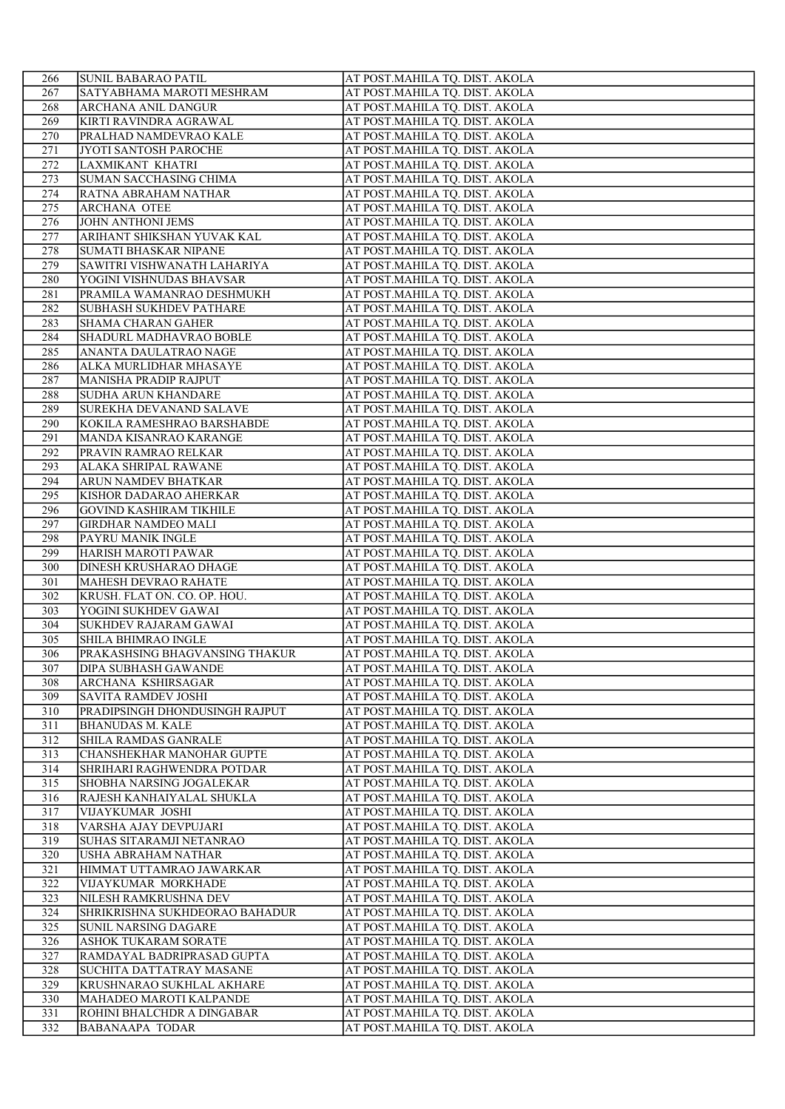| 266        | <b>SUNIL BABARAO PATIL</b>                                     | AT POST.MAHILA TQ. DIST. AKOLA                                   |
|------------|----------------------------------------------------------------|------------------------------------------------------------------|
| 267        | SATYABHAMA MAROTI MESHRAM                                      | AT POST.MAHILA TQ. DIST. AKOLA                                   |
| 268        | ARCHANA ANIL DANGUR                                            | AT POST.MAHILA TQ. DIST. AKOLA                                   |
| 269        | KIRTI RAVINDRA AGRAWAL                                         | AT POST.MAHILA TQ. DIST. AKOLA                                   |
| 270        | PRALHAD NAMDEVRAO KALE                                         | AT POST.MAHILA TQ. DIST. AKOLA                                   |
| 271        | JYOTI SANTOSH PAROCHE                                          | AT POST.MAHILA TQ. DIST. AKOLA                                   |
| 272        | LAXMIKANT KHATRI                                               | AT POST.MAHILA TQ. DIST. AKOLA                                   |
| 273        | SUMAN SACCHASING CHIMA                                         | AT POST.MAHILA TQ. DIST. AKOLA                                   |
| 274        | RATNA ABRAHAM NATHAR                                           | AT POST.MAHILA TQ. DIST. AKOLA                                   |
| 275        | <b>ARCHANA OTEE</b>                                            | AT POST.MAHILA TQ. DIST. AKOLA                                   |
| 276        | <b>JOHN ANTHONI JEMS</b>                                       | AT POST.MAHILA TQ. DIST. AKOLA                                   |
| 277        | ARIHANT SHIKSHAN YUVAK KAL                                     | AT POST.MAHILA TQ. DIST. AKOLA                                   |
| 278<br>279 | <b>SUMATI BHASKAR NIPANE</b>                                   | AT POST.MAHILA TQ. DIST. AKOLA<br>AT POST.MAHILA TQ. DIST. AKOLA |
| 280        | SAWITRI VISHWANATH LAHARIYA<br>YOGINI VISHNUDAS BHAVSAR        | AT POST.MAHILA TQ. DIST. AKOLA                                   |
| 281        | PRAMILA WAMANRAO DESHMUKH                                      | AT POST.MAHILA TQ. DIST. AKOLA                                   |
| 282        | SUBHASH SUKHDEV PATHARE                                        | AT POST.MAHILA TQ. DIST. AKOLA                                   |
| 283        | <b>SHAMA CHARAN GAHER</b>                                      | AT POST.MAHILA TQ. DIST. AKOLA                                   |
| 284        | SHADURL MADHAVRAO BOBLE                                        | AT POST.MAHILA TQ. DIST. AKOLA                                   |
| 285        | ANANTA DAULATRAO NAGE                                          | AT POST.MAHILA TQ. DIST. AKOLA                                   |
| 286        | ALKA MURLIDHAR MHASAYE                                         | AT POST.MAHILA TQ. DIST. AKOLA                                   |
| 287        | MANISHA PRADIP RAJPUT                                          | AT POST.MAHILA TQ. DIST. AKOLA                                   |
| 288        | SUDHA ARUN KHANDARE                                            | AT POST.MAHILA TQ. DIST. AKOLA                                   |
| 289        | SUREKHA DEVANAND SALAVE                                        | AT POST.MAHILA TQ. DIST. AKOLA                                   |
| 290        | KOKILA RAMESHRAO BARSHABDE                                     | AT POST.MAHILA TQ. DIST. AKOLA                                   |
| 291        | MANDA KISANRAO KARANGE                                         | AT POST.MAHILA TQ. DIST. AKOLA                                   |
| 292        | PRAVIN RAMRAO RELKAR                                           | AT POST.MAHILA TQ. DIST. AKOLA                                   |
| 293        | ALAKA SHRIPAL RAWANE                                           | AT POST.MAHILA TQ. DIST. AKOLA                                   |
| 294        | ARUN NAMDEV BHATKAR                                            | AT POST.MAHILA TQ. DIST. AKOLA                                   |
| 295        | KISHOR DADARAO AHERKAR                                         | AT POST.MAHILA TQ. DIST. AKOLA                                   |
| 296        | <b>GOVIND KASHIRAM TIKHILE</b>                                 | AT POST.MAHILA TQ. DIST. AKOLA                                   |
| 297<br>298 | <b>GIRDHAR NAMDEO MALI</b><br>PAYRU MANIK INGLE                | AT POST.MAHILA TQ. DIST. AKOLA<br>AT POST.MAHILA TQ. DIST. AKOLA |
| 299        | HARISH MAROTI PAWAR                                            | AT POST.MAHILA TQ. DIST. AKOLA                                   |
| 300        | DINESH KRUSHARAO DHAGE                                         | AT POST.MAHILA TQ. DIST. AKOLA                                   |
| 301        | MAHESH DEVRAO RAHATE                                           | AT POST.MAHILA TQ. DIST. AKOLA                                   |
| 302        | KRUSH. FLAT ON. CO. OP. HOU.                                   | AT POST.MAHILA TQ. DIST. AKOLA                                   |
| 303        | YOGINI SUKHDEV GAWAI                                           | AT POST.MAHILA TQ. DIST. AKOLA                                   |
| 304        | SUKHDEV RAJARAM GAWAI                                          | AT POST.MAHILA TQ. DIST. AKOLA                                   |
| 305        | SHILA BHIMRAO INGLE                                            | AT POST.MAHILA TQ. DIST. AKOLA                                   |
| 306        | PRAKASHSING BHAGVANSING THAKUR                                 | AT POST.MAHILA TQ. DIST. AKOLA                                   |
| 307        | <b>DIPA SUBHASH GAWANDE</b>                                    | AT POST.MAHILA TQ. DIST. AKOLA                                   |
| 308        | ARCHANA KSHIRSAGAR                                             | AT POST.MAHILA TQ. DIST. AKOLA                                   |
| 309        | <b>SAVITA RAMDEV JOSHI</b>                                     | AT POST.MAHILA TQ. DIST. AKOLA                                   |
| 310        | PRADIPSINGH DHONDUSINGH RAJPUT                                 | AT POST.MAHILA TQ. DIST. AKOLA                                   |
| 311        | <b>BHANUDAS M. KALE</b>                                        | AT POST.MAHILA TQ. DIST. AKOLA                                   |
| 312        | SHILA RAMDAS GANRALE                                           | AT POST.MAHILA TQ. DIST. AKOLA                                   |
| 313<br>314 | <b>CHANSHEKHAR MANOHAR GUPTE</b><br>SHRIHARI RAGHWENDRA POTDAR | AT POST.MAHILA TQ. DIST. AKOLA<br>AT POST.MAHILA TQ. DIST. AKOLA |
| 315        | SHOBHA NARSING JOGALEKAR                                       | AT POST.MAHILA TQ. DIST. AKOLA                                   |
| 316        | RAJESH KANHAIYALAL SHUKLA                                      | AT POST.MAHILA TQ. DIST. AKOLA                                   |
| 317        | VIJAYKUMAR JOSHI                                               | AT POST.MAHILA TQ. DIST. AKOLA                                   |
| 318        | VARSHA AJAY DEVPUJARI                                          | AT POST.MAHILA TQ. DIST. AKOLA                                   |
| 319        | SUHAS SITARAMJI NETANRAO                                       | AT POST.MAHILA TQ. DIST. AKOLA                                   |
| 320        | USHA ABRAHAM NATHAR                                            | AT POST.MAHILA TQ. DIST. AKOLA                                   |
| 321        | HIMMAT UTTAMRAO JAWARKAR                                       | AT POST.MAHILA TQ. DIST. AKOLA                                   |
| 322        | VIJAYKUMAR MORKHADE                                            | AT POST.MAHILA TQ. DIST. AKOLA                                   |
| 323        | NILESH RAMKRUSHNA DEV                                          | AT POST.MAHILA TQ. DIST. AKOLA                                   |
| 324        | SHRIKRISHNA SUKHDEORAO BAHADUR                                 | AT POST.MAHILA TQ. DIST. AKOLA                                   |
| 325        | SUNIL NARSING DAGARE                                           | AT POST.MAHILA TQ. DIST. AKOLA                                   |
| 326<br>327 | ASHOK TUKARAM SORATE<br>RAMDAYAL BADRIPRASAD GUPTA             | AT POST.MAHILA TQ. DIST. AKOLA                                   |
| 328        | SUCHITA DATTATRAY MASANE                                       | AT POST.MAHILA TQ. DIST. AKOLA<br>AT POST.MAHILA TQ. DIST. AKOLA |
| 329        | KRUSHNARAO SUKHLAL AKHARE                                      | AT POST.MAHILA TQ. DIST. AKOLA                                   |
| 330        | MAHADEO MAROTI KALPANDE                                        | AT POST.MAHILA TQ. DIST. AKOLA                                   |
| 331        | ROHINI BHALCHDR A DINGABAR                                     | AT POST.MAHILA TQ. DIST. AKOLA                                   |
| 332        | <b>BABANAAPA TODAR</b>                                         | AT POST.MAHILA TQ. DIST. AKOLA                                   |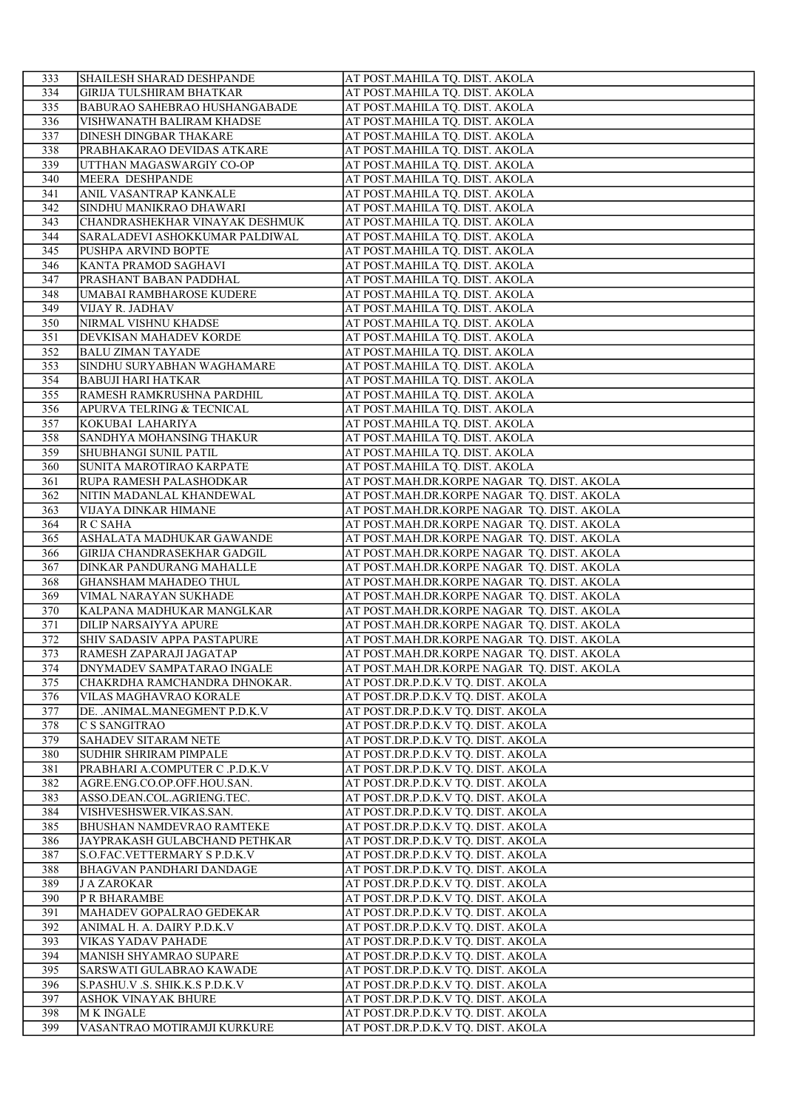| 333        | <b>SHAILESH SHARAD DESHPANDE</b>                   | AT POST.MAHILA TQ. DIST. AKOLA                                                           |
|------------|----------------------------------------------------|------------------------------------------------------------------------------------------|
| 334        | <b>GIRIJA TULSHIRAM BHATKAR</b>                    | AT POST.MAHILA TQ. DIST. AKOLA                                                           |
| 335        | <b>BABURAO SAHEBRAO HUSHANGABADE</b>               | AT POST.MAHILA TQ. DIST. AKOLA                                                           |
| 336        | VISHWANATH BALIRAM KHADSE                          | AT POST.MAHILA TQ. DIST. AKOLA                                                           |
| 337        | DINESH DINGBAR THAKARE                             | AT POST.MAHILA TQ. DIST. AKOLA                                                           |
| 338        | PRABHAKARAO DEVIDAS ATKARE                         | AT POST.MAHILA TQ. DIST. AKOLA                                                           |
| 339        | UTTHAN MAGASWARGIY CO-OP                           | AT POST.MAHILA TQ. DIST. AKOLA                                                           |
| 340        | MEERA DESHPANDE                                    | AT POST.MAHILA TQ. DIST. AKOLA                                                           |
| 341        | ANIL VASANTRAP KANKALE                             | AT POST.MAHILA TQ. DIST. AKOLA                                                           |
| 342        | SINDHU MANIKRAO DHAWARI                            | AT POST.MAHILA TQ. DIST. AKOLA                                                           |
| 343        | CHANDRASHEKHAR VINAYAK DESHMUK                     | AT POST.MAHILA TQ. DIST. AKOLA                                                           |
| 344        | SARALADEVI ASHOKKUMAR PALDIWAL                     | AT POST.MAHILA TQ. DIST. AKOLA                                                           |
| 345        | PUSHPA ARVIND BOPTE                                | AT POST.MAHILA TQ. DIST. AKOLA<br>AT POST.MAHILA TQ. DIST. AKOLA                         |
| 346<br>347 | KANTA PRAMOD SAGHAVI<br>PRASHANT BABAN PADDHAL     | AT POST.MAHILA TQ. DIST. AKOLA                                                           |
| 348        | UMABAI RAMBHAROSE KUDERE                           | AT POST.MAHILA TQ. DIST. AKOLA                                                           |
| 349        | VIJAY R. JADHAV                                    | AT POST.MAHILA TQ. DIST. AKOLA                                                           |
| 350        | NIRMAL VISHNU KHADSE                               | AT POST.MAHILA TQ. DIST. AKOLA                                                           |
| 351        | DEVKISAN MAHADEV KORDE                             | AT POST.MAHILA TQ. DIST. AKOLA                                                           |
| 352        | <b>BALU ZIMAN TAYADE</b>                           | AT POST.MAHILA TQ. DIST. AKOLA                                                           |
| 353        | SINDHU SURYABHAN WAGHAMARE                         | AT POST.MAHILA TQ. DIST. AKOLA                                                           |
| 354        | <b>BABUJI HARI HATKAR</b>                          | AT POST.MAHILA TQ. DIST. AKOLA                                                           |
| 355        | RAMESH RAMKRUSHNA PARDHIL                          | AT POST.MAHILA TQ. DIST. AKOLA                                                           |
| 356        | APURVA TELRING & TECNICAL                          | AT POST.MAHILA TQ. DIST. AKOLA                                                           |
| 357        | KOKUBAI LAHARIYA                                   | AT POST.MAHILA TQ. DIST. AKOLA                                                           |
| 358        | SANDHYA MOHANSING THAKUR                           | AT POST.MAHILA TQ. DIST. AKOLA                                                           |
| 359        | SHUBHANGI SUNIL PATIL                              | AT POST.MAHILA TQ. DIST. AKOLA                                                           |
| 360        | SUNITA MAROTIRAO KARPATE                           | AT POST.MAHILA TQ. DIST. AKOLA                                                           |
| 361        | RUPA RAMESH PALASHODKAR                            | AT POST.MAH.DR.KORPE NAGAR TQ. DIST. AKOLA                                               |
| 362        | NITIN MADANLAL KHANDEWAL                           | AT POST.MAH.DR.KORPE NAGAR TQ. DIST. AKOLA                                               |
| 363<br>364 | VIJAYA DINKAR HIMANE<br>R C SAHA                   | AT POST.MAH.DR.KORPE NAGAR TQ. DIST. AKOLA<br>AT POST.MAH.DR.KORPE NAGAR TQ. DIST. AKOLA |
| 365        | ASHALATA MADHUKAR GAWANDE                          | AT POST.MAH.DR.KORPE NAGAR TQ. DIST. AKOLA                                               |
| 366        | GIRIJA CHANDRASEKHAR GADGIL                        | AT POST.MAH.DR.KORPE NAGAR TQ. DIST. AKOLA                                               |
| 367        | DINKAR PANDURANG MAHALLE                           | AT POST.MAH.DR.KORPE NAGAR TQ. DIST. AKOLA                                               |
| 368        | <b>GHANSHAM MAHADEO THUL</b>                       | AT POST.MAH.DR.KORPE NAGAR TQ. DIST. AKOLA                                               |
| 369        | VIMAL NARAYAN SUKHADE                              | AT POST.MAH.DR.KORPE NAGAR TQ. DIST. AKOLA                                               |
| 370        | KALPANA MADHUKAR MANGLKAR                          | AT POST.MAH.DR.KORPE NAGAR TQ. DIST. AKOLA                                               |
| 371        | <b>DILIP NARSAIYYA APURE</b>                       | AT POST.MAH.DR.KORPE NAGAR TQ. DIST. AKOLA                                               |
| 372        | SHIV SADASIV APPA PASTAPURE                        | AT POST.MAH.DR.KORPE NAGAR TQ. DIST. AKOLA                                               |
| 373        | RAMESH ZAPARAJI JAGATAP                            | AT POST.MAH.DR.KORPE NAGAR TQ. DIST. AKOLA                                               |
| 374        | <b>DNYMADEV SAMPATARAO INGALE</b>                  | AT POST.MAH.DR.KORPE NAGAR TQ. DIST. AKOLA                                               |
| 375        | CHAKRDHA RAMCHANDRA DHNOKAR.                       | AT POST.DR.P.D.K.V TQ. DIST. AKOLA                                                       |
| 376        | VILAS MAGHAVRAO KORALE                             | AT POST.DR.P.D.K.V TQ. DIST. AKOLA                                                       |
| 377        | DE. .ANIMAL.MANEGMENT P.D.K.V                      | AT POST.DR.P.D.K.V TQ. DIST. AKOLA                                                       |
| 378        | C S SANGITRAO                                      | AT POST.DR.P.D.K.V TQ. DIST. AKOLA                                                       |
| 379<br>380 | SAHADEV SITARAM NETE<br>SUDHIR SHRIRAM PIMPALE     | AT POST.DR.P.D.K.V TQ. DIST. AKOLA<br>AT POST.DR.P.D.K.V TQ. DIST. AKOLA                 |
| 381        | PRABHARI A.COMPUTER C .P.D.K.V                     | AT POST.DR.P.D.K.V TQ. DIST. AKOLA                                                       |
| 382        | AGRE.ENG.CO.OP.OFF.HOU.SAN.                        | AT POST.DR.P.D.K.V TQ. DIST. AKOLA                                                       |
| 383        | ASSO.DEAN.COL.AGRIENG.TEC.                         | AT POST.DR.P.D.K.V TQ. DIST. AKOLA                                                       |
| 384        | VISHVESHSWER.VIKAS.SAN.                            | AT POST.DR.P.D.K.V TQ. DIST. AKOLA                                                       |
| 385        | <b>BHUSHAN NAMDEVRAO RAMTEKE</b>                   | AT POST.DR.P.D.K.V TQ. DIST. AKOLA                                                       |
| 386        | JAYPRAKASH GULABCHAND PETHKAR                      | AT POST.DR.P.D.K.V TQ. DIST. AKOLA                                                       |
| 387        | S.O.FAC.VETTERMARY S P.D.K.V                       | AT POST.DR.P.D.K.V TQ. DIST. AKOLA                                                       |
| 388        | BHAGVAN PANDHARI DANDAGE                           | AT POST.DR.P.D.K.V TQ. DIST. AKOLA                                                       |
| 389        | <b>J A ZAROKAR</b>                                 | AT POST.DR.P.D.K.V TQ. DIST. AKOLA                                                       |
| 390        | P R BHARAMBE                                       | AT POST.DR.P.D.K.V TQ. DIST. AKOLA                                                       |
| 391        | MAHADEV GOPALRAO GEDEKAR                           | AT POST.DR.P.D.K.V TQ. DIST. AKOLA                                                       |
| 392        | ANIMAL H. A. DAIRY P.D.K.V                         | AT POST.DR.P.D.K.V TQ. DIST. AKOLA                                                       |
| 393<br>394 | VIKAS YADAV PAHADE                                 | AT POST.DR.P.D.K.V TQ. DIST. AKOLA<br>AT POST.DR.P.D.K.V TQ. DIST. AKOLA                 |
| 395        | MANISH SHYAMRAO SUPARE<br>SARSWATI GULABRAO KAWADE | AT POST.DR.P.D.K.V TQ. DIST. AKOLA                                                       |
| 396        | S.PASHU.V .S. SHIK.K.S P.D.K.V                     | AT POST.DR.P.D.K.V TQ. DIST. AKOLA                                                       |
| 397        | ASHOK VINAYAK BHURE                                | AT POST.DR.P.D.K.V TQ. DIST. AKOLA                                                       |
| 398        | M K INGALE                                         | AT POST.DR.P.D.K.V TQ. DIST. AKOLA                                                       |
| 399        | VASANTRAO MOTIRAMJI KURKURE                        | AT POST.DR.P.D.K.V TQ. DIST. AKOLA                                                       |
|            |                                                    |                                                                                          |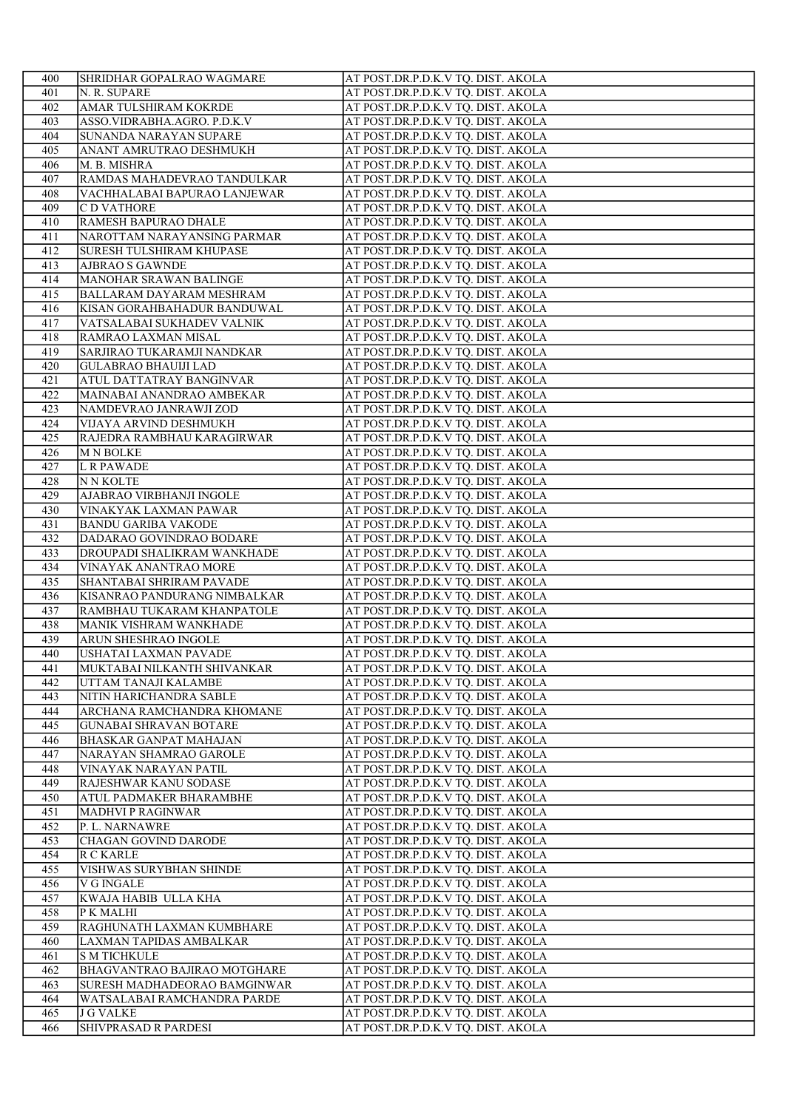| 400        | SHRIDHAR GOPALRAO WAGMARE                      | AT POST.DR.P.D.K.V TQ. DIST. AKOLA                                       |
|------------|------------------------------------------------|--------------------------------------------------------------------------|
| 401        | N. R. SUPARE                                   | AT POST.DR.P.D.K.V TQ. DIST. AKOLA                                       |
| 402        | AMAR TULSHIRAM KOKRDE                          | AT POST.DR.P.D.K.V TQ. DIST. AKOLA                                       |
| 403        | ASSO.VIDRABHA.AGRO. P.D.K.V                    | AT POST.DR.P.D.K.V TQ. DIST. AKOLA                                       |
| 404        | SUNANDA NARAYAN SUPARE                         | AT POST.DR.P.D.K.V TQ. DIST. AKOLA                                       |
| 405        | ANANT AMRUTRAO DESHMUKH                        | AT POST.DR.P.D.K.V TQ. DIST. AKOLA                                       |
| 406        | M. B. MISHRA                                   | AT POST.DR.P.D.K.V TQ. DIST. AKOLA                                       |
| 407        | RAMDAS MAHADEVRAO TANDULKAR                    | AT POST.DR.P.D.K.V TQ. DIST. AKOLA                                       |
| 408        | VACHHALABAI BAPURAO LANJEWAR                   | AT POST.DR.P.D.K.V TQ. DIST. AKOLA                                       |
| 409        | C D VATHORE                                    | AT POST.DR.P.D.K.V TQ. DIST. AKOLA                                       |
| 410        | RAMESH BAPURAO DHALE                           | AT POST.DR.P.D.K.V TQ. DIST. AKOLA                                       |
| 411        | NAROTTAM NARAYANSING PARMAR                    | AT POST.DR.P.D.K.V TQ. DIST. AKOLA                                       |
| 412        | <b>SURESH TULSHIRAM KHUPASE</b>                | AT POST.DR.P.D.K.V TQ. DIST. AKOLA                                       |
| 413        | <b>AJBRAO S GAWNDE</b>                         | AT POST.DR.P.D.K.V TQ. DIST. AKOLA                                       |
| 414        | MANOHAR SRAWAN BALINGE                         | AT POST.DR.P.D.K.V TQ. DIST. AKOLA                                       |
| 415        | <b>BALLARAM DAYARAM MESHRAM</b>                | AT POST.DR.P.D.K.V TQ. DIST. AKOLA                                       |
| 416        | KISAN GORAHBAHADUR BANDUWAL                    | AT POST.DR.P.D.K.V TQ. DIST. AKOLA                                       |
| 417        | VATSALABAI SUKHADEV VALNIK                     | AT POST.DR.P.D.K.V TQ. DIST. AKOLA                                       |
| 418        | RAMRAO LAXMAN MISAL                            | AT POST.DR.P.D.K.V TQ. DIST. AKOLA                                       |
| 419        | SARJIRAO TUKARAMJI NANDKAR                     | AT POST.DR.P.D.K.V TQ. DIST. AKOLA                                       |
| 420        | <b>GULABRAO BHAUIJI LAD</b>                    | AT POST.DR.P.D.K.V TQ. DIST. AKOLA                                       |
| 421        | ATUL DATTATRAY BANGINVAR                       | AT POST.DR.P.D.K.V TQ. DIST. AKOLA                                       |
| 422        | MAINABAI ANANDRAO AMBEKAR                      | AT POST.DR.P.D.K.V TQ. DIST. AKOLA                                       |
| 423        | NAMDEVRAO JANRAWJI ZOD                         | AT POST.DR.P.D.K.V TQ. DIST. AKOLA                                       |
| 424        | VIJAYA ARVIND DESHMUKH                         | AT POST.DR.P.D.K.V TQ. DIST. AKOLA                                       |
| 425        | RAJEDRA RAMBHAU KARAGIRWAR                     | AT POST.DR.P.D.K.V TQ. DIST. AKOLA                                       |
| 426        | <b>M N BOLKE</b>                               | AT POST.DR.P.D.K.V TQ. DIST. AKOLA                                       |
| 427        | <b>L R PAWADE</b>                              | AT POST.DR.P.D.K.V TQ. DIST. AKOLA                                       |
| 428        | <b>NN KOLTE</b>                                | AT POST.DR.P.D.K.V TQ. DIST. AKOLA                                       |
| 429        | AJABRAO VIRBHANJI INGOLE                       | AT POST.DR.P.D.K.V TQ. DIST. AKOLA                                       |
| 430        | VINAKYAK LAXMAN PAWAR                          | AT POST.DR.P.D.K.V TQ. DIST. AKOLA                                       |
| 431        | <b>BANDU GARIBA VAKODE</b>                     | AT POST.DR.P.D.K.V TQ. DIST. AKOLA                                       |
| 432        | DADARAO GOVINDRAO BODARE                       | AT POST.DR.P.D.K.V TQ. DIST. AKOLA                                       |
| 433        | DROUPADI SHALIKRAM WANKHADE                    | AT POST.DR.P.D.K.V TQ. DIST. AKOLA                                       |
| 434        | VINAYAK ANANTRAO MORE                          | AT POST.DR.P.D.K.V TQ. DIST. AKOLA                                       |
| 435        | SHANTABAI SHRIRAM PAVADE                       | AT POST.DR.P.D.K.V TQ. DIST. AKOLA                                       |
| 436        | KISANRAO PANDURANG NIMBALKAR                   | AT POST.DR.P.D.K.V TQ. DIST. AKOLA                                       |
| 437        |                                                |                                                                          |
|            | RAMBHAU TUKARAM KHANPATOLE                     | AT POST.DR.P.D.K.V TQ. DIST. AKOLA<br>AT POST.DR.P.D.K.V TQ. DIST. AKOLA |
| 438<br>439 | MANIK VISHRAM WANKHADE<br>ARUN SHESHRAO INGOLE | AT POST.DR.P.D.K.V TQ. DIST. AKOLA                                       |
| 440        | USHATAI LAXMAN PAVADE                          | AT POST.DR.P.D.K.V TQ. DIST. AKOLA                                       |
| 441        | MUKTABAI NILKANTH SHIVANKAR                    | AT POST.DR.P.D.K.V TQ. DIST. AKOLA                                       |
| 442        | UTTAM TANAJI KALAMBE                           | AT POST.DR.P.D.K.V TQ. DIST. AKOLA                                       |
| 443        | NITIN HARICHANDRA SABLE                        | AT POST.DR.P.D.K.V TQ. DIST. AKOLA                                       |
| 444        | ARCHANA RAMCHANDRA KHOMANE                     |                                                                          |
| 445        |                                                | AT POST.DR.P.D.K.V TQ. DIST. AKOLA                                       |
| 446        | <b>GUNABAI SHRAVAN BOTARE</b>                  | AT POST.DR.P.D.K.V TQ. DIST. AKOLA                                       |
|            | BHASKAR GANPAT MAHAJAN                         | AT POST.DR.P.D.K.V TQ. DIST. AKOLA                                       |
| 447        | NARAYAN SHAMRAO GAROLE                         | AT POST.DR.P.D.K.V TQ. DIST. AKOLA                                       |
| 448        | VINAYAK NARAYAN PATIL                          | AT POST.DR.P.D.K.V TQ. DIST. AKOLA                                       |
| 449<br>450 | RAJESHWAR KANU SODASE                          | AT POST.DR.P.D.K.V TQ. DIST. AKOLA                                       |
| 451        | ATUL PADMAKER BHARAMBHE                        | AT POST.DR.P.D.K.V TQ. DIST. AKOLA                                       |
|            | <b>MADHVI P RAGINWAR</b>                       | AT POST.DR.P.D.K.V TQ. DIST. AKOLA                                       |
| 452<br>453 | P. L. NARNAWRE                                 | AT POST.DR.P.D.K.V TQ. DIST. AKOLA<br>AT POST.DR.P.D.K.V TQ. DIST. AKOLA |
|            | CHAGAN GOVIND DARODE                           |                                                                          |
| 454        | <b>R C KARLE</b>                               | AT POST.DR.P.D.K.V TQ. DIST. AKOLA                                       |
| 455        | VISHWAS SURYBHAN SHINDE                        | AT POST.DR.P.D.K.V TQ. DIST. AKOLA                                       |
| 456        | V G INGALE                                     | AT POST.DR.P.D.K.V TQ. DIST. AKOLA                                       |
| 457        | KWAJA HABIB ULLA KHA                           | AT POST.DR.P.D.K.V TQ. DIST. AKOLA                                       |
| 458        | P K MALHI                                      | AT POST.DR.P.D.K.V TQ. DIST. AKOLA                                       |
| 459        | RAGHUNATH LAXMAN KUMBHARE                      | AT POST.DR.P.D.K.V TQ. DIST. AKOLA                                       |
| 460        | LAXMAN TAPIDAS AMBALKAR                        | AT POST.DR.P.D.K.V TQ. DIST. AKOLA                                       |
| 461        | <b>S M TICHKULE</b>                            | AT POST.DR.P.D.K.V TQ. DIST. AKOLA                                       |
| 462        | BHAGVANTRAO BAJIRAO MOTGHARE                   | AT POST.DR.P.D.K.V TQ. DIST. AKOLA                                       |
| 463        | SURESH MADHADEORAO BAMGINWAR                   | AT POST.DR.P.D.K.V TQ. DIST. AKOLA                                       |
| 464        | WATSALABAI RAMCHANDRA PARDE                    | AT POST.DR.P.D.K.V TQ. DIST. AKOLA                                       |
| 465        | <b>J G VALKE</b>                               | AT POST.DR.P.D.K.V TQ. DIST. AKOLA                                       |
| 466        | SHIVPRASAD R PARDESI                           | AT POST.DR.P.D.K.V TQ. DIST. AKOLA                                       |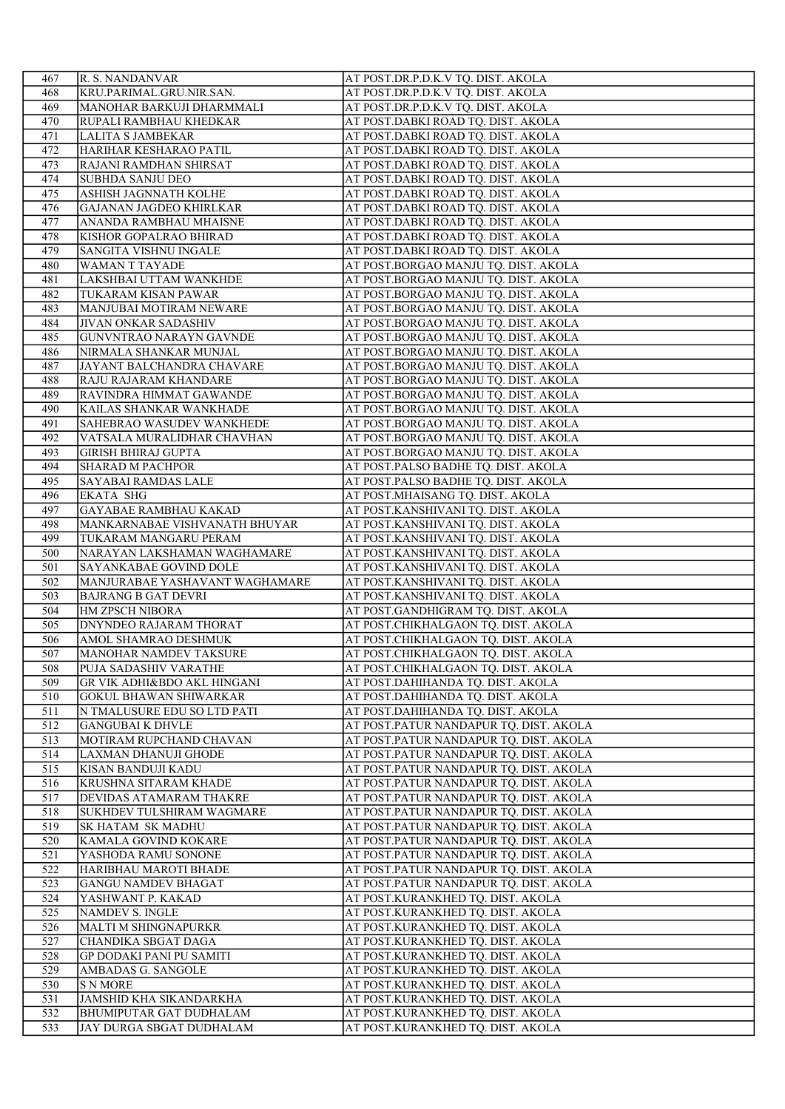| 467        | R. S. NANDANVAR                                           | AT POST.DR.P.D.K.V TQ. DIST. AKOLA                                               |
|------------|-----------------------------------------------------------|----------------------------------------------------------------------------------|
| 468        | KRU.PARIMAL.GRU.NIR.SAN.                                  | AT POST.DR.P.D.K.V TQ. DIST. AKOLA                                               |
| 469        | MANOHAR BARKUJI DHARMMALI                                 | AT POST.DR.P.D.K.V TQ. DIST. AKOLA                                               |
| 470        | RUPALI RAMBHAU KHEDKAR                                    | AT POST.DABKI ROAD TQ. DIST. AKOLA                                               |
| 471        | <b>LALITA S JAMBEKAR</b>                                  | AT POST.DABKI ROAD TQ. DIST. AKOLA                                               |
| 472        | HARIHAR KESHARAO PATIL                                    | AT POST.DABKI ROAD TQ. DIST. AKOLA                                               |
| 473        | RAJANI RAMDHAN SHIRSAT                                    | AT POST.DABKI ROAD TQ. DIST. AKOLA                                               |
| 474        | <b>SUBHDA SANJU DEO</b>                                   | AT POST.DABKI ROAD TQ. DIST. AKOLA                                               |
| 475        | ASHISH JAGNNATH KOLHE                                     | AT POST.DABKI ROAD TQ. DIST. AKOLA                                               |
| 476        | GAJANAN JAGDEO KHIRLKAR                                   | AT POST.DABKI ROAD TQ. DIST. AKOLA                                               |
| 477        | ANANDA RAMBHAU MHAISNE                                    | AT POST.DABKI ROAD TO. DIST. AKOLA                                               |
| 478        | KISHOR GOPALRAO BHIRAD                                    | AT POST.DABKI ROAD TQ. DIST. AKOLA                                               |
| 479        | SANGITA VISHNU INGALE                                     | AT POST.DABKI ROAD TQ. DIST. AKOLA                                               |
| 480        | WAMAN T TAYADE                                            | AT POST.BORGAO MANJU TQ. DIST. AKOLA                                             |
| 481        | LAKSHBAI UTTAM WANKHDE                                    | AT POST.BORGAO MANJU TQ. DIST. AKOLA                                             |
| 482        | TUKARAM KISAN PAWAR                                       | AT POST.BORGAO MANJU TQ. DIST. AKOLA                                             |
| 483        | MANJUBAI MOTIRAM NEWARE                                   | AT POST.BORGAO MANJU TQ. DIST. AKOLA                                             |
| 484        | <b>JIVAN ONKAR SADASHIV</b>                               | AT POST.BORGAO MANJU TQ. DIST. AKOLA                                             |
| 485        | GUNVNTRAO NARAYN GAVNDE                                   | AT POST.BORGAO MANJU TQ. DIST. AKOLA                                             |
| 486        | NIRMALA SHANKAR MUNJAL                                    | AT POST.BORGAO MANJU TQ. DIST. AKOLA                                             |
| 487        | JAYANT BALCHANDRA CHAVARE                                 | AT POST.BORGAO MANJU TQ. DIST. AKOLA                                             |
| 488        | RAJU RAJARAM KHANDARE                                     | AT POST.BORGAO MANJU TQ. DIST. AKOLA                                             |
| 489        | RAVINDRA HIMMAT GAWANDE                                   | AT POST.BORGAO MANJU TQ. DIST. AKOLA                                             |
| 490        | KAILAS SHANKAR WANKHADE                                   | AT POST.BORGAO MANJU TQ. DIST. AKOLA                                             |
| 491        | SAHEBRAO WASUDEV WANKHEDE                                 | AT POST.BORGAO MANJU TQ. DIST. AKOLA                                             |
| 492        | VATSALA MURALIDHAR CHAVHAN                                | AT POST.BORGAO MANJU TQ. DIST. AKOLA                                             |
| 493        | <b>GIRISH BHIRAJ GUPTA</b>                                | AT POST.BORGAO MANJU TQ. DIST. AKOLA                                             |
| 494        | <b>SHARAD M PACHPOR</b>                                   | AT POST.PALSO BADHE TQ. DIST. AKOLA                                              |
| 495        | SAYABAI RAMDAS LALE                                       | AT POST.PALSO BADHE TQ. DIST. AKOLA                                              |
| 496        | <b>EKATA SHG</b>                                          | AT POST.MHAISANG TQ. DIST. AKOLA                                                 |
| 497        | <b>GAYABAE RAMBHAU KAKAD</b>                              | AT POST.KANSHIVANI TQ. DIST. AKOLA                                               |
| 498        | MANKARNABAE VISHVANATH BHUYAR                             | AT POST.KANSHIVANI TQ. DIST. AKOLA                                               |
| 499        | TUKARAM MANGARU PERAM                                     | AT POST.KANSHIVANI TQ. DIST. AKOLA                                               |
| 500        | NARAYAN LAKSHAMAN WAGHAMARE                               | AT POST.KANSHIVANI TQ. DIST. AKOLA                                               |
| 501        | SAYANKABAE GOVIND DOLE                                    | AT POST.KANSHIVANI TQ. DIST. AKOLA                                               |
| 502        | MANJURABAE YASHAVANT WAGHAMARE                            | AT POST.KANSHIVANI TQ. DIST. AKOLA                                               |
| 503        | <b>BAJRANG B GAT DEVRI</b>                                | AT POST.KANSHIVANI TQ. DIST. AKOLA                                               |
| 504        | <b>HM ZPSCH NIBORA</b>                                    | AT POST.GANDHIGRAM TQ. DIST. AKOLA                                               |
| 505        | <b>DNYNDEO RAJARAM THORAT</b>                             | AT POST.CHIKHALGAON TQ. DIST. AKOLA                                              |
| 506        | AMOL SHAMRAO DESHMUK                                      | AT POST.CHIKHALGAON TQ. DIST. AKOLA                                              |
| 507        | MANOHAR NAMDEV TAKSURE                                    | AT POST.CHIKHALGAON TQ. DIST. AKOLA                                              |
| 508        | PUJA SADASHIV VARATHE                                     | AT POST.CHIKHALGAON TQ. DIST. AKOLA                                              |
| 509        | <b>GR VIK ADHI&amp;BDO AKL HINGANI</b>                    | AT POST.DAHIHANDA TQ. DIST. AKOLA                                                |
| 510        | GOKUL BHAWAN SHIWARKAR                                    | AT POST.DAHIHANDA TQ. DIST. AKOLA                                                |
| 511        | N TMALUSURE EDU SO LTD PATI                               | AT POST.DAHIHANDA TQ. DIST. AKOLA                                                |
| 512        | <b>GANGUBAI K DHVLE</b>                                   | AT POST.PATUR NANDAPUR TQ. DIST. AKOLA                                           |
| 513        | MOTIRAM RUPCHAND CHAVAN                                   | AT POST.PATUR NANDAPUR TQ. DIST. AKOLA                                           |
| 514        | LAXMAN DHANUJI GHODE                                      | AT POST.PATUR NANDAPUR TQ. DIST. AKOLA                                           |
| 515        | KISAN BANDUJI KADU                                        | AT POST.PATUR NANDAPUR TQ. DIST. AKOLA<br>AT POST.PATUR NANDAPUR TQ. DIST. AKOLA |
| 516<br>517 | KRUSHNA SITARAM KHADE                                     |                                                                                  |
| 518        |                                                           |                                                                                  |
| 519        | DEVIDAS ATAMARAM THAKRE                                   | AT POST.PATUR NANDAPUR TQ. DIST. AKOLA                                           |
| 520        | SUKHDEV TULSHIRAM WAGMARE                                 | AT POST.PATUR NANDAPUR TQ. DIST. AKOLA                                           |
| 521        | <b>SK HATAM SK MADHU</b>                                  | AT POST.PATUR NANDAPUR TQ. DIST. AKOLA                                           |
| 522        | KAMALA GOVIND KOKARE                                      | AT POST.PATUR NANDAPUR TQ. DIST. AKOLA                                           |
| 523        | YASHODA RAMU SONONE                                       | AT POST.PATUR NANDAPUR TQ. DIST. AKOLA                                           |
|            | HARIBHAU MAROTI BHADE                                     | AT POST.PATUR NANDAPUR TQ. DIST. AKOLA                                           |
|            | <b>GANGU NAMDEV BHAGAT</b>                                | AT POST.PATUR NANDAPUR TQ. DIST. AKOLA                                           |
| 524        | YASHWANT P. KAKAD                                         | AT POST.KURANKHED TQ. DIST. AKOLA                                                |
| 525        | NAMDEV S. INGLE                                           | AT POST.KURANKHED TQ. DIST. AKOLA                                                |
| 526        | MALTI M SHINGNAPURKR                                      | AT POST.KURANKHED TQ. DIST. AKOLA                                                |
| 527        | CHANDIKA SBGAT DAGA                                       | AT POST.KURANKHED TQ. DIST. AKOLA                                                |
| 528        | <b>GP DODAKI PANI PU SAMITI</b>                           | AT POST.KURANKHED TQ. DIST. AKOLA                                                |
| 529        | AMBADAS G. SANGOLE                                        | AT POST.KURANKHED TQ. DIST. AKOLA                                                |
| 530        | <b>S N MORE</b>                                           | AT POST.KURANKHED TQ. DIST. AKOLA                                                |
| 531<br>532 | JAMSHID KHA SIKANDARKHA<br><b>BHUMIPUTAR GAT DUDHALAM</b> | AT POST.KURANKHED TQ. DIST. AKOLA<br>AT POST.KURANKHED TQ. DIST. AKOLA           |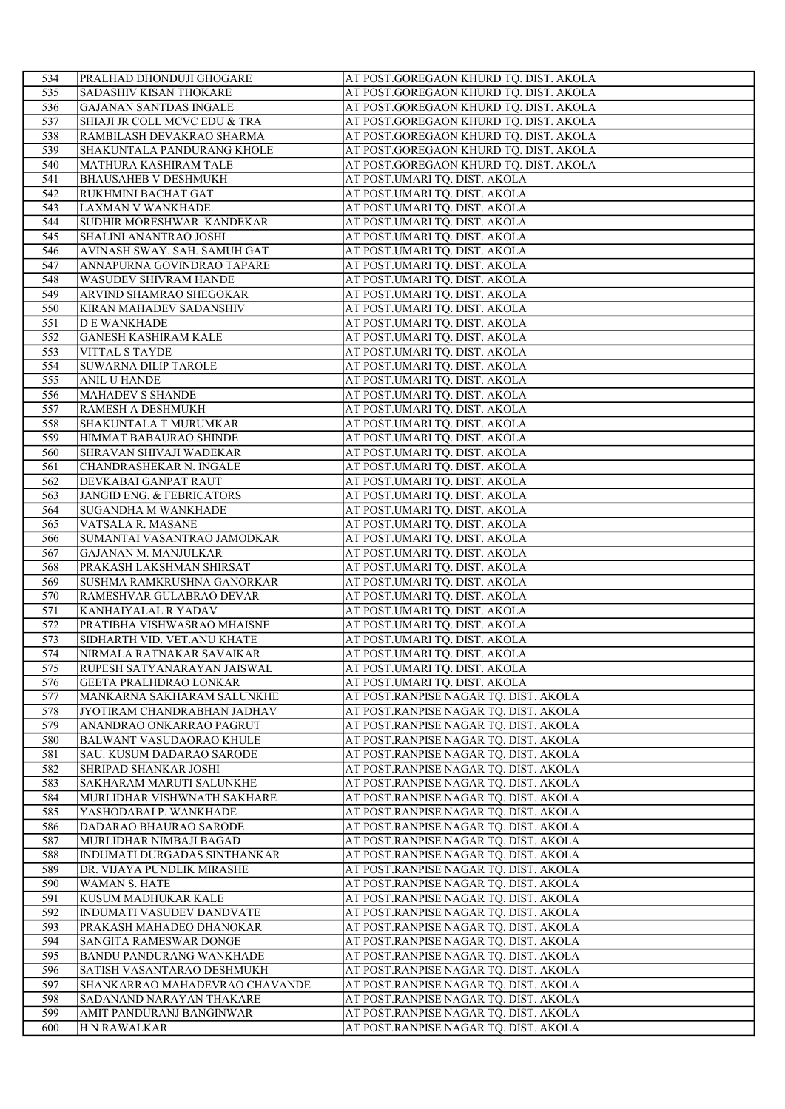| 534        | PRALHAD DHONDUJI GHOGARE                                     | AT POST.GOREGAON KHURD TQ. DIST. AKOLA                                         |
|------------|--------------------------------------------------------------|--------------------------------------------------------------------------------|
| 535        | SADASHIV KISAN THOKARE                                       | AT POST.GOREGAON KHURD TQ. DIST. AKOLA                                         |
| 536        | <b>GAJANAN SANTDAS INGALE</b>                                | AT POST.GOREGAON KHURD TQ. DIST. AKOLA                                         |
| 537        | SHIAJI JR COLL MCVC EDU & TRA                                | AT POST.GOREGAON KHURD TQ. DIST. AKOLA                                         |
| 538        | RAMBILASH DEVAKRAO SHARMA                                    | AT POST.GOREGAON KHURD TQ. DIST. AKOLA                                         |
| 539        | SHAKUNTALA PANDURANG KHOLE                                   | AT POST.GOREGAON KHURD TQ. DIST. AKOLA                                         |
| 540        | MATHURA KASHIRAM TALE                                        | AT POST.GOREGAON KHURD TQ. DIST. AKOLA                                         |
| 541        | <b>BHAUSAHEB V DESHMUKH</b>                                  | AT POST.UMARI TQ. DIST. AKOLA                                                  |
| 542        | RUKHMINI BACHAT GAT                                          | AT POST.UMARI TQ. DIST. AKOLA                                                  |
| 543        | LAXMAN V WANKHADE                                            | AT POST.UMARI TQ. DIST. AKOLA                                                  |
| 544        | SUDHIR MORESHWAR KANDEKAR                                    | AT POST.UMARI TQ. DIST. AKOLA                                                  |
| 545        | SHALINI ANANTRAO JOSHI                                       | AT POST.UMARI TQ. DIST. AKOLA                                                  |
| 546        | AVINASH SWAY. SAH. SAMUH GAT                                 | AT POST.UMARI TQ. DIST. AKOLA<br>AT POST.UMARI TQ. DIST. AKOLA                 |
| 547<br>548 | ANNAPURNA GOVINDRAO TAPARE<br><b>WASUDEV SHIVRAM HANDE</b>   | AT POST.UMARI TQ. DIST. AKOLA                                                  |
| 549        | ARVIND SHAMRAO SHEGOKAR                                      | AT POST.UMARI TQ. DIST. AKOLA                                                  |
| 550        | KIRAN MAHADEV SADANSHIV                                      | AT POST.UMARI TQ. DIST. AKOLA                                                  |
| 551        | <b>DE WANKHADE</b>                                           | AT POST.UMARI TQ. DIST. AKOLA                                                  |
| 552        | <b>GANESH KASHIRAM KALE</b>                                  | AT POST.UMARI TQ. DIST. AKOLA                                                  |
| 553        | <b>VITTAL S TAYDE</b>                                        | AT POST.UMARI TQ. DIST. AKOLA                                                  |
| 554        | <b>SUWARNA DILIP TAROLE</b>                                  | AT POST.UMARI TQ. DIST. AKOLA                                                  |
| 555        | <b>ANIL U HANDE</b>                                          | AT POST.UMARI TQ. DIST. AKOLA                                                  |
| 556        | MAHADEV S SHANDE                                             | AT POST.UMARI TQ. DIST. AKOLA                                                  |
| 557        | RAMESH A DESHMUKH                                            | AT POST.UMARI TQ. DIST. AKOLA                                                  |
| 558        | SHAKUNTALA T MURUMKAR                                        | AT POST.UMARI TQ. DIST. AKOLA                                                  |
| 559        | HIMMAT BABAURAO SHINDE                                       | AT POST.UMARI TQ. DIST. AKOLA                                                  |
| 560        | SHRAVAN SHIVAJI WADEKAR                                      | AT POST.UMARI TQ. DIST. AKOLA                                                  |
| 561        | CHANDRASHEKAR N. INGALE                                      | AT POST.UMARI TQ. DIST. AKOLA                                                  |
| 562        | DEVKABAI GANPAT RAUT                                         | AT POST.UMARI TQ. DIST. AKOLA                                                  |
| 563        | <b>JANGID ENG. &amp; FEBRICATORS</b>                         | AT POST.UMARI TQ. DIST. AKOLA                                                  |
| 564        | <b>SUGANDHA M WANKHADE</b>                                   | AT POST.UMARI TQ. DIST. AKOLA                                                  |
| 565        | VATSALA R. MASANE                                            | AT POST.UMARI TQ. DIST. AKOLA                                                  |
| 566<br>567 | SUMANTAI VASANTRAO JAMODKAR<br>GAJANAN M. MANJULKAR          | AT POST.UMARI TQ. DIST. AKOLA<br>AT POST.UMARI TQ. DIST. AKOLA                 |
| 568        | PRAKASH LAKSHMAN SHIRSAT                                     | AT POST.UMARI TQ. DIST. AKOLA                                                  |
| 569        | SUSHMA RAMKRUSHNA GANORKAR                                   | AT POST.UMARI TQ. DIST. AKOLA                                                  |
| 570        | RAMESHVAR GULABRAO DEVAR                                     | AT POST.UMARI TQ. DIST. AKOLA                                                  |
| 571        | KANHAIYALAL R YADAV                                          | AT POST.UMARI TQ. DIST. AKOLA                                                  |
| 572        | PRATIBHA VISHWASRAO MHAISNE                                  | AT POST.UMARI TQ. DIST. AKOLA                                                  |
| 573        | SIDHARTH VID. VET.ANU KHATE                                  | AT POST.UMARI TQ. DIST. AKOLA                                                  |
| 574        | NIRMALA RATNAKAR SAVAIKAR                                    | AT POST.UMARI TQ. DIST. AKOLA                                                  |
| 575        | RUPESH SATYANARAYAN JAISWAL                                  | AT POST.UMARI TQ. DIST. AKOLA                                                  |
| 576        | <b>GEETA PRALHDRAO LONKAR</b>                                | AT POST.UMARI TQ. DIST. AKOLA                                                  |
| 577        | MANKARNA SAKHARAM SALUNKHE                                   | AT POST.RANPISE NAGAR TQ. DIST. AKOLA                                          |
| 578        | JYOTIRAM CHANDRABHAN JADHAV                                  | AT POST.RANPISE NAGAR TQ. DIST. AKOLA                                          |
| 579        | ANANDRAO ONKARRAO PAGRUT                                     | AT POST.RANPISE NAGAR TQ. DIST. AKOLA                                          |
| 580        | <b>BALWANT VASUDAORAO KHULE</b>                              | AT POST.RANPISE NAGAR TQ. DIST. AKOLA                                          |
| 581        | SAU. KUSUM DADARAO SARODE                                    | AT POST.RANPISE NAGAR TQ. DIST. AKOLA                                          |
| 582<br>583 | SHRIPAD SHANKAR JOSHI                                        | AT POST.RANPISE NAGAR TQ. DIST. AKOLA                                          |
| 584        | SAKHARAM MARUTI SALUNKHE<br>MURLIDHAR VISHWNATH SAKHARE      | AT POST.RANPISE NAGAR TQ. DIST. AKOLA<br>AT POST.RANPISE NAGAR TO. DIST. AKOLA |
| 585        | YASHODABAI P. WANKHADE                                       | AT POST.RANPISE NAGAR TQ. DIST. AKOLA                                          |
| 586        | DADARAO BHAURAO SARODE                                       | AT POST.RANPISE NAGAR TQ. DIST. AKOLA                                          |
| 587        | MURLIDHAR NIMBAJI BAGAD                                      | AT POST.RANPISE NAGAR TQ. DIST. AKOLA                                          |
| 588        | INDUMATI DURGADAS SINTHANKAR                                 | AT POST.RANPISE NAGAR TQ. DIST. AKOLA                                          |
| 589        | DR. VIJAYA PUNDLIK MIRASHE                                   | AT POST.RANPISE NAGAR TQ. DIST. AKOLA                                          |
| 590        | <b>WAMAN S. HATE</b>                                         | AT POST.RANPISE NAGAR TQ. DIST. AKOLA                                          |
| 591        | KUSUM MADHUKAR KALE                                          | AT POST.RANPISE NAGAR TQ. DIST. AKOLA                                          |
| 592        | <b>INDUMATI VASUDEV DANDVATE</b>                             | AT POST.RANPISE NAGAR TQ. DIST. AKOLA                                          |
| 593        | PRAKASH MAHADEO DHANOKAR                                     | AT POST.RANPISE NAGAR TQ. DIST. AKOLA                                          |
| 594        | SANGITA RAMESWAR DONGE                                       | AT POST.RANPISE NAGAR TQ. DIST. AKOLA                                          |
| 595        | BANDU PANDURANG WANKHADE                                     | AT POST.RANPISE NAGAR TQ. DIST. AKOLA                                          |
| 596<br>597 | SATISH VASANTARAO DESHMUKH<br>SHANKARRAO MAHADEVRAO CHAVANDE | AT POST.RANPISE NAGAR TQ. DIST. AKOLA<br>AT POST.RANPISE NAGAR TQ. DIST. AKOLA |
| 598        | SADANAND NARAYAN THAKARE                                     | AT POST.RANPISE NAGAR TQ. DIST. AKOLA                                          |
| 599        | AMIT PANDURANJ BANGINWAR                                     | AT POST.RANPISE NAGAR TQ. DIST. AKOLA                                          |
| 600        | <b>H N RAWALKAR</b>                                          | AT POST.RANPISE NAGAR TQ. DIST. AKOLA                                          |
|            |                                                              |                                                                                |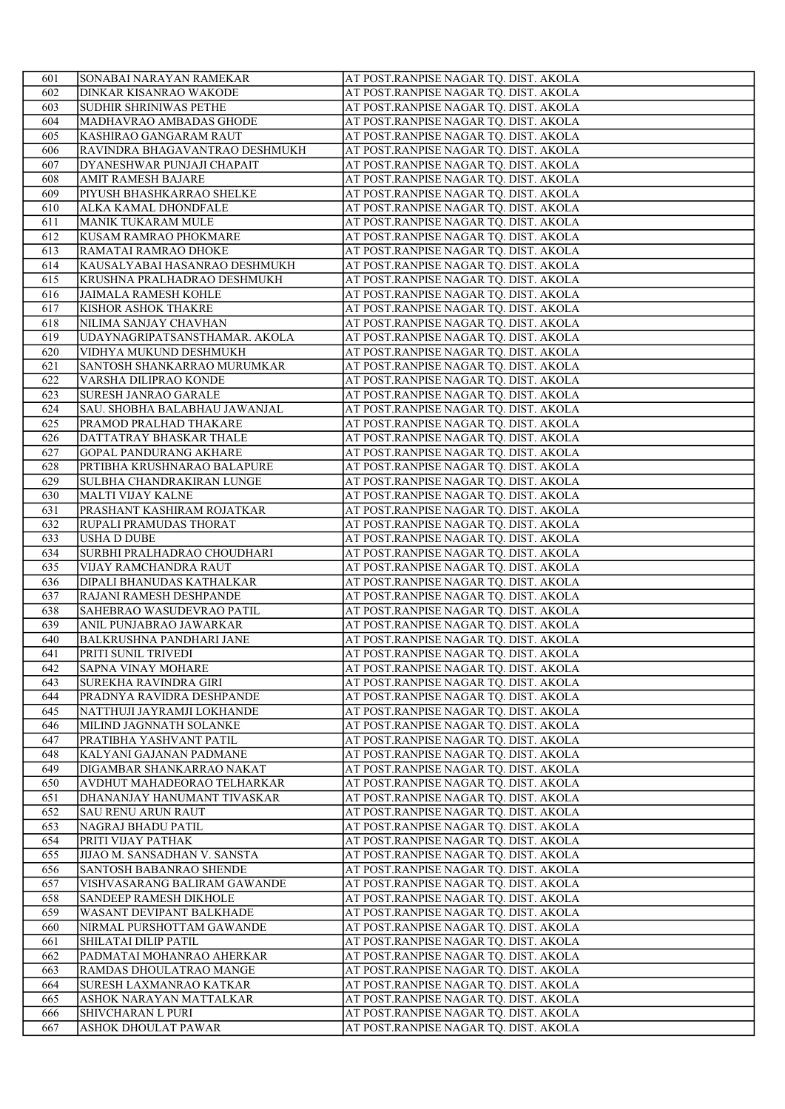| 601        | SONABAI NARAYAN RAMEKAR                             | AT POST.RANPISE NAGAR TQ. DIST. AKOLA                                          |
|------------|-----------------------------------------------------|--------------------------------------------------------------------------------|
| 602        | DINKAR KISANRAO WAKODE                              | AT POST.RANPISE NAGAR TQ. DIST. AKOLA                                          |
| 603        | SUDHIR SHRINIWAS PETHE                              | AT POST.RANPISE NAGAR TQ. DIST. AKOLA                                          |
| 604        | MADHAVRAO AMBADAS GHODE                             | AT POST.RANPISE NAGAR TQ. DIST. AKOLA                                          |
| 605        | KASHIRAO GANGARAM RAUT                              | AT POST.RANPISE NAGAR TQ. DIST. AKOLA                                          |
| 606        | RAVINDRA BHAGAVANTRAO DESHMUKH                      | AT POST.RANPISE NAGAR TQ. DIST. AKOLA                                          |
| 607        | DYANESHWAR PUNJAJI CHAPAIT                          | AT POST.RANPISE NAGAR TQ. DIST. AKOLA                                          |
| 608        | <b>AMIT RAMESH BAJARE</b>                           | AT POST.RANPISE NAGAR TQ. DIST. AKOLA                                          |
| 609        | PIYUSH BHASHKARRAO SHELKE                           | AT POST.RANPISE NAGAR TQ. DIST. AKOLA                                          |
| 610        | ALKA KAMAL DHONDFALE                                | AT POST.RANPISE NAGAR TQ. DIST. AKOLA                                          |
| 611        | MANIK TUKARAM MULE                                  | AT POST.RANPISE NAGAR TQ. DIST. AKOLA                                          |
| 612        | KUSAM RAMRAO PHOKMARE                               | AT POST.RANPISE NAGAR TQ. DIST. AKOLA                                          |
| 613        | RAMATAI RAMRAO DHOKE                                | AT POST.RANPISE NAGAR TQ. DIST. AKOLA                                          |
| 614        | KAUSALYABAI HASANRAO DESHMUKH                       | AT POST.RANPISE NAGAR TQ. DIST. AKOLA                                          |
| 615        | KRUSHNA PRALHADRAO DESHMUKH                         | AT POST.RANPISE NAGAR TQ. DIST. AKOLA                                          |
| 616        | <b>JAIMALA RAMESH KOHLE</b>                         | AT POST.RANPISE NAGAR TQ. DIST. AKOLA                                          |
| 617        | KISHOR ASHOK THAKRE                                 | AT POST.RANPISE NAGAR TQ. DIST. AKOLA                                          |
| 618        | NILIMA SANJAY CHAVHAN                               | AT POST.RANPISE NAGAR TQ. DIST. AKOLA                                          |
| 619        | UDAYNAGRIPATSANSTHAMAR. AKOLA                       | AT POST.RANPISE NAGAR TQ. DIST. AKOLA                                          |
| 620        | VIDHYA MUKUND DESHMUKH                              | AT POST.RANPISE NAGAR TQ. DIST. AKOLA                                          |
| 621        | SANTOSH SHANKARRAO MURUMKAR                         | AT POST.RANPISE NAGAR TQ. DIST. AKOLA                                          |
| 622        | VARSHA DILIPRAO KONDE                               | AT POST.RANPISE NAGAR TQ. DIST. AKOLA                                          |
| 623        | SURESH JANRAO GARALE                                | AT POST.RANPISE NAGAR TQ. DIST. AKOLA                                          |
| 624        | SAU. SHOBHA BALABHAU JAWANJAL                       | AT POST.RANPISE NAGAR TQ. DIST. AKOLA                                          |
| 625        | PRAMOD PRALHAD THAKARE                              | AT POST.RANPISE NAGAR TQ. DIST. AKOLA                                          |
| 626        | DATTATRAY BHASKAR THALE                             | AT POST.RANPISE NAGAR TQ. DIST. AKOLA                                          |
| 627        | <b>GOPAL PANDURANG AKHARE</b>                       | AT POST.RANPISE NAGAR TQ. DIST. AKOLA                                          |
| 628        | PRTIBHA KRUSHNARAO BALAPURE                         | AT POST.RANPISE NAGAR TQ. DIST. AKOLA                                          |
| 629        | SULBHA CHANDRAKIRAN LUNGE                           | AT POST.RANPISE NAGAR TQ. DIST. AKOLA                                          |
| 630        | MALTI VIJAY KALNE                                   | AT POST.RANPISE NAGAR TQ. DIST. AKOLA                                          |
|            |                                                     | AT POST.RANPISE NAGAR TQ. DIST. AKOLA                                          |
| 631        | PRASHANT KASHIRAM ROJATKAR                          | AT POST.RANPISE NAGAR TQ. DIST. AKOLA                                          |
| 632        | <b>RUPALI PRAMUDAS THORAT</b><br><b>USHA D DUBE</b> |                                                                                |
| 633<br>634 |                                                     | AT POST.RANPISE NAGAR TQ. DIST. AKOLA                                          |
| 635        | SURBHI PRALHADRAO CHOUDHARI                         | AT POST.RANPISE NAGAR TQ. DIST. AKOLA                                          |
| 636        | VIJAY RAMCHANDRA RAUT                               | AT POST.RANPISE NAGAR TQ. DIST. AKOLA<br>AT POST.RANPISE NAGAR TQ. DIST. AKOLA |
|            | DIPALI BHANUDAS KATHALKAR                           |                                                                                |
| 637        | RAJANI RAMESH DESHPANDE                             | AT POST.RANPISE NAGAR TQ. DIST. AKOLA<br>AT POST.RANPISE NAGAR TQ. DIST. AKOLA |
| 638        | SAHEBRAO WASUDEVRAO PATIL                           |                                                                                |
| 639        | ANIL PUNJABRAO JAWARKAR                             | AT POST.RANPISE NAGAR TQ. DIST. AKOLA                                          |
| 640<br>641 | <b>BALKRUSHNA PANDHARI JANE</b>                     | AT POST.RANPISE NAGAR TQ. DIST. AKOLA                                          |
|            | PRITI SUNIL TRIVEDI                                 | AT POST.RANPISE NAGAR TQ. DIST. AKOLA                                          |
| 642        | <b>SAPNA VINAY MOHARE</b>                           | AT POST.RANPISE NAGAR TQ. DIST. AKOLA                                          |
| 643        | <b>SUREKHA RAVINDRA GIRI</b>                        | AT POST.RANPISE NAGAR TQ. DIST. AKOLA                                          |
| 644        | PRADNYA RAVIDRA DESHPANDE                           | AT POST.RANPISE NAGAR TQ. DIST. AKOLA                                          |
| 645        | NATTHUJI JAYRAMJI LOKHANDE                          | AT POST.RANPISE NAGAR TQ. DIST. AKOLA                                          |
| 646        | MILIND JAGNNATH SOLANKE                             | AT POST.RANPISE NAGAR TQ. DIST. AKOLA                                          |
| 647        | PRATIBHA YASHVANT PATIL                             | AT POST.RANPISE NAGAR TQ. DIST. AKOLA                                          |
| 648        | KALYANI GAJANAN PADMANE                             | AT POST.RANPISE NAGAR TQ. DIST. AKOLA                                          |
| 649        | DIGAMBAR SHANKARRAO NAKAT                           | AT POST.RANPISE NAGAR TQ. DIST. AKOLA                                          |
| 650        | AVDHUT MAHADEORAO TELHARKAR                         | AT POST.RANPISE NAGAR TO. DIST. AKOLA                                          |
| 651        | DHANANJAY HANUMANT TIVASKAR                         | AT POST.RANPISE NAGAR TQ. DIST. AKOLA                                          |
| 652        | <b>SAU RENU ARUN RAUT</b>                           | AT POST.RANPISE NAGAR TQ. DIST. AKOLA                                          |
| 653        | NAGRAJ BHADU PATIL                                  | AT POST.RANPISE NAGAR TQ. DIST. AKOLA                                          |
| 654        | PRITI VIJAY PATHAK                                  | AT POST.RANPISE NAGAR TQ. DIST. AKOLA                                          |
| 655        | JIJAO M. SANSADHAN V. SANSTA                        | AT POST.RANPISE NAGAR TQ. DIST. AKOLA                                          |
| 656        | SANTOSH BABANRAO SHENDE                             | AT POST.RANPISE NAGAR TQ. DIST. AKOLA                                          |
| 657        | VISHVASARANG BALIRAM GAWANDE                        | AT POST.RANPISE NAGAR TQ. DIST. AKOLA                                          |
| 658        | <b>SANDEEP RAMESH DIKHOLE</b>                       | AT POST.RANPISE NAGAR TQ. DIST. AKOLA                                          |
| 659        | WASANT DEVIPANT BALKHADE                            | AT POST.RANPISE NAGAR TQ. DIST. AKOLA                                          |
| 660        | NIRMAL PURSHOTTAM GAWANDE                           | AT POST.RANPISE NAGAR TQ. DIST. AKOLA                                          |
| 661        | SHILATAI DILIP PATIL                                | AT POST.RANPISE NAGAR TQ. DIST. AKOLA                                          |
| 662        | PADMATAI MOHANRAO AHERKAR                           | AT POST.RANPISE NAGAR TQ. DIST. AKOLA                                          |
| 663        | RAMDAS DHOULATRAO MANGE                             | AT POST.RANPISE NAGAR TQ. DIST. AKOLA                                          |
| 664        | SURESH LAXMANRAO KATKAR                             | AT POST.RANPISE NAGAR TQ. DIST. AKOLA                                          |
| 665        | ASHOK NARAYAN MATTALKAR                             | AT POST.RANPISE NAGAR TQ. DIST. AKOLA                                          |
| 666        | SHIVCHARAN L PURI                                   | AT POST.RANPISE NAGAR TQ. DIST. AKOLA                                          |
| 667        | ASHOK DHOULAT PAWAR                                 | AT POST.RANPISE NAGAR TQ. DIST. AKOLA                                          |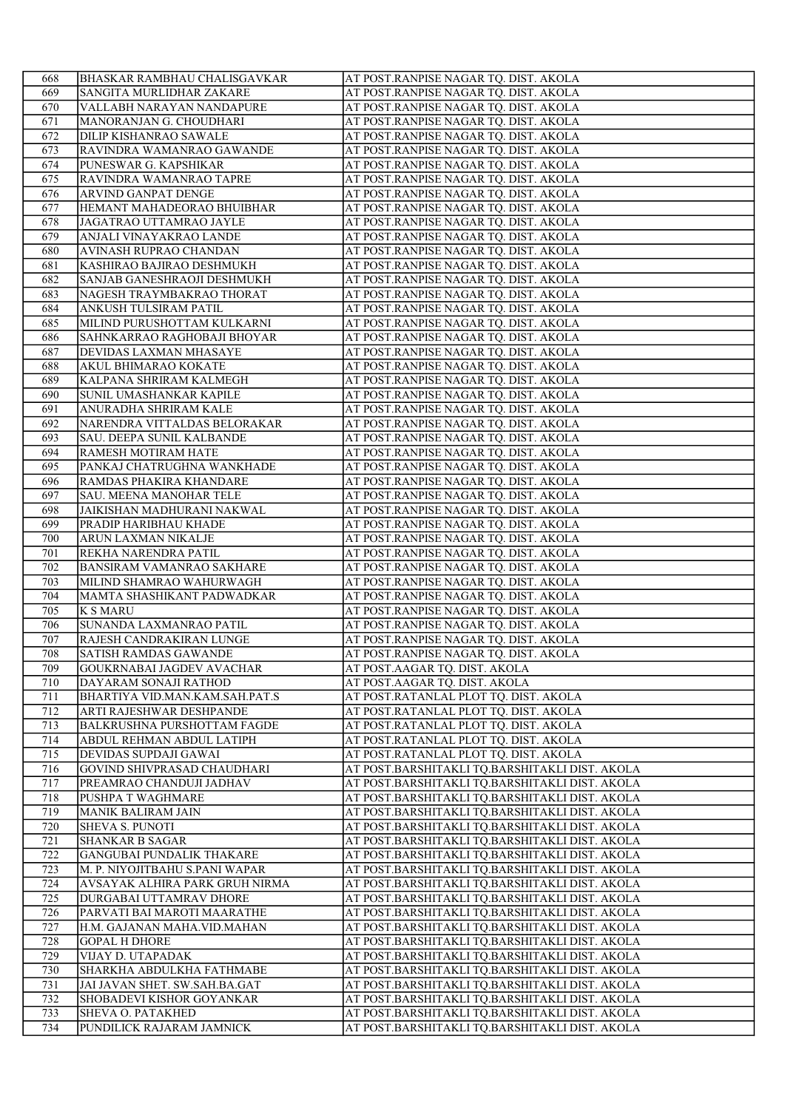| 668        | <b>BHASKAR RAMBHAU CHALISGAVKAR</b>                | AT POST.RANPISE NAGAR TQ. DIST. AKOLA                                                            |
|------------|----------------------------------------------------|--------------------------------------------------------------------------------------------------|
| 669        | SANGITA MURLIDHAR ZAKARE                           | AT POST.RANPISE NAGAR TQ. DIST. AKOLA                                                            |
| 670        | VALLABH NARAYAN NANDAPURE                          | AT POST.RANPISE NAGAR TQ. DIST. AKOLA                                                            |
| 671        | MANORANJAN G. CHOUDHARI                            | AT POST.RANPISE NAGAR TQ. DIST. AKOLA                                                            |
| 672        | DILIP KISHANRAO SAWALE                             | AT POST.RANPISE NAGAR TQ. DIST. AKOLA                                                            |
| 673        | RAVINDRA WAMANRAO GAWANDE                          | AT POST.RANPISE NAGAR TQ. DIST. AKOLA                                                            |
| 674        | PUNESWAR G. KAPSHIKAR                              | AT POST.RANPISE NAGAR TQ. DIST. AKOLA                                                            |
| 675        | RAVINDRA WAMANRAO TAPRE                            | AT POST.RANPISE NAGAR TQ. DIST. AKOLA                                                            |
| 676        | ARVIND GANPAT DENGE                                | AT POST.RANPISE NAGAR TQ. DIST. AKOLA                                                            |
| 677        | HEMANT MAHADEORAO BHUIBHAR                         | AT POST.RANPISE NAGAR TQ. DIST. AKOLA                                                            |
| 678        | JAGATRAO UTTAMRAO JAYLE                            | AT POST.RANPISE NAGAR TQ. DIST. AKOLA                                                            |
| 679        | ANJALI VINAYAKRAO LANDE                            | AT POST.RANPISE NAGAR TQ. DIST. AKOLA                                                            |
| 680        | AVINASH RUPRAO CHANDAN                             | AT POST.RANPISE NAGAR TQ. DIST. AKOLA                                                            |
| 681        | KASHIRAO BAJIRAO DESHMUKH                          | AT POST.RANPISE NAGAR TQ. DIST. AKOLA                                                            |
| 682        | SANJAB GANESHRAOJI DESHMUKH                        | AT POST.RANPISE NAGAR TQ. DIST. AKOLA                                                            |
| 683        | NAGESH TRAYMBAKRAO THORAT                          | AT POST.RANPISE NAGAR TQ. DIST. AKOLA                                                            |
| 684        | ANKUSH TULSIRAM PATIL                              | AT POST.RANPISE NAGAR TQ. DIST. AKOLA                                                            |
| 685        | MILIND PURUSHOTTAM KULKARNI                        | AT POST.RANPISE NAGAR TQ. DIST. AKOLA                                                            |
| 686        | SAHNKARRAO RAGHOBAJI BHOYAR                        | AT POST.RANPISE NAGAR TQ. DIST. AKOLA                                                            |
| 687        | DEVIDAS LAXMAN MHASAYE                             | AT POST.RANPISE NAGAR TQ. DIST. AKOLA                                                            |
| 688        | <b>AKUL BHIMARAO KOKATE</b>                        | AT POST.RANPISE NAGAR TQ. DIST. AKOLA                                                            |
| 689        | KALPANA SHRIRAM KALMEGH                            | AT POST.RANPISE NAGAR TQ. DIST. AKOLA                                                            |
| 690        | SUNIL UMASHANKAR KAPILE                            | AT POST.RANPISE NAGAR TQ. DIST. AKOLA                                                            |
| 691        | ANURADHA SHRIRAM KALE                              | AT POST.RANPISE NAGAR TQ. DIST. AKOLA                                                            |
| 692        | NARENDRA VITTALDAS BELORAKAR                       | AT POST.RANPISE NAGAR TQ. DIST. AKOLA                                                            |
| 693        | <b>SAU. DEEPA SUNIL KALBANDE</b>                   | AT POST.RANPISE NAGAR TQ. DIST. AKOLA                                                            |
| 694        | RAMESH MOTIRAM HATE                                | AT POST.RANPISE NAGAR TQ. DIST. AKOLA                                                            |
| 695        | PANKAJ CHATRUGHNA WANKHADE                         | AT POST.RANPISE NAGAR TQ. DIST. AKOLA                                                            |
| 696        | RAMDAS PHAKIRA KHANDARE                            | AT POST.RANPISE NAGAR TQ. DIST. AKOLA                                                            |
| 697        | <b>SAU. MEENA MANOHAR TELE</b>                     | AT POST.RANPISE NAGAR TQ. DIST. AKOLA                                                            |
| 698        | JAIKISHAN MADHURANI NAKWAL                         | AT POST.RANPISE NAGAR TQ. DIST. AKOLA                                                            |
| 699        | PRADIP HARIBHAU KHADE                              | AT POST.RANPISE NAGAR TQ. DIST. AKOLA                                                            |
| 700        | ARUN LAXMAN NIKALJE                                | AT POST.RANPISE NAGAR TQ. DIST. AKOLA                                                            |
| 701        | REKHA NARENDRA PATIL                               | AT POST.RANPISE NAGAR TQ. DIST. AKOLA                                                            |
| 702        | <b>BANSIRAM VAMANRAO SAKHARE</b>                   | AT POST.RANPISE NAGAR TQ. DIST. AKOLA                                                            |
| 703        | MILIND SHAMRAO WAHURWAGH                           | AT POST.RANPISE NAGAR TQ. DIST. AKOLA                                                            |
| 704        | MAMTA SHASHIKANT PADWADKAR                         | AT POST.RANPISE NAGAR TQ. DIST. AKOLA                                                            |
| 705        | <b>K S MARU</b>                                    | AT POST.RANPISE NAGAR TQ. DIST. AKOLA                                                            |
| 706        | SUNANDA LAXMANRAO PATIL                            | AT POST.RANPISE NAGAR TQ. DIST. AKOLA                                                            |
| 707        | RAJESH CANDRAKIRAN LUNGE                           | AT POST.RANPISE NAGAR TQ. DIST. AKOLA                                                            |
| 708        | <b>SATISH RAMDAS GAWANDE</b>                       | AT POST.RANPISE NAGAR TQ. DIST. AKOLA                                                            |
| 709        | GOUKRNABAI JAGDEV AVACHAR                          | AT POST.AAGAR TQ. DIST. AKOLA                                                                    |
| 710        | DAYARAM SONAJI RATHOD                              | AT POST.AAGAR TQ. DIST. AKOLA                                                                    |
| 711        | BHARTIYA VID.MAN.KAM.SAH.PAT.S                     | AT POST.RATANLAL PLOT TQ. DIST. AKOLA                                                            |
|            |                                                    | AT POST.RATANLAL PLOT TQ. DIST. AKOLA                                                            |
| 712<br>713 | ARTI RAJESHWAR DESHPANDE                           |                                                                                                  |
|            | <b>BALKRUSHNA PURSHOTTAM FAGDE</b>                 | AT POST.RATANLAL PLOT TQ. DIST. AKOLA                                                            |
| 714        | ABDUL REHMAN ABDUL LATIPH<br>DEVIDAS SUPDAJI GAWAI | AT POST.RATANLAL PLOT TQ. DIST. AKOLA<br>AT POST.RATANLAL PLOT TQ. DIST. AKOLA                   |
| 715        | GOVIND SHIVPRASAD CHAUDHARI                        |                                                                                                  |
| 716        | PREAMRAO CHANDUJI JADHAV                           | AT POST.BARSHITAKLI TQ.BARSHITAKLI DIST. AKOLA<br>AT POST.BARSHITAKLI TQ.BARSHITAKLI DIST. AKOLA |
| 717<br>718 |                                                    |                                                                                                  |
| 719        | PUSHPA T WAGHMARE<br><b>MANIK BALIRAM JAIN</b>     | AT POST.BARSHITAKLI TQ.BARSHITAKLI DIST. AKOLA                                                   |
|            |                                                    | AT POST.BARSHITAKLI TQ.BARSHITAKLI DIST. AKOLA                                                   |
| 720        | <b>SHEVA S. PUNOTI</b>                             | AT POST.BARSHITAKLI TQ.BARSHITAKLI DIST. AKOLA                                                   |
| 721        | <b>SHANKAR B SAGAR</b>                             | AT POST.BARSHITAKLI TQ.BARSHITAKLI DIST. AKOLA                                                   |
| 722        | <b>GANGUBAI PUNDALIK THAKARE</b>                   | AT POST.BARSHITAKLI TQ.BARSHITAKLI DIST. AKOLA                                                   |
| 723        | M. P. NIYOJITBAHU S.PANI WAPAR                     | AT POST.BARSHITAKLI TQ.BARSHITAKLI DIST. AKOLA                                                   |
| 724        | AVSAYAK ALHIRA PARK GRUH NIRMA                     | AT POST.BARSHITAKLI TQ.BARSHITAKLI DIST. AKOLA                                                   |
| 725        | DURGABAI UTTAMRAV DHORE                            | AT POST.BARSHITAKLI TQ.BARSHITAKLI DIST. AKOLA                                                   |
| 726        | PARVATI BAI MAROTI MAARATHE                        | AT POST.BARSHITAKLI TQ.BARSHITAKLI DIST. AKOLA                                                   |
| 727        | H.M. GAJANAN MAHA.VID.MAHAN                        | AT POST.BARSHITAKLI TQ.BARSHITAKLI DIST. AKOLA                                                   |
| 728        | <b>GOPAL H DHORE</b>                               | AT POST.BARSHITAKLI TQ.BARSHITAKLI DIST. AKOLA                                                   |
| 729        | VIJAY D. UTAPADAK                                  | AT POST.BARSHITAKLI TQ.BARSHITAKLI DIST. AKOLA                                                   |
| 730        | SHARKHA ABDULKHA FATHMABE                          | AT POST.BARSHITAKLI TQ.BARSHITAKLI DIST. AKOLA                                                   |
| 731        | JAI JAVAN SHET. SW.SAH.BA.GAT                      | AT POST.BARSHITAKLI TQ.BARSHITAKLI DIST. AKOLA                                                   |
| 732        | <b>SHOBADEVI KISHOR GOYANKAR</b>                   | AT POST.BARSHITAKLI TQ.BARSHITAKLI DIST. AKOLA                                                   |
| 733        | <b>SHEVA O. PATAKHED</b>                           | AT POST.BARSHITAKLI TQ.BARSHITAKLI DIST. AKOLA                                                   |
| 734        | PUNDILICK RAJARAM JAMNICK                          | AT POST.BARSHITAKLI TQ.BARSHITAKLI DIST. AKOLA                                                   |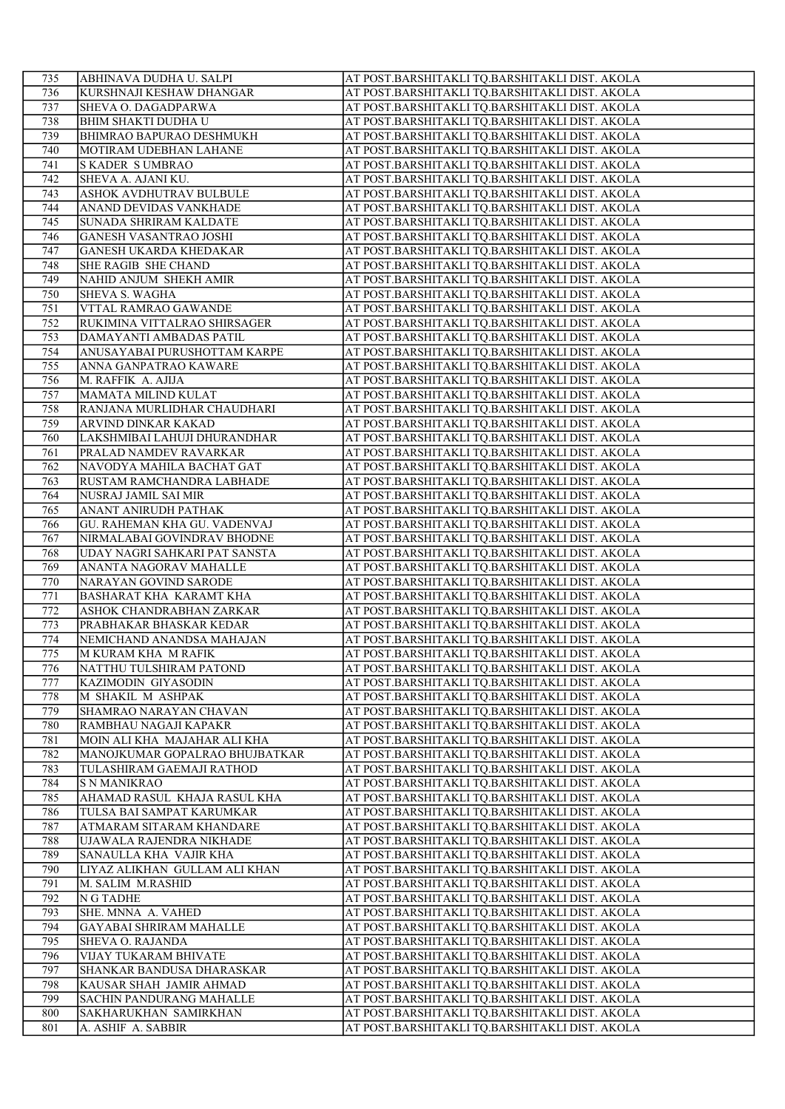| 735        | ABHINAVA DUDHA U. SALPI                             | AT POST.BARSHITAKLI TQ.BARSHITAKLI DIST. AKOLA                                                   |
|------------|-----------------------------------------------------|--------------------------------------------------------------------------------------------------|
| 736        | KURSHNAJI KESHAW DHANGAR                            | AT POST.BARSHITAKLI TQ.BARSHITAKLI DIST. AKOLA                                                   |
| 737        | SHEVA O. DAGADPARWA                                 | AT POST.BARSHITAKLI TQ.BARSHITAKLI DIST. AKOLA                                                   |
| 738        | <b>BHIM SHAKTI DUDHA U</b>                          | AT POST.BARSHITAKLI TQ.BARSHITAKLI DIST. AKOLA                                                   |
| 739        | BHIMRAO BAPURAO DESHMUKH                            | AT POST.BARSHITAKLI TQ.BARSHITAKLI DIST. AKOLA                                                   |
| 740        | MOTIRAM UDEBHAN LAHANE                              | AT POST.BARSHITAKLI TQ.BARSHITAKLI DIST. AKOLA                                                   |
| 741        | <b>SKADER SUMBRAO</b>                               | AT POST.BARSHITAKLI TQ.BARSHITAKLI DIST. AKOLA                                                   |
| 742        | SHEVA A. AJANI KU.                                  | AT POST.BARSHITAKLI TQ.BARSHITAKLI DIST. AKOLA                                                   |
| 743        | ASHOK AVDHUTRAV BULBULE                             | AT POST.BARSHITAKLI TQ.BARSHITAKLI DIST. AKOLA                                                   |
| 744        | ANAND DEVIDAS VANKHADE                              | AT POST.BARSHITAKLI TQ.BARSHITAKLI DIST. AKOLA                                                   |
| 745        | SUNADA SHRIRAM KALDATE                              | AT POST.BARSHITAKLI TQ.BARSHITAKLI DIST. AKOLA                                                   |
| 746        | <b>GANESH VASANTRAO JOSHI</b>                       | AT POST.BARSHITAKLI TQ.BARSHITAKLI DIST. AKOLA                                                   |
| 747        | <b>GANESH UKARDA KHEDAKAR</b>                       | AT POST.BARSHITAKLI TQ.BARSHITAKLI DIST. AKOLA                                                   |
| 748        | SHE RAGIB SHE CHAND                                 | AT POST.BARSHITAKLI TQ.BARSHITAKLI DIST. AKOLA                                                   |
| 749        | NAHID ANJUM SHEKH AMIR                              | AT POST.BARSHITAKLI TQ.BARSHITAKLI DIST. AKOLA                                                   |
| 750        | SHEVA S. WAGHA                                      | AT POST.BARSHITAKLI TQ.BARSHITAKLI DIST. AKOLA                                                   |
| 751        | VTTAL RAMRAO GAWANDE                                | AT POST.BARSHITAKLI TQ.BARSHITAKLI DIST. AKOLA                                                   |
| 752        | RUKIMINA VITTALRAO SHIRSAGER                        | AT POST.BARSHITAKLI TQ.BARSHITAKLI DIST. AKOLA                                                   |
| 753        | DAMAYANTI AMBADAS PATIL                             | AT POST.BARSHITAKLI TQ.BARSHITAKLI DIST. AKOLA                                                   |
| 754        | ANUSAYABAI PURUSHOTTAM KARPE                        | AT POST.BARSHITAKLI TQ.BARSHITAKLI DIST. AKOLA                                                   |
| 755        | ANNA GANPATRAO KAWARE                               | AT POST.BARSHITAKLI TQ.BARSHITAKLI DIST. AKOLA                                                   |
| 756        | M. RAFFIK A. AJIJA                                  | AT POST.BARSHITAKLI TQ.BARSHITAKLI DIST. AKOLA                                                   |
| 757        | MAMATA MILIND KULAT                                 | AT POST.BARSHITAKLI TQ.BARSHITAKLI DIST. AKOLA                                                   |
| 758        | RANJANA MURLIDHAR CHAUDHARI                         | AT POST.BARSHITAKLI TQ.BARSHITAKLI DIST. AKOLA                                                   |
| 759        | ARVIND DINKAR KAKAD                                 | AT POST.BARSHITAKLI TQ.BARSHITAKLI DIST. AKOLA                                                   |
| 760        | LAKSHMIBAI LAHUJI DHURANDHAR                        | AT POST.BARSHITAKLI TQ.BARSHITAKLI DIST. AKOLA                                                   |
| 761        | PRALAD NAMDEV RAVARKAR                              | AT POST.BARSHITAKLI TQ.BARSHITAKLI DIST. AKOLA                                                   |
| 762        | NAVODYA MAHILA BACHAT GAT                           | AT POST.BARSHITAKLI TQ.BARSHITAKLI DIST. AKOLA                                                   |
| 763        | RUSTAM RAMCHANDRA LABHADE                           | AT POST.BARSHITAKLI TQ.BARSHITAKLI DIST. AKOLA                                                   |
| 764        | NUSRAJ JAMIL SAI MIR                                | AT POST.BARSHITAKLI TQ.BARSHITAKLI DIST. AKOLA                                                   |
| 765        | ANANT ANIRUDH PATHAK                                | AT POST.BARSHITAKLI TQ.BARSHITAKLI DIST. AKOLA                                                   |
| 766        | <b>GU. RAHEMAN KHA GU. VADENVAJ</b>                 | AT POST.BARSHITAKLI TQ.BARSHITAKLI DIST. AKOLA                                                   |
| 767        | NIRMALABAI GOVINDRAV BHODNE                         | AT POST.BARSHITAKLI TQ.BARSHITAKLI DIST. AKOLA                                                   |
| 768        | UDAY NAGRI SAHKARI PAT SANSTA                       | AT POST.BARSHITAKLI TQ.BARSHITAKLI DIST. AKOLA                                                   |
| 769        | ANANTA NAGORAV MAHALLE                              | AT POST.BARSHITAKLI TQ.BARSHITAKLI DIST. AKOLA                                                   |
| 770        | NARAYAN GOVIND SARODE                               | AT POST.BARSHITAKLI TQ.BARSHITAKLI DIST. AKOLA                                                   |
|            | BASHARAT KHA KARAMT KHA                             | AT POST.BARSHITAKLI TQ.BARSHITAKLI DIST. AKOLA                                                   |
| 771        |                                                     |                                                                                                  |
| 772<br>773 | ASHOK CHANDRABHAN ZARKAR<br>PRABHAKAR BHASKAR KEDAR | AT POST.BARSHITAKLI TQ.BARSHITAKLI DIST. AKOLA<br>AT POST.BARSHITAKLI TQ.BARSHITAKLI DIST. AKOLA |
| 774        | NEMICHAND ANANDSA MAHAJAN                           | AT POST.BARSHITAKLI TQ.BARSHITAKLI DIST. AKOLA                                                   |
| 775        | M KURAM KHA M RAFIK                                 | AT POST.BARSHITAKLI TQ.BARSHITAKLI DIST. AKOLA                                                   |
|            | NATTHU TULSHIRAM PATOND                             | AT POST.BARSHITAKLI TQ.BARSHITAKLI DIST. AKOLA                                                   |
| 776        |                                                     |                                                                                                  |
| 777<br>778 | KAZIMODIN GIYASODIN<br>M SHAKIL M ASHPAK            | AT POST.BARSHITAKLI TQ.BARSHITAKLI DIST. AKOLA<br>AT POST.BARSHITAKLI TQ.BARSHITAKLI DIST. AKOLA |
|            |                                                     |                                                                                                  |
| 779        | SHAMRAO NARAYAN CHAVAN                              | AT POST.BARSHITAKLI TQ.BARSHITAKLI DIST. AKOLA                                                   |
| 780        | RAMBHAU NAGAJI KAPAKR                               | AT POST.BARSHITAKLI TQ.BARSHITAKLI DIST. AKOLA                                                   |
| 781        | MOIN ALI KHA MAJAHAR ALI KHA                        | AT POST.BARSHITAKLI TQ.BARSHITAKLI DIST. AKOLA                                                   |
| 782        | MANOJKUMAR GOPALRAO BHUJBATKAR                      | AT POST.BARSHITAKLI TQ.BARSHITAKLI DIST. AKOLA                                                   |
| 783        | TULASHIRAM GAEMAJI RATHOD                           | AT POST.BARSHITAKLI TQ.BARSHITAKLI DIST. AKOLA                                                   |
| 784        | S N MANIKRAO                                        | AT POST.BARSHITAKLI TQ.BARSHITAKLI DIST. AKOLA                                                   |
| 785        | AHAMAD RASUL KHAJA RASUL KHA                        | AT POST.BARSHITAKLI TQ.BARSHITAKLI DIST. AKOLA                                                   |
| 786        | TULSA BAI SAMPAT KARUMKAR                           | AT POST.BARSHITAKLI TQ.BARSHITAKLI DIST. AKOLA                                                   |
| 787        | ATMARAM SITARAM KHANDARE                            | AT POST.BARSHITAKLI TQ.BARSHITAKLI DIST. AKOLA                                                   |
| 788        | UJAWALA RAJENDRA NIKHADE                            | AT POST.BARSHITAKLI TQ.BARSHITAKLI DIST. AKOLA                                                   |
| 789        | SANAULLA KHA VAJIR KHA                              | AT POST.BARSHITAKLI TQ.BARSHITAKLI DIST. AKOLA                                                   |
| 790        | LIYAZ ALIKHAN GULLAM ALI KHAN                       | AT POST.BARSHITAKLI TQ.BARSHITAKLI DIST. AKOLA                                                   |
| 791        | M. SALIM M.RASHID                                   | AT POST.BARSHITAKLI TQ.BARSHITAKLI DIST. AKOLA                                                   |
| 792        | N G TADHE                                           | AT POST.BARSHITAKLI TQ.BARSHITAKLI DIST. AKOLA                                                   |
| 793        | SHE. MNNA A. VAHED                                  | AT POST.BARSHITAKLI TQ.BARSHITAKLI DIST. AKOLA                                                   |
| 794        | <b>GAYABAI SHRIRAM MAHALLE</b>                      | AT POST.BARSHITAKLI TQ.BARSHITAKLI DIST. AKOLA                                                   |
| 795        | <b>SHEVA O. RAJANDA</b>                             | AT POST.BARSHITAKLI TQ.BARSHITAKLI DIST. AKOLA                                                   |
| 796        | VIJAY TUKARAM BHIVATE                               | AT POST.BARSHITAKLI TQ.BARSHITAKLI DIST. AKOLA                                                   |
| 797        | SHANKAR BANDUSA DHARASKAR                           | AT POST.BARSHITAKLI TQ.BARSHITAKLI DIST. AKOLA                                                   |
| 798        | KAUSAR SHAH JAMIR AHMAD                             | AT POST.BARSHITAKLI TQ.BARSHITAKLI DIST. AKOLA                                                   |
| 799        | <b>SACHIN PANDURANG MAHALLE</b>                     | AT POST.BARSHITAKLI TQ.BARSHITAKLI DIST. AKOLA                                                   |
| 800        | SAKHARUKHAN SAMIRKHAN                               | AT POST.BARSHITAKLI TQ.BARSHITAKLI DIST. AKOLA                                                   |
| 801        | A. ASHIF A. SABBIR                                  | AT POST.BARSHITAKLI TQ.BARSHITAKLI DIST. AKOLA                                                   |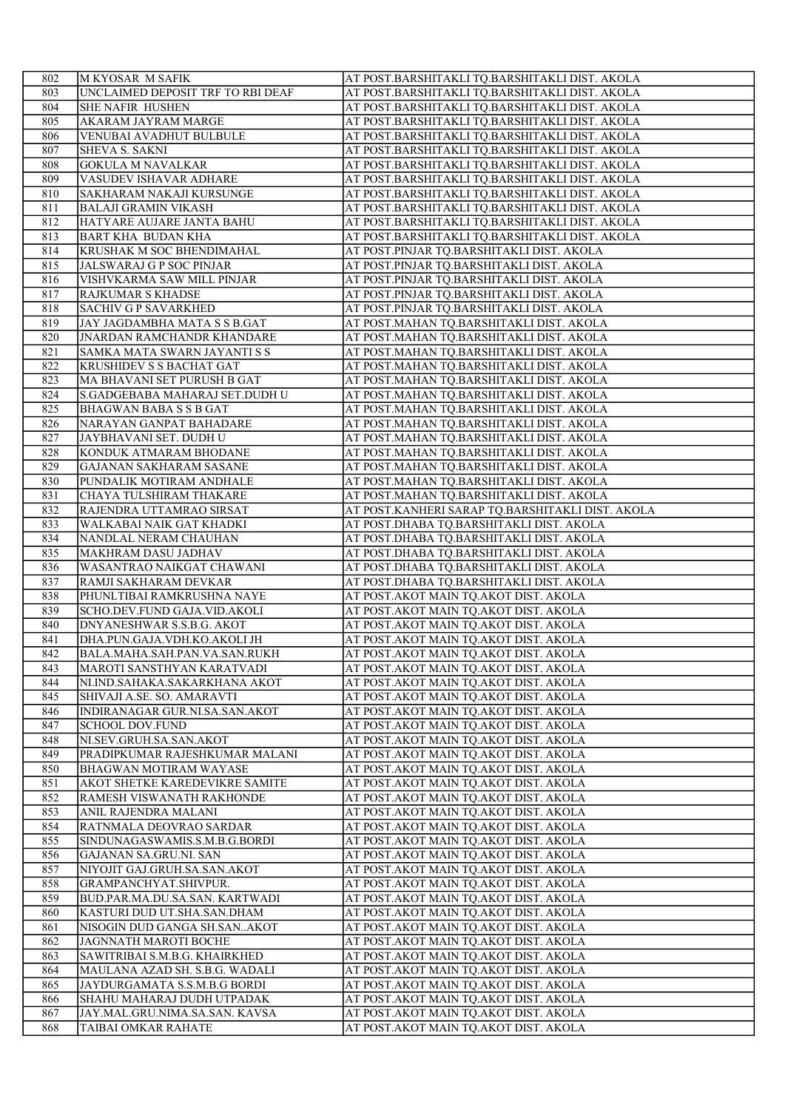| 802        | M KYOSAR M SAFIK                                                | AT POST.BARSHITAKLI TQ.BARSHITAKLI DIST. AKOLA                                         |
|------------|-----------------------------------------------------------------|----------------------------------------------------------------------------------------|
| 803        | UNCLAIMED DEPOSIT TRF TO RBI DEAF                               | AT POST.BARSHITAKLI TQ.BARSHITAKLI DIST. AKOLA                                         |
| 804        | <b>SHE NAFIR HUSHEN</b>                                         | AT POST.BARSHITAKLI TQ.BARSHITAKLI DIST. AKOLA                                         |
| 805        | AKARAM JAYRAM MARGE                                             | AT POST.BARSHITAKLI TQ.BARSHITAKLI DIST. AKOLA                                         |
| 806        | <b>VENUBAI AVADHUT BULBULE</b>                                  | AT POST.BARSHITAKLI TQ.BARSHITAKLI DIST. AKOLA                                         |
| 807        | SHEVA S. SAKNI                                                  | AT POST.BARSHITAKLI TQ.BARSHITAKLI DIST. AKOLA                                         |
| 808        | <b>GOKULA M NAVALKAR</b>                                        | AT POST.BARSHITAKLI TQ.BARSHITAKLI DIST. AKOLA                                         |
| 809        | VASUDEV ISHAVAR ADHARE                                          | AT POST.BARSHITAKLI TQ.BARSHITAKLI DIST. AKOLA                                         |
| 810        | SAKHARAM NAKAJI KURSUNGE                                        | AT POST.BARSHITAKLI TQ.BARSHITAKLI DIST. AKOLA                                         |
| 811        | <b>BALAJI GRAMIN VIKASH</b>                                     | AT POST.BARSHITAKLI TQ.BARSHITAKLI DIST. AKOLA                                         |
| 812        | HATYARE AUJARE JANTA BAHU                                       | AT POST.BARSHITAKLI TQ.BARSHITAKLI DIST. AKOLA                                         |
| 813        | <b>BART KHA BUDAN KHA</b>                                       | AT POST.BARSHITAKLI TQ.BARSHITAKLI DIST. AKOLA                                         |
| 814<br>815 | <b>KRUSHAK M SOC BHENDIMAHAL</b>                                | AT POST.PINJAR TQ.BARSHITAKLI DIST. AKOLA<br>AT POST.PINJAR TQ.BARSHITAKLI DIST. AKOLA |
|            | JALSWARAJ G P SOC PINJAR<br>VISHVKARMA SAW MILL PINJAR          | AT POST.PINJAR TQ.BARSHITAKLI DIST. AKOLA                                              |
| 816<br>817 | RAJKUMAR S KHADSE                                               | AT POST.PINJAR TQ.BARSHITAKLI DIST. AKOLA                                              |
| 818        | <b>SACHIV G P SAVARKHED</b>                                     | AT POST.PINJAR TQ.BARSHITAKLI DIST. AKOLA                                              |
| 819        | JAY JAGDAMBHA MATA S S B.GAT                                    | AT POST.MAHAN TQ.BARSHITAKLI DIST. AKOLA                                               |
| 820        | <b>JNARDAN RAMCHANDR KHANDARE</b>                               | AT POST.MAHAN TQ.BARSHITAKLI DIST. AKOLA                                               |
| 821        | SAMKA MATA SWARN JAYANTI S S                                    | AT POST.MAHAN TQ.BARSHITAKLI DIST. AKOLA                                               |
| 822        | KRUSHIDEV S S BACHAT GAT                                        | AT POST.MAHAN TQ.BARSHITAKLI DIST. AKOLA                                               |
| 823        | MA BHAVANI SET PURUSH B GAT                                     | AT POST.MAHAN TQ.BARSHITAKLI DIST. AKOLA                                               |
| 824        | S.GADGEBABA MAHARAJ SET.DUDH U                                  | AT POST.MAHAN TQ.BARSHITAKLI DIST. AKOLA                                               |
| 825        | <b>BHAGWAN BABA S S B GAT</b>                                   | AT POST.MAHAN TQ.BARSHITAKLI DIST. AKOLA                                               |
| 826        | NARAYAN GANPAT BAHADARE                                         | AT POST.MAHAN TQ.BARSHITAKLI DIST. AKOLA                                               |
| 827        | JAYBHAVANI SET. DUDH U                                          | AT POST.MAHAN TQ.BARSHITAKLI DIST. AKOLA                                               |
| 828        | KONDUK ATMARAM BHODANE                                          | AT POST.MAHAN TQ.BARSHITAKLI DIST. AKOLA                                               |
| 829        | <b>GAJANAN SAKHARAM SASANE</b>                                  | AT POST.MAHAN TQ.BARSHITAKLI DIST. AKOLA                                               |
| 830        | PUNDALIK MOTIRAM ANDHALE                                        | AT POST.MAHAN TQ.BARSHITAKLI DIST. AKOLA                                               |
| 831        | CHAYA TULSHIRAM THAKARE                                         | AT POST.MAHAN TQ.BARSHITAKLI DIST. AKOLA                                               |
| 832        | RAJENDRA UTTAMRAO SIRSAT                                        | AT POST.KANHERI SARAP TQ.BARSHITAKLI DIST. AKOLA                                       |
| 833        | WALKABAI NAIK GAT KHADKI                                        | AT POST.DHABA TQ.BARSHITAKLI DIST. AKOLA                                               |
| 834<br>835 | NANDLAL NERAM CHAUHAN<br><b>MAKHRAM DASU JADHAV</b>             | AT POST.DHABA TQ.BARSHITAKLI DIST. AKOLA<br>AT POST.DHABA TQ.BARSHITAKLI DIST. AKOLA   |
| 836        | WASANTRAO NAIKGAT CHAWANI                                       | AT POST.DHABA TQ.BARSHITAKLI DIST. AKOLA                                               |
| 837        | RAMJI SAKHARAM DEVKAR                                           | AT POST.DHABA TQ.BARSHITAKLI DIST. AKOLA                                               |
| 838        | PHUNLTIBAI RAMKRUSHNA NAYE                                      | AT POST.AKOT MAIN TQ.AKOT DIST. AKOLA                                                  |
| 839        | SCHO.DEV.FUND GAJA.VID.AKOLI                                    | AT POST.AKOT MAIN TQ.AKOT DIST. AKOLA                                                  |
| 840        | DNYANESHWAR S.S.B.G. AKOT                                       | AT POST.AKOT MAIN TQ.AKOT DIST. AKOLA                                                  |
| 841        | DHA.PUN.GAJA.VDH.KO.AKOLI JH                                    | AT POST.AKOT MAIN TQ.AKOT DIST. AKOLA                                                  |
| 842        | BALA.MAHA.SAH.PAN.VA.SAN.RUKH                                   | AT POST.AKOT MAIN TQ.AKOT DIST. AKOLA                                                  |
| 843        | MAROTI SANSTHYAN KARATVADI                                      | AT POST.AKOT MAIN TQ.AKOT DIST. AKOLA                                                  |
| 844        | NI.IND.SAHAKA.SAKARKHANA AKOT                                   | AT POST.AKOT MAIN TQ.AKOT DIST. AKOLA                                                  |
| 845        | SHIVAJI A.SE. SO. AMARAVTI                                      | AT POST.AKOT MAIN TQ.AKOT DIST. AKOLA                                                  |
| 846        | INDIRANAGAR GUR.NI.SA.SAN.AKOT                                  | AT POST.AKOT MAIN TQ.AKOT DIST. AKOLA                                                  |
| 847        | <b>SCHOOL DOV.FUND</b>                                          | AT POST.AKOT MAIN TQ.AKOT DIST. AKOLA                                                  |
| 848<br>849 | NI.SEV.GRUH.SA.SAN.AKOT<br>PRADIPKUMAR RAJESHKUMAR MALANI       | AT POST.AKOT MAIN TQ.AKOT DIST. AKOLA<br>AT POST.AKOT MAIN TQ.AKOT DIST. AKOLA         |
| 850        | <b>BHAGWAN MOTIRAM WAYASE</b>                                   | AT POST.AKOT MAIN TQ.AKOT DIST. AKOLA                                                  |
| 851        | AKOT SHETKE KAREDEVIKRE SAMITE                                  | AT POST.AKOT MAIN TQ.AKOT DIST. AKOLA                                                  |
| 852        | RAMESH VISWANATH RAKHONDE                                       | AT POST.AKOT MAIN TQ.AKOT DIST. AKOLA                                                  |
| 853        | ANIL RAJENDRA MALANI                                            | AT POST.AKOT MAIN TQ.AKOT DIST. AKOLA                                                  |
| 854        | RATNMALA DEOVRAO SARDAR                                         | AT POST.AKOT MAIN TQ.AKOT DIST. AKOLA                                                  |
| 855        | SINDUNAGASWAMIS.S.M.B.G.BORDI                                   | AT POST.AKOT MAIN TQ.AKOT DIST. AKOLA                                                  |
| 856        | <b>GAJANAN SA.GRU.NI. SAN</b>                                   | AT POST.AKOT MAIN TQ.AKOT DIST. AKOLA                                                  |
| 857        | NIYOJIT GAJ.GRUH.SA.SAN.AKOT                                    | AT POST.AKOT MAIN TQ.AKOT DIST. AKOLA                                                  |
| 858        | GRAMPANCHYAT.SHIVPUR.                                           | AT POST.AKOT MAIN TQ.AKOT DIST. AKOLA                                                  |
| 859        | BUD.PAR.MA.DU.SA.SAN. KARTWADI                                  | AT POST.AKOT MAIN TQ.AKOT DIST. AKOLA                                                  |
| 860        | KASTURI DUD UT.SHA.SAN.DHAM                                     | AT POST.AKOT MAIN TQ.AKOT DIST. AKOLA                                                  |
| 861        | NISOGIN DUD GANGA SH.SANAKOT                                    | AT POST.AKOT MAIN TQ.AKOT DIST. AKOLA                                                  |
| 862        | JAGNNATH MAROTI BOCHE                                           | AT POST.AKOT MAIN TQ.AKOT DIST. AKOLA                                                  |
| 863<br>864 | SAWITRIBAI S.M.B.G. KHAIRKHED<br>MAULANA AZAD SH. S.B.G. WADALI | AT POST.AKOT MAIN TQ.AKOT DIST. AKOLA<br>AT POST.AKOT MAIN TQ.AKOT DIST. AKOLA         |
| 865        | JAYDURGAMATA S.S.M.B.G BORDI                                    | AT POST.AKOT MAIN TQ.AKOT DIST. AKOLA                                                  |
| 866        | SHAHU MAHARAJ DUDH UTPADAK                                      | AT POST.AKOT MAIN TQ.AKOT DIST. AKOLA                                                  |
| 867        | JAY.MAL.GRU.NIMA.SA.SAN. KAVSA                                  | AT POST.AKOT MAIN TQ.AKOT DIST. AKOLA                                                  |
| 868        | TAIBAI OMKAR RAHATE                                             | AT POST.AKOT MAIN TQ.AKOT DIST. AKOLA                                                  |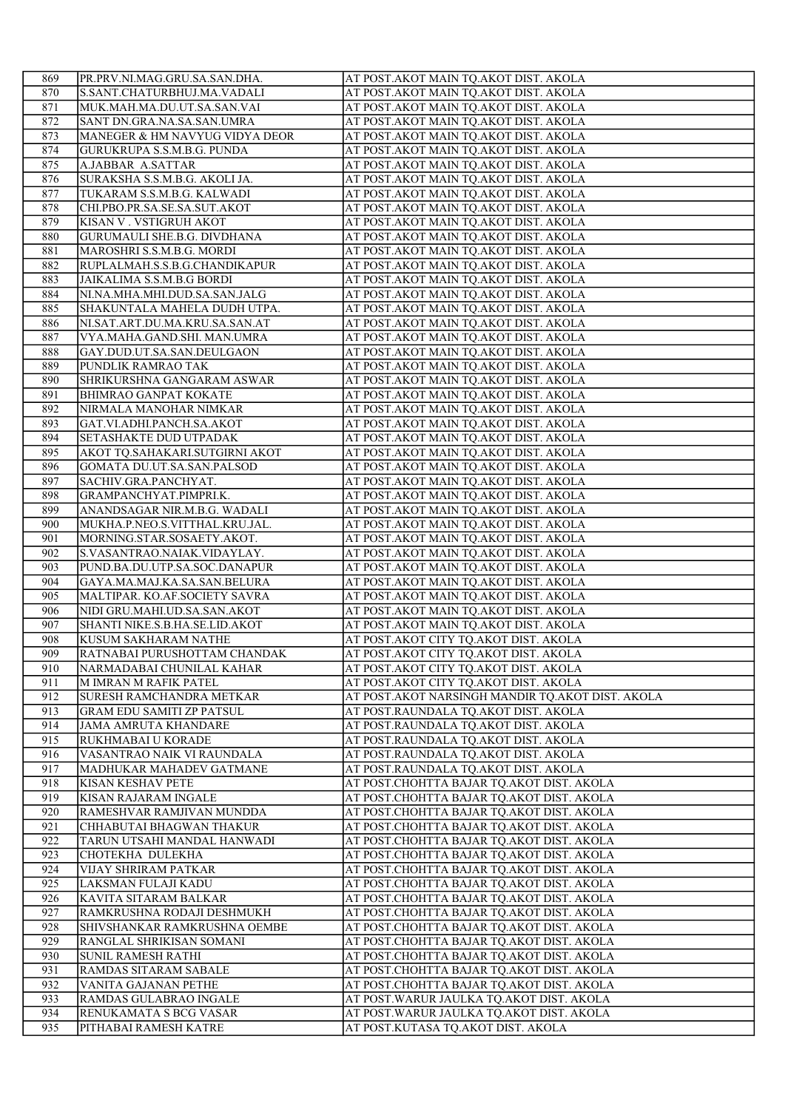| 869        | PR.PRV.NI.MAG.GRU.SA.SAN.DHA.                                | AT POST.AKOT MAIN TQ.AKOT DIST. AKOLA                                                  |
|------------|--------------------------------------------------------------|----------------------------------------------------------------------------------------|
| 870        | S.SANT.CHATURBHUJ.MA.VADALI                                  | AT POST.AKOT MAIN TQ.AKOT DIST. AKOLA                                                  |
| 871        | MUK.MAH.MA.DU.UT.SA.SAN.VAI                                  | AT POST.AKOT MAIN TQ.AKOT DIST. AKOLA                                                  |
| 872        | SANT DN.GRA.NA.SA.SAN.UMRA                                   | AT POST.AKOT MAIN TQ.AKOT DIST. AKOLA                                                  |
| 873        | MANEGER & HM NAVYUG VIDYA DEOR                               | AT POST.AKOT MAIN TQ.AKOT DIST. AKOLA                                                  |
| 874        | <b>GURUKRUPA S.S.M.B.G. PUNDA</b>                            | AT POST.AKOT MAIN TQ.AKOT DIST. AKOLA                                                  |
| 875        | A.JABBAR A.SATTAR                                            | AT POST.AKOT MAIN TQ.AKOT DIST. AKOLA                                                  |
| 876        | SURAKSHA S.S.M.B.G. AKOLI JA.                                | AT POST.AKOT MAIN TQ.AKOT DIST. AKOLA                                                  |
| 877        | TUKARAM S.S.M.B.G. KALWADI                                   | AT POST.AKOT MAIN TQ.AKOT DIST. AKOLA                                                  |
| 878        | CHI.PBO.PR.SA.SE.SA.SUT.AKOT                                 | AT POST.AKOT MAIN TQ.AKOT DIST. AKOLA                                                  |
| 879        | KISAN V. VSTIGRUH AKOT                                       | AT POST.AKOT MAIN TQ.AKOT DIST. AKOLA                                                  |
| 880        | <b>GURUMAULI SHE.B.G. DIVDHANA</b>                           | AT POST.AKOT MAIN TQ.AKOT DIST. AKOLA                                                  |
| 881        | MAROSHRI S.S.M.B.G. MORDI                                    | AT POST. AKOT MAIN TQ. AKOT DIST. AKOLA                                                |
| 882        | RUPLALMAH.S.S.B.G.CHANDIKAPUR                                | AT POST.AKOT MAIN TQ.AKOT DIST. AKOLA                                                  |
| 883<br>884 | JAIKALIMA S.S.M.B.G BORDI<br>NI.NA.MHA.MHI.DUD.SA.SAN.JALG   | AT POST.AKOT MAIN TQ.AKOT DIST. AKOLA<br>AT POST.AKOT MAIN TQ.AKOT DIST. AKOLA         |
| 885        | SHAKUNTALA MAHELA DUDH UTPA.                                 | AT POST.AKOT MAIN TQ.AKOT DIST. AKOLA                                                  |
| 886        | NI.SAT.ART.DU.MA.KRU.SA.SAN.AT                               | AT POST.AKOT MAIN TQ.AKOT DIST. AKOLA                                                  |
| 887        | VYA.MAHA.GAND.SHI. MAN.UMRA                                  | AT POST.AKOT MAIN TQ.AKOT DIST. AKOLA                                                  |
| 888        | GAY.DUD.UT.SA.SAN.DEULGAON                                   | AT POST.AKOT MAIN TQ.AKOT DIST. AKOLA                                                  |
| 889        | PUNDLIK RAMRAO TAK                                           | AT POST.AKOT MAIN TQ.AKOT DIST. AKOLA                                                  |
| 890        | SHRIKURSHNA GANGARAM ASWAR                                   | AT POST.AKOT MAIN TQ.AKOT DIST. AKOLA                                                  |
| 891        | <b>BHIMRAO GANPAT KOKATE</b>                                 | AT POST.AKOT MAIN TQ.AKOT DIST. AKOLA                                                  |
| 892        | NIRMALA MANOHAR NIMKAR                                       | AT POST.AKOT MAIN TQ.AKOT DIST. AKOLA                                                  |
| 893        | GAT.VI.ADHI.PANCH.SA.AKOT                                    | AT POST.AKOT MAIN TQ.AKOT DIST. AKOLA                                                  |
| 894        | SETASHAKTE DUD UTPADAK                                       | AT POST.AKOT MAIN TQ.AKOT DIST. AKOLA                                                  |
| 895        | AKOT TQ.SAHAKARI.SUTGIRNI AKOT                               | AT POST.AKOT MAIN TQ.AKOT DIST. AKOLA                                                  |
| 896        | GOMATA DU.UT.SA.SAN.PALSOD                                   | AT POST.AKOT MAIN TQ.AKOT DIST. AKOLA                                                  |
| 897        | SACHIV.GRA.PANCHYAT.                                         | AT POST.AKOT MAIN TQ.AKOT DIST. AKOLA                                                  |
| 898        | GRAMPANCHYAT.PIMPRI.K.                                       | AT POST.AKOT MAIN TQ.AKOT DIST. AKOLA                                                  |
| 899        | ANANDSAGAR NIR.M.B.G. WADALI                                 | AT POST.AKOT MAIN TQ.AKOT DIST. AKOLA                                                  |
| 900        | MUKHA.P.NEO.S.VITTHAL.KRU.JAL.                               | AT POST.AKOT MAIN TQ.AKOT DIST. AKOLA                                                  |
| 901<br>902 | MORNING.STAR.SOSAETY.AKOT.                                   | AT POST.AKOT MAIN TQ.AKOT DIST. AKOLA                                                  |
| 903        | S.VASANTRAO.NAIAK.VIDAYLAY.<br>PUND.BA.DU.UTP.SA.SOC.DANAPUR | AT POST.AKOT MAIN TQ.AKOT DIST. AKOLA<br>AT POST.AKOT MAIN TQ.AKOT DIST. AKOLA         |
| 904        | GAYA.MA.MAJ.KA.SA.SAN.BELURA                                 | AT POST.AKOT MAIN TQ.AKOT DIST. AKOLA                                                  |
| 905        | MALTIPAR. KO.AF.SOCIETY SAVRA                                | AT POST.AKOT MAIN TQ.AKOT DIST. AKOLA                                                  |
| 906        | NIDI GRU.MAHI.UD.SA.SAN.AKOT                                 | AT POST.AKOT MAIN TQ.AKOT DIST. AKOLA                                                  |
| 907        | SHANTI NIKE.S.B.HA.SE.LID.AKOT                               | AT POST.AKOT MAIN TQ.AKOT DIST. AKOLA                                                  |
| 908        | KUSUM SAKHARAM NATHE                                         | AT POST.AKOT CITY TQ.AKOT DIST. AKOLA                                                  |
| 909        | RATNABAI PURUSHOTTAM CHANDAK                                 | AT POST.AKOT CITY TQ.AKOT DIST. AKOLA                                                  |
| 910        | NARMADABAI CHUNILAL KAHAR                                    | AT POST.AKOT CITY TQ.AKOT DIST. AKOLA                                                  |
| 911        | M IMRAN M RAFIK PATEL                                        | AT POST.AKOT CITY TQ.AKOT DIST. AKOLA                                                  |
| 912        | SURESH RAMCHANDRA METKAR                                     | AT POST.AKOT NARSINGH MANDIR TQ.AKOT DIST. AKOLA                                       |
| 913        | <b>GRAM EDU SAMITI ZP PATSUL</b>                             | AT POST.RAUNDALA TQ.AKOT DIST. AKOLA                                                   |
| 914        | <b>JAMA AMRUTA KHANDARE</b>                                  | AT POST.RAUNDALA TQ.AKOT DIST. AKOLA                                                   |
| 915        | RUKHMABAI U KORADE                                           | AT POST.RAUNDALA TQ.AKOT DIST. AKOLA                                                   |
| 916<br>917 | VASANTRAO NAIK VI RAUNDALA                                   | AT POST.RAUNDALA TQ.AKOT DIST. AKOLA                                                   |
| 918        | MADHUKAR MAHADEV GATMANE<br>KISAN KESHAV PETE                | AT POST.RAUNDALA TQ.AKOT DIST. AKOLA<br>AT POST.CHOHTTA BAJAR TQ.AKOT DIST. AKOLA      |
| 919        | KISAN RAJARAM INGALE                                         | AT POST.CHOHTTA BAJAR TQ.AKOT DIST. AKOLA                                              |
| 920        | RAMESHVAR RAMJIVAN MUNDDA                                    | AT POST.CHOHTTA BAJAR TQ.AKOT DIST. AKOLA                                              |
| 921        | CHHABUTAI BHAGWAN THAKUR                                     | AT POST.CHOHTTA BAJAR TQ.AKOT DIST. AKOLA                                              |
| 922        | TARUN UTSAHI MANDAL HANWADI                                  | AT POST.CHOHTTA BAJAR TQ.AKOT DIST. AKOLA                                              |
| 923        | CHOTEKHA DULEKHA                                             | AT POST.CHOHTTA BAJAR TQ.AKOT DIST. AKOLA                                              |
| 924        | VIJAY SHRIRAM PATKAR                                         | AT POST.CHOHTTA BAJAR TQ.AKOT DIST. AKOLA                                              |
| 925        | LAKSMAN FULAJI KADU                                          | AT POST.CHOHTTA BAJAR TQ.AKOT DIST. AKOLA                                              |
| 926        | KAVITA SITARAM BALKAR                                        | AT POST.CHOHTTA BAJAR TQ.AKOT DIST. AKOLA                                              |
| 927        | RAMKRUSHNA RODAJI DESHMUKH                                   | AT POST.CHOHTTA BAJAR TQ.AKOT DIST. AKOLA                                              |
| 928        | SHIVSHANKAR RAMKRUSHNA OEMBE                                 | AT POST.CHOHTTA BAJAR TQ.AKOT DIST. AKOLA                                              |
| 929        | RANGLAL SHRIKISAN SOMANI                                     | AT POST.CHOHTTA BAJAR TQ.AKOT DIST. AKOLA                                              |
| 930<br>931 | SUNIL RAMESH RATHI<br>RAMDAS SITARAM SABALE                  | AT POST.CHOHTTA BAJAR TQ.AKOT DIST. AKOLA<br>AT POST.CHOHTTA BAJAR TQ.AKOT DIST. AKOLA |
| 932        | VANITA GAJANAN PETHE                                         | AT POST.CHOHTTA BAJAR TQ.AKOT DIST. AKOLA                                              |
| 933        | RAMDAS GULABRAO INGALE                                       | AT POST. WARUR JAULKA TQ. AKOT DIST. AKOLA                                             |
| 934        | RENUKAMATA S BCG VASAR                                       | AT POST. WARUR JAULKA TQ. AKOT DIST. AKOLA                                             |
| 935        | PITHABAI RAMESH KATRE                                        | AT POST.KUTASA TQ.AKOT DIST. AKOLA                                                     |
|            |                                                              |                                                                                        |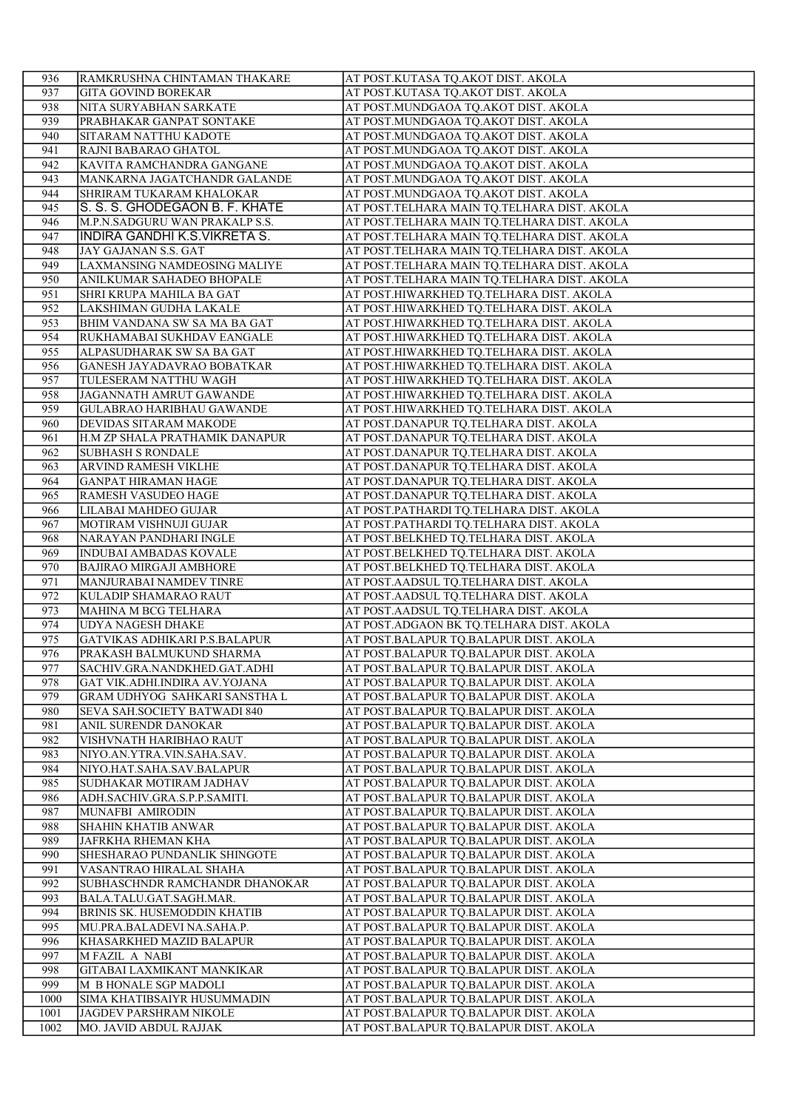| 936        | RAMKRUSHNA CHINTAMAN THAKARE                                 | AT POST.KUTASA TO.AKOT DIST. AKOLA                                                      |
|------------|--------------------------------------------------------------|-----------------------------------------------------------------------------------------|
| 937        | <b>GITA GOVIND BOREKAR</b>                                   | AT POST.KUTASA TQ.AKOT DIST. AKOLA                                                      |
| 938        | NITA SURYABHAN SARKATE                                       | AT POST.MUNDGAOA TQ.AKOT DIST. AKOLA                                                    |
| 939        | PRABHAKAR GANPAT SONTAKE                                     | AT POST.MUNDGAOA TQ.AKOT DIST. AKOLA                                                    |
| 940        | SITARAM NATTHU KADOTE                                        | AT POST.MUNDGAOA TQ.AKOT DIST. AKOLA                                                    |
| 941        | RAJNI BABARAO GHATOL                                         | AT POST.MUNDGAOA TQ.AKOT DIST. AKOLA                                                    |
| 942        | KAVITA RAMCHANDRA GANGANE                                    | AT POST.MUNDGAOA TQ.AKOT DIST. AKOLA                                                    |
| 943        | MANKARNA JAGATCHANDR GALANDE                                 | AT POST.MUNDGAOA TQ.AKOT DIST. AKOLA                                                    |
| 944        | <b>SHRIRAM TUKARAM KHALOKAR</b>                              | AT POST.MUNDGAOA TQ.AKOT DIST. AKOLA                                                    |
| 945        | S. S. S. GHODEGAON B. F. KHATE                               | AT POST.TELHARA MAIN TQ.TELHARA DIST. AKOLA                                             |
| 946        | M.P.N.SADGURU WAN PRAKALP S.S.                               | AT POST.TELHARA MAIN TQ.TELHARA DIST. AKOLA                                             |
| 947        | INDIRA GANDHI K.S.VIKRETA S.                                 | AT POST.TELHARA MAIN TQ.TELHARA DIST. AKOLA                                             |
| 948        | JAY GAJANAN S.S. GAT                                         | AT POST.TELHARA MAIN TQ.TELHARA DIST. AKOLA                                             |
| 949        | LAXMANSING NAMDEOSING MALIYE                                 | AT POST.TELHARA MAIN TQ.TELHARA DIST. AKOLA                                             |
| 950<br>951 | <b>ANILKUMAR SAHADEO BHOPALE</b><br>SHRI KRUPA MAHILA BA GAT | AT POST.TELHARA MAIN TQ.TELHARA DIST. AKOLA<br>AT POST.HIWARKHED TQ.TELHARA DIST. AKOLA |
| 952        | LAKSHIMAN GUDHA LAKALE                                       | AT POST.HIWARKHED TQ.TELHARA DIST. AKOLA                                                |
| 953        | BHIM VANDANA SW SA MA BA GAT                                 | AT POST.HIWARKHED TQ.TELHARA DIST. AKOLA                                                |
| 954        | RUKHAMABAI SUKHDAV EANGALE                                   | AT POST.HIWARKHED TQ.TELHARA DIST. AKOLA                                                |
| 955        | ALPASUDHARAK SW SA BA GAT                                    | AT POST.HIWARKHED TQ.TELHARA DIST. AKOLA                                                |
| 956        | GANESH JAYADAVRAO BOBATKAR                                   | AT POST.HIWARKHED TQ.TELHARA DIST. AKOLA                                                |
| 957        | TULESERAM NATTHU WAGH                                        | AT POST.HIWARKHED TQ.TELHARA DIST. AKOLA                                                |
| 958        | JAGANNATH AMRUT GAWANDE                                      | AT POST.HIWARKHED TQ.TELHARA DIST. AKOLA                                                |
| 959        | GULABRAO HARIBHAU GAWANDE                                    | AT POST.HIWARKHED TQ.TELHARA DIST. AKOLA                                                |
| 960        | DEVIDAS SITARAM MAKODE                                       | AT POST.DANAPUR TQ.TELHARA DIST. AKOLA                                                  |
| 961        | H.M ZP SHALA PRATHAMIK DANAPUR                               | AT POST.DANAPUR TQ.TELHARA DIST. AKOLA                                                  |
| 962        | <b>SUBHASH S RONDALE</b>                                     | AT POST.DANAPUR TQ.TELHARA DIST. AKOLA                                                  |
| 963        | ARVIND RAMESH VIKLHE                                         | AT POST.DANAPUR TQ.TELHARA DIST. AKOLA                                                  |
| 964        | <b>GANPAT HIRAMAN HAGE</b>                                   | AT POST.DANAPUR TQ.TELHARA DIST. AKOLA                                                  |
| 965        | RAMESH VASUDEO HAGE                                          | AT POST.DANAPUR TQ.TELHARA DIST. AKOLA                                                  |
| 966        | LILABAI MAHDEO GUJAR                                         | AT POST.PATHARDI TQ.TELHARA DIST. AKOLA                                                 |
| 967        | MOTIRAM VISHNUJI GUJAR                                       | AT POST.PATHARDI TQ.TELHARA DIST. AKOLA                                                 |
| 968<br>969 | NARAYAN PANDHARI INGLE<br><b>INDUBAI AMBADAS KOVALE</b>      | AT POST.BELKHED TQ.TELHARA DIST. AKOLA<br>AT POST.BELKHED TQ.TELHARA DIST. AKOLA        |
| 970        | <b>BAJIRAO MIRGAJI AMBHORE</b>                               | AT POST.BELKHED TQ.TELHARA DIST. AKOLA                                                  |
| 971        | MANJURABAI NAMDEV TINRE                                      | AT POST.AADSUL TQ.TELHARA DIST. AKOLA                                                   |
| 972        | KULADIP SHAMARAO RAUT                                        | AT POST.AADSUL TQ.TELHARA DIST. AKOLA                                                   |
| 973        | MAHINA M BCG TELHARA                                         | AT POST.AADSUL TQ.TELHARA DIST. AKOLA                                                   |
| 974        | <b>UDYA NAGESH DHAKE</b>                                     | AT POST.ADGAON BK TQ.TELHARA DIST. AKOLA                                                |
| 975        | GATVIKAS ADHIKARI P.S.BALAPUR                                | AT POST.BALAPUR TQ.BALAPUR DIST. AKOLA                                                  |
| 976        | PRAKASH BALMUKUND SHARMA                                     | AT POST.BALAPUR TQ.BALAPUR DIST. AKOLA                                                  |
| 977        | SACHIV.GRA.NANDKHED.GAT.ADHI                                 | AT POST.BALAPUR TQ.BALAPUR DIST. AKOLA                                                  |
| 978        | GAT VIK.ADHI.INDIRA AV.YOJANA                                | AT POST.BALAPUR TQ.BALAPUR DIST. AKOLA                                                  |
| 979        | GRAM UDHYOG SAHKARI SANSTHA L                                | AT POST.BALAPUR TQ.BALAPUR DIST. AKOLA                                                  |
| 980        | SEVA SAH.SOCIETY BATWADI 840                                 | AT POST.BALAPUR TO.BALAPUR DIST. AKOLA                                                  |
| 981        | ANIL SURENDR DANOKAR                                         | AT POST.BALAPUR TQ.BALAPUR DIST. AKOLA                                                  |
| 982        | VISHVNATH HARIBHAO RAUT                                      | AT POST.BALAPUR TO.BALAPUR DIST. AKOLA                                                  |
| 983<br>984 | NIYO.AN.YTRA.VIN.SAHA.SAV.                                   | AT POST.BALAPUR TQ.BALAPUR DIST. AKOLA<br>AT POST.BALAPUR TQ.BALAPUR DIST. AKOLA        |
| 985        | NIYO.HAT.SAHA.SAV.BALAPUR<br>SUDHAKAR MOTIRAM JADHAV         | AT POST.BALAPUR TQ.BALAPUR DIST. AKOLA                                                  |
| 986        | ADH.SACHIV.GRA.S.P.P.SAMITI.                                 | AT POST.BALAPUR TQ.BALAPUR DIST. AKOLA                                                  |
| 987        | MUNAFBI AMIRODIN                                             | AT POST.BALAPUR TQ.BALAPUR DIST. AKOLA                                                  |
| 988        | <b>SHAHIN KHATIB ANWAR</b>                                   | AT POST.BALAPUR TQ.BALAPUR DIST. AKOLA                                                  |
| 989        | JAFRKHA RHEMAN KHA                                           | AT POST.BALAPUR TQ.BALAPUR DIST. AKOLA                                                  |
| 990        | SHESHARAO PUNDANLIK SHINGOTE                                 | AT POST.BALAPUR TQ.BALAPUR DIST. AKOLA                                                  |
| 991        | VASANTRAO HIRALAL SHAHA                                      | AT POST.BALAPUR TQ.BALAPUR DIST. AKOLA                                                  |
| 992        | SUBHASCHNDR RAMCHANDR DHANOKAR                               | AT POST.BALAPUR TQ.BALAPUR DIST. AKOLA                                                  |
| 993        | BALA.TALU.GAT.SAGH.MAR.                                      | AT POST.BALAPUR TQ.BALAPUR DIST. AKOLA                                                  |
| 994        | <b>BRINIS SK. HUSEMODDIN KHATIB</b>                          | AT POST.BALAPUR TQ.BALAPUR DIST. AKOLA                                                  |
| 995        | MU.PRA.BALADEVI NA.SAHA.P.                                   | AT POST.BALAPUR TQ.BALAPUR DIST. AKOLA                                                  |
| 996        | KHASARKHED MAZID BALAPUR                                     | AT POST.BALAPUR TQ.BALAPUR DIST. AKOLA                                                  |
| 997        | <b>MFAZIL A NABI</b>                                         | AT POST.BALAPUR TQ.BALAPUR DIST. AKOLA                                                  |
| 998<br>999 | GITABAI LAXMIKANT MANKIKAR<br>M B HONALE SGP MADOLI          | AT POST.BALAPUR TQ.BALAPUR DIST. AKOLA<br>AT POST.BALAPUR TQ.BALAPUR DIST. AKOLA        |
| 1000       | SIMA KHATIBSAIYR HUSUMMADIN                                  | AT POST.BALAPUR TQ.BALAPUR DIST. AKOLA                                                  |
| 1001       | JAGDEV PARSHRAM NIKOLE                                       | AT POST.BALAPUR TQ.BALAPUR DIST. AKOLA                                                  |
| 1002       | MO. JAVID ABDUL RAJJAK                                       | AT POST.BALAPUR TQ.BALAPUR DIST. AKOLA                                                  |
|            |                                                              |                                                                                         |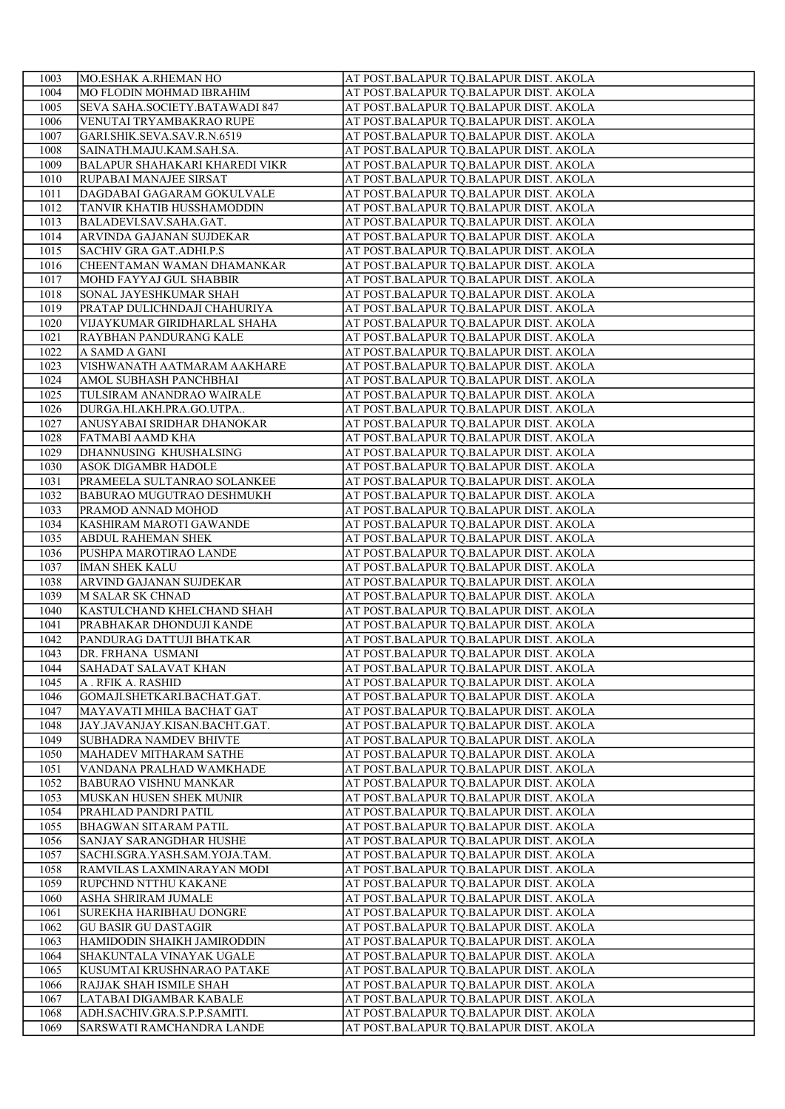| 1003         | MO.ESHAK A.RHEMAN HO                           | AT POST.BALAPUR TQ.BALAPUR DIST. AKOLA                                           |
|--------------|------------------------------------------------|----------------------------------------------------------------------------------|
| 1004         | <b>MO FLODIN MOHMAD IBRAHIM</b>                | AT POST.BALAPUR TQ.BALAPUR DIST. AKOLA                                           |
| 1005         | SEVA SAHA.SOCIETY.BATAWADI 847                 | AT POST.BALAPUR TQ.BALAPUR DIST. AKOLA                                           |
| 1006         | VENUTAI TRYAMBAKRAO RUPE                       | AT POST.BALAPUR TQ.BALAPUR DIST. AKOLA                                           |
| 1007         | GARI.SHIK.SEVA.SAV.R.N.6519                    | AT POST.BALAPUR TQ.BALAPUR DIST. AKOLA                                           |
| 1008         | SAINATH.MAJU.KAM.SAH.SA.                       | AT POST.BALAPUR TQ.BALAPUR DIST. AKOLA                                           |
| 1009         | <b>BALAPUR SHAHAKARI KHAREDI VIKR</b>          | AT POST.BALAPUR TQ.BALAPUR DIST. AKOLA                                           |
| 1010         | RUPABAI MANAJEE SIRSAT                         | AT POST.BALAPUR TQ.BALAPUR DIST. AKOLA                                           |
| 1011         | DAGDABAI GAGARAM GOKULVALE                     | AT POST.BALAPUR TQ.BALAPUR DIST. AKOLA                                           |
| 1012         | <b>TANVIR KHATIB HUSSHAMODDIN</b>              | AT POST.BALAPUR TQ.BALAPUR DIST. AKOLA                                           |
| 1013         | BALADEVI.SAV.SAHA.GAT.                         | AT POST.BALAPUR TQ.BALAPUR DIST. AKOLA                                           |
| 1014         | ARVINDA GAJANAN SUJDEKAR                       | AT POST.BALAPUR TQ.BALAPUR DIST. AKOLA                                           |
| 1015         | SACHIV GRA GAT.ADHI.P.S                        | AT POST.BALAPUR TQ.BALAPUR DIST. AKOLA                                           |
| 1016         | CHEENTAMAN WAMAN DHAMANKAR                     | AT POST.BALAPUR TQ.BALAPUR DIST. AKOLA                                           |
| 1017         | MOHD FAYYAJ GUL SHABBIR                        | AT POST.BALAPUR TQ.BALAPUR DIST. AKOLA                                           |
| 1018         | SONAL JAYESHKUMAR SHAH                         | AT POST.BALAPUR TQ.BALAPUR DIST. AKOLA                                           |
| 1019         | PRATAP DULICHNDAJI CHAHURIYA                   | AT POST.BALAPUR TQ.BALAPUR DIST. AKOLA                                           |
| 1020         | VIJAYKUMAR GIRIDHARLAL SHAHA                   | AT POST.BALAPUR TQ.BALAPUR DIST. AKOLA                                           |
| 1021         | RAYBHAN PANDURANG KALE                         | AT POST.BALAPUR TQ.BALAPUR DIST. AKOLA                                           |
| 1022         | A SAMD A GANI                                  | AT POST.BALAPUR TQ.BALAPUR DIST. AKOLA                                           |
| 1023         | VISHWANATH AATMARAM AAKHARE                    | AT POST.BALAPUR TQ.BALAPUR DIST. AKOLA                                           |
| 1024         | AMOL SUBHASH PANCHBHAI                         | AT POST.BALAPUR TQ.BALAPUR DIST. AKOLA                                           |
| 1025         | TULSIRAM ANANDRAO WAIRALE                      | AT POST.BALAPUR TQ.BALAPUR DIST. AKOLA                                           |
| 1026         | DURGA.HI.AKH.PRA.GO.UTPA                       | AT POST.BALAPUR TQ.BALAPUR DIST. AKOLA                                           |
| 1027         | ANUSYABAI SRIDHAR DHANOKAR                     | AT POST.BALAPUR TQ.BALAPUR DIST. AKOLA                                           |
| 1028         | FATMABI AAMD KHA                               | AT POST.BALAPUR TQ.BALAPUR DIST. AKOLA                                           |
| 1029         | DHANNUSING KHUSHALSING                         | AT POST.BALAPUR TQ.BALAPUR DIST. AKOLA                                           |
| 1030         | <b>ASOK DIGAMBR HADOLE</b>                     | AT POST.BALAPUR TQ.BALAPUR DIST. AKOLA                                           |
| 1031         | PRAMEELA SULTANRAO SOLANKEE                    | AT POST.BALAPUR TQ.BALAPUR DIST. AKOLA                                           |
| 1032         | <b>BABURAO MUGUTRAO DESHMUKH</b>               | AT POST.BALAPUR TQ.BALAPUR DIST. AKOLA                                           |
| 1033         | PRAMOD ANNAD MOHOD                             | AT POST.BALAPUR TQ.BALAPUR DIST. AKOLA                                           |
| 1034         | KASHIRAM MAROTI GAWANDE                        | AT POST.BALAPUR TQ.BALAPUR DIST. AKOLA                                           |
| 1035         | <b>ABDUL RAHEMAN SHEK</b>                      | AT POST.BALAPUR TQ.BALAPUR DIST. AKOLA                                           |
| 1036         | PUSHPA MAROTIRAO LANDE                         | AT POST.BALAPUR TQ.BALAPUR DIST. AKOLA                                           |
| 1037         | <b>IMAN SHEK KALU</b>                          | AT POST.BALAPUR TQ.BALAPUR DIST. AKOLA                                           |
| 1038         | ARVIND GAJANAN SUJDEKAR                        | AT POST.BALAPUR TQ.BALAPUR DIST. AKOLA                                           |
| 1039         |                                                |                                                                                  |
| 1040         | M SALAR SK CHNAD<br>KASTULCHAND KHELCHAND SHAH | AT POST.BALAPUR TQ.BALAPUR DIST. AKOLA<br>AT POST.BALAPUR TQ.BALAPUR DIST. AKOLA |
|              | PRABHAKAR DHONDUJI KANDE                       |                                                                                  |
| 1041<br>1042 |                                                | AT POST.BALAPUR TQ.BALAPUR DIST. AKOLA<br>AT POST.BALAPUR TQ.BALAPUR DIST. AKOLA |
| 1043         | PANDURAG DATTUJI BHATKAR<br>DR. FRHANA USMANI  | AT POST.BALAPUR TQ.BALAPUR DIST. AKOLA                                           |
| 1044         | SAHADAT SALAVAT KHAN                           | AT POST.BALAPUR TQ.BALAPUR DIST. AKOLA                                           |
|              |                                                |                                                                                  |
| 1045         | A . RFIK A. RASHID                             | AT POST.BALAPUR TQ.BALAPUR DIST. AKOLA<br>AT POST.BALAPUR TO.BALAPUR DIST. AKOLA |
| 1046         | GOMAJI.SHETKARI.BACHAT.GAT.                    |                                                                                  |
| 1047         | MAYAVATI MHILA BACHAT GAT                      | AT POST.BALAPUR TQ.BALAPUR DIST. AKOLA                                           |
| 1048         | JAY.JAVANJAY.KISAN.BACHT.GAT.                  | AT POST.BALAPUR TQ.BALAPUR DIST. AKOLA                                           |
| 1049         | <b>SUBHADRA NAMDEV BHIVTE</b>                  | AT POST.BALAPUR TQ.BALAPUR DIST. AKOLA                                           |
| 1050         | MAHADEV MITHARAM SATHE                         | AT POST.BALAPUR TQ.BALAPUR DIST. AKOLA                                           |
| 1051         | VANDANA PRALHAD WAMKHADE                       | AT POST.BALAPUR TQ.BALAPUR DIST. AKOLA                                           |
| 1052         | <b>BABURAO VISHNU MANKAR</b>                   | AT POST.BALAPUR TQ.BALAPUR DIST. AKOLA                                           |
| 1053         | MUSKAN HUSEN SHEK MUNIR                        | AT POST.BALAPUR TQ.BALAPUR DIST. AKOLA                                           |
| 1054         | PRAHLAD PANDRI PATIL                           | AT POST.BALAPUR TQ.BALAPUR DIST. AKOLA                                           |
| 1055         | <b>BHAGWAN SITARAM PATIL</b>                   | AT POST.BALAPUR TQ.BALAPUR DIST. AKOLA                                           |
| 1056         | SANJAY SARANGDHAR HUSHE                        | AT POST.BALAPUR TQ.BALAPUR DIST. AKOLA                                           |
| 1057         | SACHI.SGRA.YASH.SAM.YOJA.TAM.                  | AT POST.BALAPUR TQ.BALAPUR DIST. AKOLA                                           |
| 1058         | RAMVILAS LAXMINARAYAN MODI                     | AT POST.BALAPUR TQ.BALAPUR DIST. AKOLA                                           |
| 1059         | RUPCHND NTTHU KAKANE                           | AT POST.BALAPUR TQ.BALAPUR DIST. AKOLA                                           |
| 1060         | <b>ASHA SHRIRAM JUMALE</b>                     | AT POST.BALAPUR TQ.BALAPUR DIST. AKOLA                                           |
| 1061         | <b>SUREKHA HARIBHAU DONGRE</b>                 | AT POST.BALAPUR TQ.BALAPUR DIST. AKOLA                                           |
| 1062         | <b>GU BASIR GU DASTAGIR</b>                    | AT POST.BALAPUR TQ.BALAPUR DIST. AKOLA                                           |
| 1063         | HAMIDODIN SHAIKH JAMIRODDIN                    | AT POST.BALAPUR TQ.BALAPUR DIST. AKOLA                                           |
| 1064         | SHAKUNTALA VINAYAK UGALE                       | AT POST.BALAPUR TQ.BALAPUR DIST. AKOLA                                           |
| 1065         | KUSUMTAI KRUSHNARAO PATAKE                     | AT POST.BALAPUR TQ.BALAPUR DIST. AKOLA                                           |
| 1066         | RAJJAK SHAH ISMILE SHAH                        | AT POST.BALAPUR TQ.BALAPUR DIST. AKOLA                                           |
| 1067         | LATABAI DIGAMBAR KABALE                        | AT POST.BALAPUR TQ.BALAPUR DIST. AKOLA                                           |
| 1068         | ADH.SACHIV.GRA.S.P.P.SAMITI.                   | AT POST.BALAPUR TQ.BALAPUR DIST. AKOLA                                           |
| 1069         | SARSWATI RAMCHANDRA LANDE                      | AT POST.BALAPUR TQ.BALAPUR DIST. AKOLA                                           |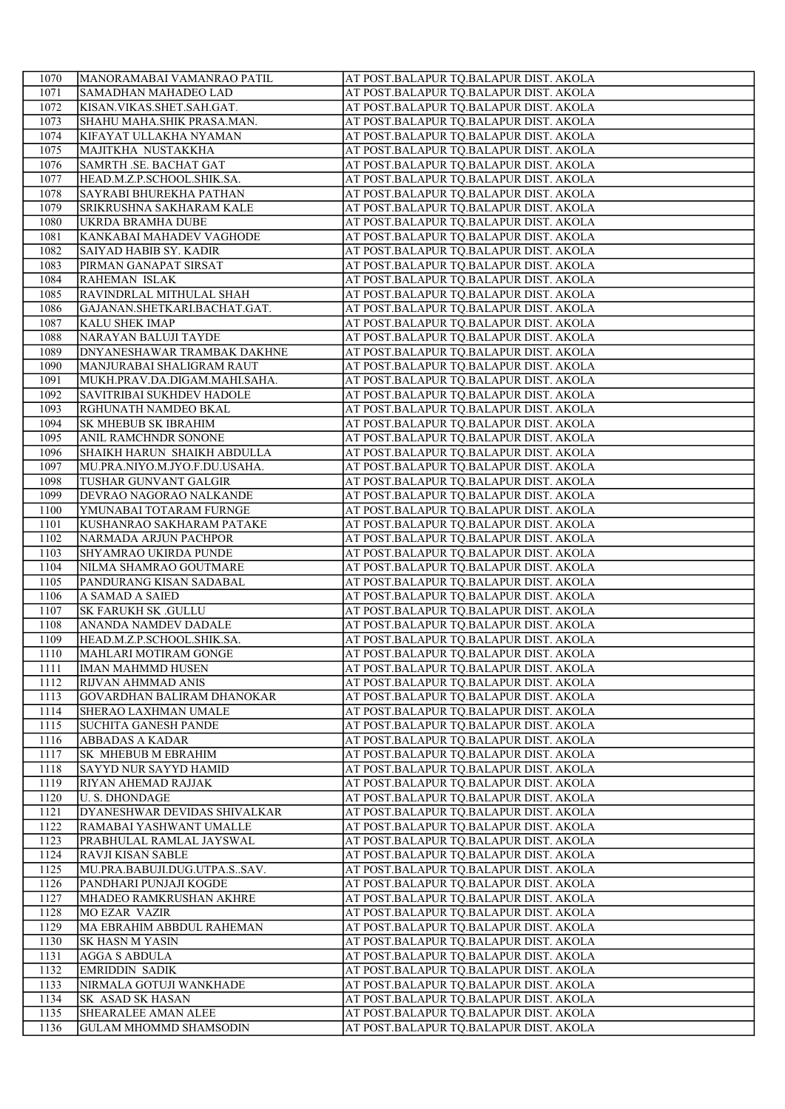| 1070        | MANORAMABAI VAMANRAO PATIL        | AT POST.BALAPUR TQ.BALAPUR DIST. AKOLA |
|-------------|-----------------------------------|----------------------------------------|
| 1071        | <b>SAMADHAN MAHADEO LAD</b>       | AT POST.BALAPUR TQ.BALAPUR DIST. AKOLA |
| 1072        | KISAN.VIKAS.SHET.SAH.GAT.         | AT POST.BALAPUR TQ.BALAPUR DIST. AKOLA |
| 1073        | ISHAHU MAHA.SHIK PRASA.MAN.       | AT POST.BALAPUR TQ.BALAPUR DIST. AKOLA |
| 1074        | KIFAYAT ULLAKHA NYAMAN            | AT POST.BALAPUR TQ.BALAPUR DIST. AKOLA |
| 1075        | MAJITKHA NUSTAKKHA                | AT POST.BALAPUR TQ.BALAPUR DIST. AKOLA |
| 1076        | SAMRTH .SE. BACHAT GAT            | AT POST.BALAPUR TQ.BALAPUR DIST. AKOLA |
| 1077        | HEAD.M.Z.P.SCHOOL.SHIK.SA.        | AT POST.BALAPUR TQ.BALAPUR DIST. AKOLA |
| 1078        | <b>SAYRABI BHUREKHA PATHAN</b>    | AT POST.BALAPUR TQ.BALAPUR DIST. AKOLA |
| 1079        | SRIKRUSHNA SAKHARAM KALE          | AT POST.BALAPUR TQ.BALAPUR DIST. AKOLA |
| 1080        | UKRDA BRAMHA DUBE                 | AT POST.BALAPUR TQ.BALAPUR DIST. AKOLA |
| <b>1081</b> | KANKABAI MAHADEV VAGHODE          | AT POST.BALAPUR TQ.BALAPUR DIST. AKOLA |
| 1082        | <b>SAIYAD HABIB SY. KADIR</b>     | AT POST.BALAPUR TQ.BALAPUR DIST. AKOLA |
| 1083        | PIRMAN GANAPAT SIRSAT             | AT POST.BALAPUR TQ.BALAPUR DIST. AKOLA |
| 1084        | RAHEMAN ISLAK                     | AT POST.BALAPUR TQ.BALAPUR DIST. AKOLA |
| 1085        | RAVINDRLAL MITHULAL SHAH          | AT POST.BALAPUR TQ.BALAPUR DIST. AKOLA |
| 1086        | GAJANAN.SHETKARI.BACHAT.GAT.      | AT POST.BALAPUR TQ.BALAPUR DIST. AKOLA |
| 1087        | <b>KALU SHEK IMAP</b>             | AT POST.BALAPUR TQ.BALAPUR DIST. AKOLA |
| 1088        | NARAYAN BALUJI TAYDE              | AT POST.BALAPUR TQ.BALAPUR DIST. AKOLA |
| 1089        | DNYANESHAWAR TRAMBAK DAKHNE       | AT POST.BALAPUR TQ.BALAPUR DIST. AKOLA |
| 1090        | MANJURABAI SHALIGRAM RAUT         | AT POST.BALAPUR TQ.BALAPUR DIST. AKOLA |
| 1091        | MUKH.PRAV.DA.DIGAM.MAHI.SAHA.     | AT POST.BALAPUR TQ.BALAPUR DIST. AKOLA |
| 1092        | SAVITRIBAI SUKHDEV HADOLE         | AT POST.BALAPUR TQ.BALAPUR DIST. AKOLA |
| 1093        | RGHUNATH NAMDEO BKAL              | AT POST.BALAPUR TQ.BALAPUR DIST. AKOLA |
| 1094        | <b>SK MHEBUB SK IBRAHIM</b>       | AT POST.BALAPUR TQ.BALAPUR DIST. AKOLA |
| 1095        | <b>ANIL RAMCHNDR SONONE</b>       | AT POST.BALAPUR TQ.BALAPUR DIST. AKOLA |
| 1096        | SHAIKH HARUN SHAIKH ABDULLA       | AT POST.BALAPUR TQ.BALAPUR DIST. AKOLA |
| 1097        | MU.PRA.NIYO.M.JYO.F.DU.USAHA.     | AT POST.BALAPUR TQ.BALAPUR DIST. AKOLA |
| 1098        | TUSHAR GUNVANT GALGIR             | AT POST.BALAPUR TQ.BALAPUR DIST. AKOLA |
| 1099        | DEVRAO NAGORAO NALKANDE           | AT POST.BALAPUR TQ.BALAPUR DIST. AKOLA |
| 1100        | YMUNABAI TOTARAM FURNGE           | AT POST.BALAPUR TQ.BALAPUR DIST. AKOLA |
| 1101        | KUSHANRAO SAKHARAM PATAKE         | AT POST.BALAPUR TQ.BALAPUR DIST. AKOLA |
| 1102        | NARMADA ARJUN PACHPOR             | AT POST.BALAPUR TQ.BALAPUR DIST. AKOLA |
| 1103        | SHYAMRAO UKIRDA PUNDE             | AT POST.BALAPUR TQ.BALAPUR DIST. AKOLA |
| 1104        | NILMA SHAMRAO GOUTMARE            | AT POST.BALAPUR TQ.BALAPUR DIST. AKOLA |
| 1105        | PANDURANG KISAN SADABAL           | AT POST.BALAPUR TQ.BALAPUR DIST. AKOLA |
| 1106        | A SAMAD A SAIED                   | AT POST.BALAPUR TQ.BALAPUR DIST. AKOLA |
| 1107        | <b>SK FARUKH SK .GULLU</b>        | AT POST.BALAPUR TQ.BALAPUR DIST. AKOLA |
| 1108        | <b>ANANDA NAMDEV DADALE</b>       | AT POST.BALAPUR TQ.BALAPUR DIST. AKOLA |
| 1109        | HEAD.M.Z.P.SCHOOL.SHIK.SA.        | AT POST.BALAPUR TQ.BALAPUR DIST. AKOLA |
| 1110        | MAHLARI MOTIRAM GONGE             | AT POST.BALAPUR TQ.BALAPUR DIST. AKOLA |
| 1111        | <b>IMAN MAHMMD HUSEN</b>          | AT POST.BALAPUR TQ.BALAPUR DIST. AKOLA |
| 1112        | RIJVAN AHMMAD ANIS                | AT POST.BALAPUR TQ.BALAPUR DIST. AKOLA |
| 1113        | <b>GOVARDHAN BALIRAM DHANOKAR</b> | AT POST.BALAPUR TO.BALAPUR DIST. AKOLA |
| 1114        | <b>SHERAO LAXHMAN UMALE</b>       | AT POST.BALAPUR TQ.BALAPUR DIST. AKOLA |
| 1115        | <b>SUCHITA GANESH PANDE</b>       | AT POST.BALAPUR TQ.BALAPUR DIST. AKOLA |
| 1116        | <b>ABBADAS A KADAR</b>            | AT POST.BALAPUR TQ.BALAPUR DIST. AKOLA |
| 1117        | <b>SK MHEBUB M EBRAHIM</b>        | AT POST.BALAPUR TQ.BALAPUR DIST. AKOLA |
| 1118        | SAYYD NUR SAYYD HAMID             | AT POST.BALAPUR TQ.BALAPUR DIST. AKOLA |
| 1119        | RIYAN AHEMAD RAJJAK               | AT POST.BALAPUR TQ.BALAPUR DIST. AKOLA |
| 1120        | <b>U. S. DHONDAGE</b>             | AT POST.BALAPUR TQ.BALAPUR DIST. AKOLA |
| 1121        | DYANESHWAR DEVIDAS SHIVALKAR      | AT POST.BALAPUR TQ.BALAPUR DIST. AKOLA |
| 1122        | RAMABAI YASHWANT UMALLE           | AT POST.BALAPUR TQ.BALAPUR DIST. AKOLA |
| 1123        | PRABHULAL RAMLAL JAYSWAL          | AT POST.BALAPUR TQ.BALAPUR DIST. AKOLA |
| 1124        | RAVJI KISAN SABLE                 | AT POST.BALAPUR TQ.BALAPUR DIST. AKOLA |
| 1125        | MU.PRA.BABUJI.DUG.UTPA.SSAV.      | AT POST.BALAPUR TQ.BALAPUR DIST. AKOLA |
| 1126        | PANDHARI PUNJAJI KOGDE            | AT POST.BALAPUR TQ.BALAPUR DIST. AKOLA |
| 1127        | MHADEO RAMKRUSHAN AKHRE           | AT POST.BALAPUR TQ.BALAPUR DIST. AKOLA |
| 1128        | <b>MO EZAR VAZIR</b>              | AT POST.BALAPUR TQ.BALAPUR DIST. AKOLA |
| 1129        | MA EBRAHIM ABBDUL RAHEMAN         | AT POST.BALAPUR TQ.BALAPUR DIST. AKOLA |
| 1130        | <b>SK HASN M YASIN</b>            | AT POST.BALAPUR TQ.BALAPUR DIST. AKOLA |
| 1131        | <b>AGGA S ABDULA</b>              | AT POST.BALAPUR TQ.BALAPUR DIST. AKOLA |
| 1132        | <b>EMRIDDIN SADIK</b>             | AT POST.BALAPUR TQ.BALAPUR DIST. AKOLA |
| 1133        | NIRMALA GOTUJI WANKHADE           | AT POST.BALAPUR TQ.BALAPUR DIST. AKOLA |
| 1134        | <b>SK ASAD SK HASAN</b>           | AT POST.BALAPUR TQ.BALAPUR DIST. AKOLA |
| 1135        | SHEARALEE AMAN ALEE               | AT POST.BALAPUR TQ.BALAPUR DIST. AKOLA |
| 1136        | <b>GULAM MHOMMD SHAMSODIN</b>     | AT POST.BALAPUR TQ.BALAPUR DIST. AKOLA |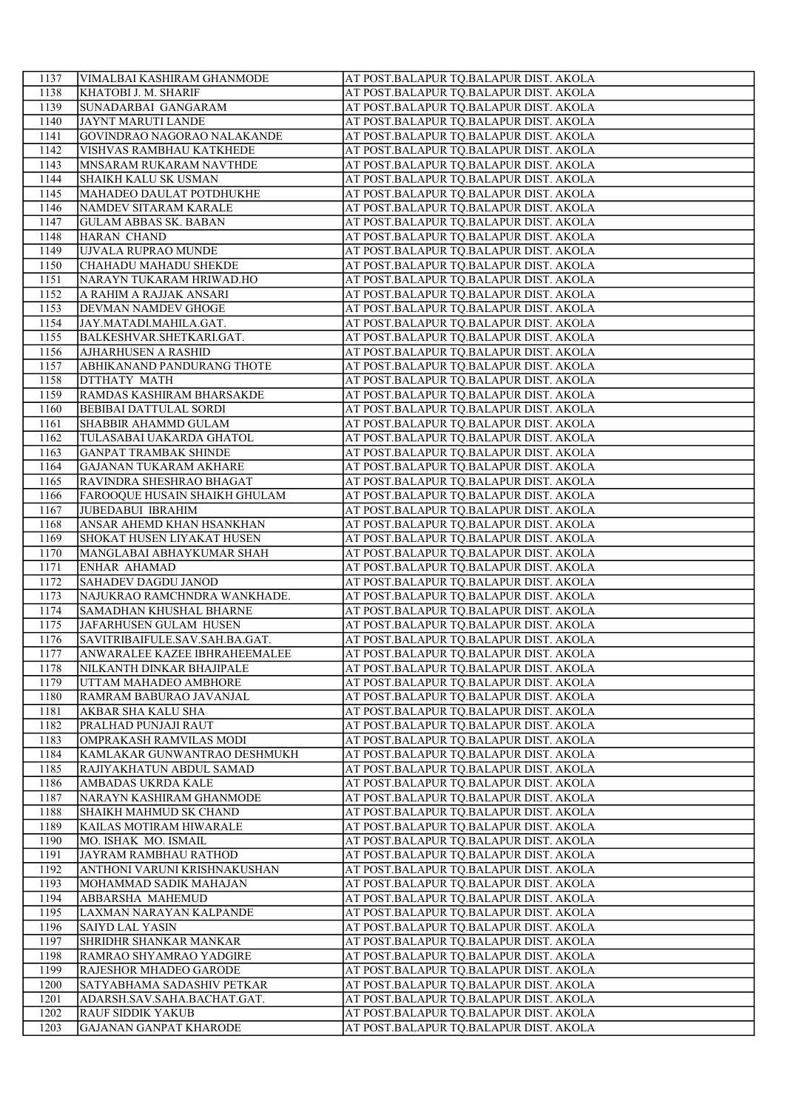| 1137 | VIMALBAI KASHIRAM GHANMODE     | AT POST.BALAPUR TO.BALAPUR DIST. AKOLA |
|------|--------------------------------|----------------------------------------|
| 1138 | KHATOBI J. M. SHARIF           | AT POST.BALAPUR TQ.BALAPUR DIST. AKOLA |
| 1139 | SUNADARBAI GANGARAM            | AT POST.BALAPUR TQ.BALAPUR DIST. AKOLA |
| 1140 | JAYNT MARUTI LANDE             | AT POST.BALAPUR TQ.BALAPUR DIST. AKOLA |
| 1141 | GOVINDRAO NAGORAO NALAKANDE    | AT POST.BALAPUR TQ.BALAPUR DIST. AKOLA |
| 1142 | VISHVAS RAMBHAU KATKHEDE       | AT POST.BALAPUR TQ.BALAPUR DIST. AKOLA |
| 1143 | MNSARAM RUKARAM NAVTHDE        | AT POST.BALAPUR TQ.BALAPUR DIST. AKOLA |
| 1144 | <b>SHAIKH KALU SK USMAN</b>    | AT POST.BALAPUR TQ.BALAPUR DIST. AKOLA |
| 1145 | MAHADEO DAULAT POTDHUKHE       | AT POST.BALAPUR TQ.BALAPUR DIST. AKOLA |
| 1146 | NAMDEV SITARAM KARALE          | AT POST.BALAPUR TQ.BALAPUR DIST. AKOLA |
| 1147 | <b>GULAM ABBAS SK. BABAN</b>   | AT POST.BALAPUR TQ.BALAPUR DIST. AKOLA |
| 1148 | HARAN CHAND                    | AT POST.BALAPUR TQ.BALAPUR DIST. AKOLA |
| 1149 | UJVALA RUPRAO MUNDE            | AT POST.BALAPUR TQ.BALAPUR DIST. AKOLA |
| 1150 | CHAHADU MAHADU SHEKDE          | AT POST.BALAPUR TQ.BALAPUR DIST. AKOLA |
| 1151 | NARAYN TUKARAM HRIWAD.HO       | AT POST.BALAPUR TQ.BALAPUR DIST. AKOLA |
| 1152 | A RAHIM A RAJJAK ANSARI        | AT POST.BALAPUR TQ.BALAPUR DIST. AKOLA |
| 1153 | DEVMAN NAMDEV GHOGE            | AT POST.BALAPUR TQ.BALAPUR DIST. AKOLA |
| 1154 | JAY.MATADI.MAHILA.GAT.         | AT POST.BALAPUR TQ.BALAPUR DIST. AKOLA |
| 1155 | BALKESHVAR.SHETKARI.GAT.       | AT POST.BALAPUR TQ.BALAPUR DIST. AKOLA |
| 1156 | <b>AJHARHUSEN A RASHID</b>     | AT POST.BALAPUR TQ.BALAPUR DIST. AKOLA |
| 1157 | ABHIKANAND PANDURANG THOTE     | AT POST.BALAPUR TQ.BALAPUR DIST. AKOLA |
| 1158 | DTTHATY MATH                   | AT POST.BALAPUR TQ.BALAPUR DIST. AKOLA |
| 1159 | RAMDAS KASHIRAM BHARSAKDE      | AT POST.BALAPUR TQ.BALAPUR DIST. AKOLA |
| 1160 | <b>BEBIBAI DATTULAL SORDI</b>  | AT POST.BALAPUR TQ.BALAPUR DIST. AKOLA |
| 1161 | <b>SHABBIR AHAMMD GULAM</b>    | AT POST.BALAPUR TQ.BALAPUR DIST. AKOLA |
| 1162 | TULASABAI UAKARDA GHATOL       | AT POST.BALAPUR TQ.BALAPUR DIST. AKOLA |
| 1163 | <b>GANPAT TRAMBAK SHINDE</b>   | AT POST.BALAPUR TQ.BALAPUR DIST. AKOLA |
| 1164 | GAJANAN TUKARAM AKHARE         | AT POST.BALAPUR TQ.BALAPUR DIST. AKOLA |
| 1165 | RAVINDRA SHESHRAO BHAGAT       | AT POST.BALAPUR TQ.BALAPUR DIST. AKOLA |
| 1166 | FAROOQUE HUSAIN SHAIKH GHULAM  | AT POST.BALAPUR TQ.BALAPUR DIST. AKOLA |
| 1167 | JUBEDABUI IBRAHIM              | AT POST.BALAPUR TQ.BALAPUR DIST. AKOLA |
| 1168 | ANSAR AHEMD KHAN HSANKHAN      | AT POST.BALAPUR TQ.BALAPUR DIST. AKOLA |
| 1169 | SHOKAT HUSEN LIYAKAT HUSEN     | AT POST.BALAPUR TQ.BALAPUR DIST. AKOLA |
| 1170 | MANGLABAI ABHAYKUMAR SHAH      | AT POST.BALAPUR TQ.BALAPUR DIST. AKOLA |
| 1171 | <b>ENHAR AHAMAD</b>            | AT POST.BALAPUR TQ.BALAPUR DIST. AKOLA |
| 1172 | <b>SAHADEV DAGDU JANOD</b>     | AT POST.BALAPUR TQ.BALAPUR DIST. AKOLA |
| 1173 | NAJUKRAO RAMCHNDRA WANKHADE.   | AT POST.BALAPUR TQ.BALAPUR DIST. AKOLA |
| 1174 | <b>SAMADHAN KHUSHAL BHARNE</b> | AT POST.BALAPUR TQ.BALAPUR DIST. AKOLA |
| 1175 | JAFARHUSEN GULAM HUSEN         | AT POST.BALAPUR TQ.BALAPUR DIST. AKOLA |
| 1176 | SAVITRIBAIFULE.SAV.SAH.BA.GAT. | AT POST.BALAPUR TQ.BALAPUR DIST. AKOLA |
| 1177 | ANWARALEE KAZEE IBHRAHEEMALEE  | AT POST.BALAPUR TQ.BALAPUR DIST. AKOLA |
| 1178 | NILKANTH DINKAR BHAJIPALE      | AT POST.BALAPUR TQ.BALAPUR DIST. AKOLA |
| 1179 | UTTAM MAHADEO AMBHORE          | AT POST.BALAPUR TQ.BALAPUR DIST. AKOLA |
| 1180 | RAMRAM BABURAO JAVANJAL        | AT POST.BALAPUR TO.BALAPUR DIST. AKOLA |
| 1181 | AKBAR SHA KALU SHA             | AT POST.BALAPUR TQ.BALAPUR DIST. AKOLA |
| 1182 | PRALHAD PUNJAJI RAUT           | AT POST.BALAPUR TQ.BALAPUR DIST. AKOLA |
| 1183 | OMPRAKASH RAMVILAS MODI        | AT POST.BALAPUR TO.BALAPUR DIST. AKOLA |
| 1184 | KAMLAKAR GUNWANTRAO DESHMUKH   | AT POST.BALAPUR TQ.BALAPUR DIST. AKOLA |
| 1185 | RAJIYAKHATUN ABDUL SAMAD       | AT POST.BALAPUR TQ.BALAPUR DIST. AKOLA |
| 1186 | AMBADAS UKRDA KALE             | AT POST.BALAPUR TQ.BALAPUR DIST. AKOLA |
| 1187 | NARAYN KASHIRAM GHANMODE       | AT POST.BALAPUR TQ.BALAPUR DIST. AKOLA |
| 1188 | SHAIKH MAHMUD SK CHAND         | AT POST.BALAPUR TQ.BALAPUR DIST. AKOLA |
| 1189 | KAILAS MOTIRAM HIWARALE        | AT POST.BALAPUR TQ.BALAPUR DIST. AKOLA |
| 1190 | MO. ISHAK MO. ISMAIL           | AT POST.BALAPUR TQ.BALAPUR DIST. AKOLA |
| 1191 | JAYRAM RAMBHAU RATHOD          | AT POST.BALAPUR TQ.BALAPUR DIST. AKOLA |
| 1192 | ANTHONI VARUNI KRISHNAKUSHAN   | AT POST.BALAPUR TQ.BALAPUR DIST. AKOLA |
| 1193 | MOHAMMAD SADIK MAHAJAN         | AT POST.BALAPUR TQ.BALAPUR DIST. AKOLA |
| 1194 | ABBARSHA MAHEMUD               | AT POST.BALAPUR TQ.BALAPUR DIST. AKOLA |
| 1195 | LAXMAN NARAYAN KALPANDE        | AT POST.BALAPUR TQ.BALAPUR DIST. AKOLA |
| 1196 | <b>SAIYD LAL YASIN</b>         | AT POST.BALAPUR TQ.BALAPUR DIST. AKOLA |
| 1197 | SHRIDHR SHANKAR MANKAR         | AT POST.BALAPUR TQ.BALAPUR DIST. AKOLA |
| 1198 | RAMRAO SHYAMRAO YADGIRE        | AT POST.BALAPUR TQ.BALAPUR DIST. AKOLA |
| 1199 | RAJESHOR MHADEO GARODE         | AT POST.BALAPUR TQ.BALAPUR DIST. AKOLA |
| 1200 | SATYABHAMA SADASHIV PETKAR     | AT POST.BALAPUR TQ.BALAPUR DIST. AKOLA |
| 1201 | ADARSH.SAV.SAHA.BACHAT.GAT.    | AT POST.BALAPUR TQ.BALAPUR DIST. AKOLA |
| 1202 | <b>RAUF SIDDIK YAKUB</b>       | AT POST.BALAPUR TQ.BALAPUR DIST. AKOLA |
| 1203 | <b>GAJANAN GANPAT KHARODE</b>  | AT POST.BALAPUR TQ.BALAPUR DIST. AKOLA |
|      |                                |                                        |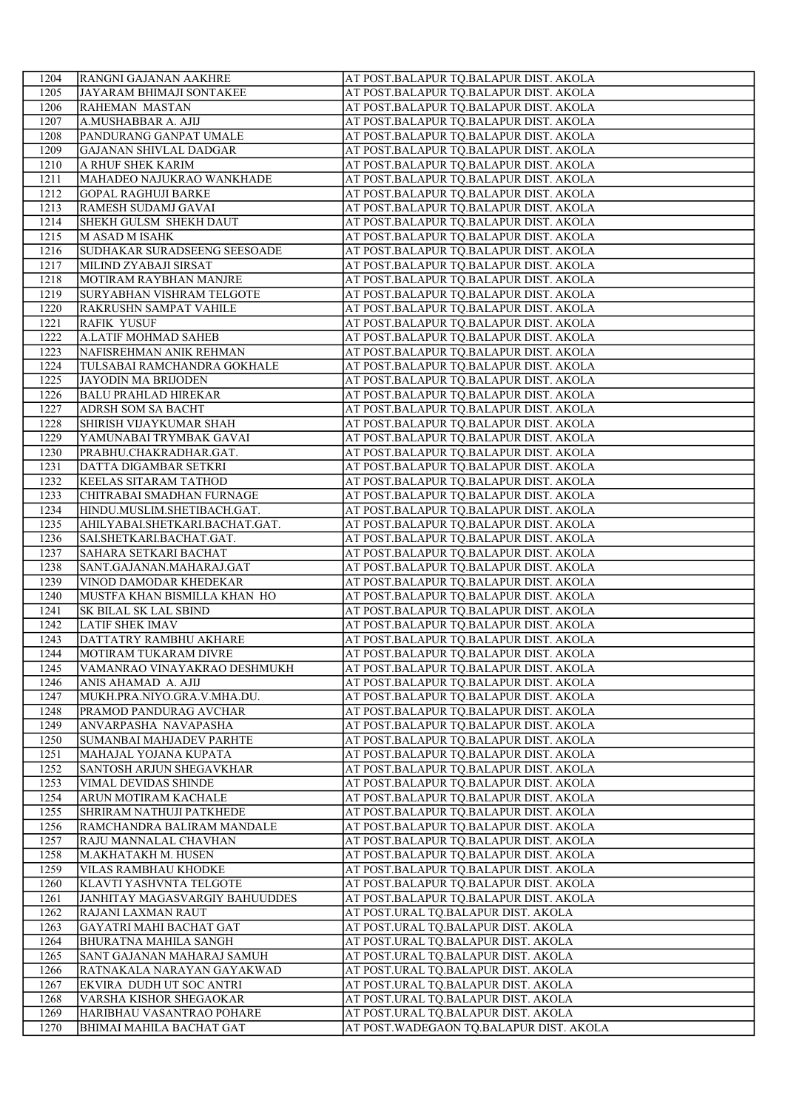| 1204         | <b>RANGNI GAJANAN AAKHRE</b>                   | AT POST.BALAPUR TQ.BALAPUR DIST. AKOLA  |
|--------------|------------------------------------------------|-----------------------------------------|
| 1205         | JAYARAM BHIMAJI SONTAKEE                       | AT POST.BALAPUR TQ.BALAPUR DIST. AKOLA  |
| 1206         | RAHEMAN MASTAN                                 | AT POST.BALAPUR TQ.BALAPUR DIST. AKOLA  |
| 1207         | A.MUSHABBAR A. AJIJ                            | AT POST.BALAPUR TQ.BALAPUR DIST. AKOLA  |
| 1208         | PANDURANG GANPAT UMALE                         | AT POST.BALAPUR TQ.BALAPUR DIST. AKOLA  |
| 1209         | <b>GAJANAN SHIVLAL DADGAR</b>                  | AT POST.BALAPUR TQ.BALAPUR DIST. AKOLA  |
| 1210         | A RHUF SHEK KARIM                              | AT POST.BALAPUR TQ.BALAPUR DIST. AKOLA  |
| 1211         | MAHADEO NAJUKRAO WANKHADE                      | AT POST.BALAPUR TQ.BALAPUR DIST. AKOLA  |
| 1212         | <b>GOPAL RAGHUJI BARKE</b>                     | AT POST.BALAPUR TQ.BALAPUR DIST. AKOLA  |
| 1213         | RAMESH SUDAMJ GAVAI                            | AT POST.BALAPUR TQ.BALAPUR DIST. AKOLA  |
| 1214         | SHEKH GULSM SHEKH DAUT                         | AT POST.BALAPUR TQ.BALAPUR DIST. AKOLA  |
| 1215         | <b>MASAD MISAHK</b>                            | AT POST.BALAPUR TQ.BALAPUR DIST. AKOLA  |
| 1216         | SUDHAKAR SURADSEENG SEESOADE                   | AT POST.BALAPUR TQ.BALAPUR DIST. AKOLA  |
| 1217         | MILIND ZYABAJI SIRSAT                          | AT POST.BALAPUR TQ.BALAPUR DIST. AKOLA  |
| 1218         | MOTIRAM RAYBHAN MANJRE                         | AT POST.BALAPUR TQ.BALAPUR DIST. AKOLA  |
| 1219         | SURYABHAN VISHRAM TELGOTE                      | AT POST.BALAPUR TQ.BALAPUR DIST. AKOLA  |
| 1220         | RAKRUSHN SAMPAT VAHILE                         | AT POST.BALAPUR TQ.BALAPUR DIST. AKOLA  |
| 1221         | <b>RAFIK YUSUF</b>                             | AT POST.BALAPUR TQ.BALAPUR DIST. AKOLA  |
| 1222         | A.LATIF MOHMAD SAHEB                           | AT POST.BALAPUR TQ.BALAPUR DIST. AKOLA  |
| 1223         | NAFISREHMAN ANIK REHMAN                        | AT POST.BALAPUR TQ.BALAPUR DIST. AKOLA  |
| 1224         | TULSABAI RAMCHANDRA GOKHALE                    | AT POST.BALAPUR TQ.BALAPUR DIST. AKOLA  |
| 1225         | <b>JAYODIN MA BRIJODEN</b>                     | AT POST.BALAPUR TQ.BALAPUR DIST. AKOLA  |
| 1226         | <b>BALU PRAHLAD HIREKAR</b>                    | AT POST.BALAPUR TQ.BALAPUR DIST. AKOLA  |
| 1227         | ADRSH SOM SA BACHT                             | AT POST.BALAPUR TQ.BALAPUR DIST. AKOLA  |
| 1228         | SHIRISH VIJAYKUMAR SHAH                        | AT POST.BALAPUR TQ.BALAPUR DIST. AKOLA  |
| 1229         | YAMUNABAI TRYMBAK GAVAI                        | AT POST.BALAPUR TQ.BALAPUR DIST. AKOLA  |
| 1230         | PRABHU.CHAKRADHAR.GAT.                         | AT POST.BALAPUR TQ.BALAPUR DIST. AKOLA  |
| 1231         | DATTA DIGAMBAR SETKRI                          | AT POST.BALAPUR TQ.BALAPUR DIST. AKOLA  |
| 1232         | <b>KEELAS SITARAM TATHOD</b>                   | AT POST.BALAPUR TQ.BALAPUR DIST. AKOLA  |
| 1233         | CHITRABAI SMADHAN FURNAGE                      | AT POST.BALAPUR TQ.BALAPUR DIST. AKOLA  |
| 1234         | HINDU.MUSLIM.SHETIBACH.GAT.                    | AT POST.BALAPUR TQ.BALAPUR DIST. AKOLA  |
| 1235         | AHILYABAI.SHETKARI.BACHAT.GAT.                 | AT POST.BALAPUR TQ.BALAPUR DIST. AKOLA  |
| 1236         | SAI.SHETKARI.BACHAT.GAT.                       | AT POST.BALAPUR TQ.BALAPUR DIST. AKOLA  |
| 1237         | SAHARA SETKARI BACHAT                          | AT POST.BALAPUR TQ.BALAPUR DIST. AKOLA  |
| 1238         | SANT.GAJANAN.MAHARAJ.GAT                       | AT POST.BALAPUR TQ.BALAPUR DIST. AKOLA  |
| 1239         | VINOD DAMODAR KHEDEKAR                         | AT POST.BALAPUR TQ.BALAPUR DIST. AKOLA  |
| 1240         | MUSTFA KHAN BISMILLA KHAN HO                   | AT POST.BALAPUR TQ.BALAPUR DIST. AKOLA  |
| 1241         | <b>SK BILAL SK LAL SBIND</b>                   | AT POST.BALAPUR TQ.BALAPUR DIST. AKOLA  |
| 1242         | <b>LATIF SHEK IMAV</b>                         | AT POST.BALAPUR TQ.BALAPUR DIST. AKOLA  |
| 1243         | DATTATRY RAMBHU AKHARE                         | AT POST.BALAPUR TQ.BALAPUR DIST. AKOLA  |
| 1244         | MOTIRAM TUKARAM DIVRE                          | AT POST.BALAPUR TQ.BALAPUR DIST. AKOLA  |
| 1245         | VAMANRAO VINAYAKRAO DESHMUKH                   | AT POST.BALAPUR TQ.BALAPUR DIST. AKOLA  |
| 1246         | ANIS AHAMAD A. AJIJ                            | AT POST.BALAPUR TQ.BALAPUR DIST. AKOLA  |
| 1247         | MUKH.PRA.NIYO.GRA.V.MHA.DU.                    | AT POST.BALAPUR TO.BALAPUR DIST. AKOLA  |
|              |                                                | AT POST.BALAPUR TO.BALAPUR DIST. AKOLA  |
| 1248         | PRAMOD PANDURAG AVCHAR<br>ANVARPASHA NAVAPASHA |                                         |
| 1249         |                                                | AT POST.BALAPUR TQ.BALAPUR DIST. AKOLA  |
| 1250         | SUMANBAI MAHJADEV PARHTE                       | AT POST.BALAPUR TQ.BALAPUR DIST. AKOLA  |
| 1251         | MAHAJAL YOJANA KUPATA                          | AT POST.BALAPUR TQ.BALAPUR DIST. AKOLA  |
| 1252         | <b>SANTOSH ARJUN SHEGAVKHAR</b>                | AT POST.BALAPUR TQ.BALAPUR DIST. AKOLA  |
| 1253<br>1254 | VIMAL DEVIDAS SHINDE                           | AT POST.BALAPUR TQ.BALAPUR DIST. AKOLA  |
| 1255         | ARUN MOTIRAM KACHALE                           | AT POST.BALAPUR TQ.BALAPUR DIST. AKOLA  |
|              | <b>SHRIRAM NATHUJI PATKHEDE</b>                | AT POST.BALAPUR TQ.BALAPUR DIST. AKOLA  |
| 1256         | RAMCHANDRA BALIRAM MANDALE                     | AT POST.BALAPUR TQ.BALAPUR DIST. AKOLA  |
| 1257         | RAJU MANNALAL CHAVHAN                          | AT POST.BALAPUR TQ.BALAPUR DIST. AKOLA  |
| 1258         | M.AKHATAKH M. HUSEN                            | AT POST.BALAPUR TQ.BALAPUR DIST. AKOLA  |
| 1259         | VILAS RAMBHAU KHODKE                           | AT POST.BALAPUR TQ.BALAPUR DIST. AKOLA  |
| 1260         | KLAVTI YASHVNTA TELGOTE                        | AT POST.BALAPUR TQ.BALAPUR DIST. AKOLA  |
| 1261         | <b>JANHITAY MAGASVARGIY BAHUUDDES</b>          | AT POST.BALAPUR TQ.BALAPUR DIST. AKOLA  |
| 1262         | RAJANI LAXMAN RAUT                             | AT POST.URAL TQ.BALAPUR DIST. AKOLA     |
| 1263         | GAYATRI MAHI BACHAT GAT                        | AT POST.URAL TQ.BALAPUR DIST. AKOLA     |
| 1264         | <b>BHURATNA MAHILA SANGH</b>                   | AT POST.URAL TQ.BALAPUR DIST. AKOLA     |
| 1265         | SANT GAJANAN MAHARAJ SAMUH                     | AT POST.URAL TQ.BALAPUR DIST. AKOLA     |
| 1266         | RATNAKALA NARAYAN GAYAKWAD                     | AT POST.URAL TQ.BALAPUR DIST. AKOLA     |
| 1267         | EKVIRA DUDH UT SOC ANTRI                       | AT POST.URAL TQ.BALAPUR DIST. AKOLA     |
| 1268         | VARSHA KISHOR SHEGAOKAR                        | AT POST.URAL TQ.BALAPUR DIST. AKOLA     |
| 1269         | HARIBHAU VASANTRAO POHARE                      | AT POST.URAL TQ.BALAPUR DIST. AKOLA     |
| 1270         | BHIMAI MAHILA BACHAT GAT                       | AT POST.WADEGAON TQ.BALAPUR DIST. AKOLA |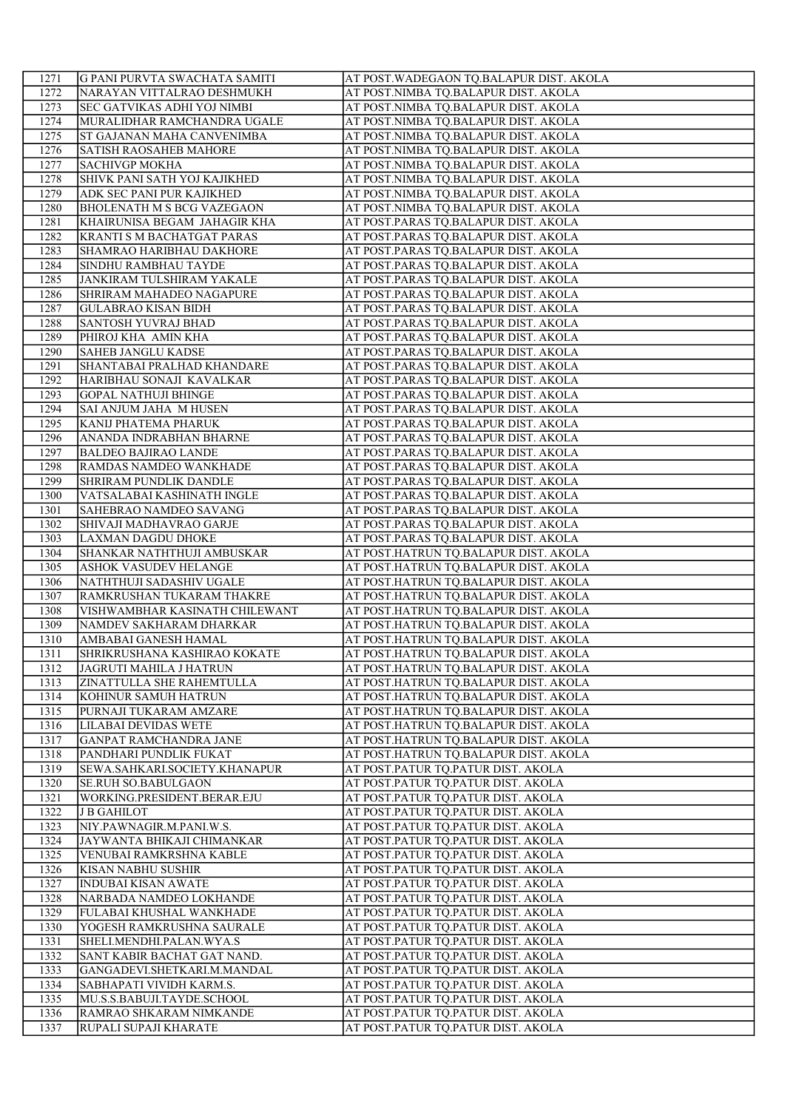| 1271 | G PANI PURVTA SWACHATA SAMITI     | AT POST. WADEGAON TQ.BALAPUR DIST. AKOLA |
|------|-----------------------------------|------------------------------------------|
| 1272 | NARAYAN VITTALRAO DESHMUKH        | AT POST.NIMBA TQ.BALAPUR DIST. AKOLA     |
| 1273 | SEC GATVIKAS ADHI YOJ NIMBI       | AT POST.NIMBA TQ.BALAPUR DIST. AKOLA     |
| 1274 | MURALIDHAR RAMCHANDRA UGALE       | AT POST.NIMBA TQ.BALAPUR DIST. AKOLA     |
| 1275 | ST GAJANAN MAHA CANVENIMBA        | AT POST.NIMBA TQ.BALAPUR DIST. AKOLA     |
| 1276 | <b>SATISH RAOSAHEB MAHORE</b>     | AT POST.NIMBA TQ.BALAPUR DIST. AKOLA     |
| 1277 | <b>SACHIVGP MOKHA</b>             | AT POST.NIMBA TQ.BALAPUR DIST. AKOLA     |
| 1278 | SHIVK PANI SATH YOJ KAJIKHED      | AT POST.NIMBA TQ.BALAPUR DIST. AKOLA     |
| 1279 | ADK SEC PANI PUR KAJIKHED         | AT POST.NIMBA TQ.BALAPUR DIST. AKOLA     |
| 1280 | <b>BHOLENATH M S BCG VAZEGAON</b> | AT POST.NIMBA TQ.BALAPUR DIST. AKOLA     |
| 1281 | KHAIRUNISA BEGAM JAHAGIR KHA      | AT POST.PARAS TQ.BALAPUR DIST. AKOLA     |
| 1282 | <b>KRANTI S M BACHATGAT PARAS</b> | AT POST.PARAS TQ.BALAPUR DIST. AKOLA     |
| 1283 | SHAMRAO HARIBHAU DAKHORE          | AT POST.PARAS TQ.BALAPUR DIST. AKOLA     |
| 1284 | SINDHU RAMBHAU TAYDE              | AT POST.PARAS TQ.BALAPUR DIST. AKOLA     |
| 1285 | JANKIRAM TULSHIRAM YAKALE         | AT POST.PARAS TQ.BALAPUR DIST. AKOLA     |
| 1286 | SHRIRAM MAHADEO NAGAPURE          | AT POST.PARAS TQ.BALAPUR DIST. AKOLA     |
| 1287 | <b>GULABRAO KISAN BIDH</b>        | AT POST.PARAS TQ.BALAPUR DIST. AKOLA     |
| 1288 | <b>SANTOSH YUVRAJ BHAD</b>        | AT POST.PARAS TQ.BALAPUR DIST. AKOLA     |
| 1289 | PHIROJ KHA AMIN KHA               | AT POST.PARAS TQ.BALAPUR DIST. AKOLA     |
| 1290 | <b>SAHEB JANGLU KADSE</b>         | AT POST.PARAS TQ.BALAPUR DIST. AKOLA     |
| 1291 | SHANTABAI PRALHAD KHANDARE        | AT POST.PARAS TQ.BALAPUR DIST. AKOLA     |
| 1292 | HARIBHAU SONAJI KAVALKAR          | AT POST.PARAS TQ.BALAPUR DIST. AKOLA     |
| 1293 | <b>GOPAL NATHUJI BHINGE</b>       | AT POST.PARAS TQ.BALAPUR DIST. AKOLA     |
| 1294 | <b>SAI ANJUM JAHA M HUSEN</b>     | AT POST.PARAS TQ.BALAPUR DIST. AKOLA     |
| 1295 | KANIJ PHATEMA PHARUK              | AT POST.PARAS TQ.BALAPUR DIST. AKOLA     |
| 1296 | ANANDA INDRABHAN BHARNE           | AT POST.PARAS TQ.BALAPUR DIST. AKOLA     |
| 1297 | <b>BALDEO BAJIRAO LANDE</b>       | AT POST.PARAS TQ.BALAPUR DIST. AKOLA     |
| 1298 | RAMDAS NAMDEO WANKHADE            | AT POST.PARAS TQ.BALAPUR DIST. AKOLA     |
| 1299 | SHRIRAM PUNDLIK DANDLE            | AT POST.PARAS TQ.BALAPUR DIST. AKOLA     |
| 1300 | VATSALABAI KASHINATH INGLE        | AT POST.PARAS TQ.BALAPUR DIST. AKOLA     |
| 1301 | SAHEBRAO NAMDEO SAVANG            | AT POST.PARAS TQ.BALAPUR DIST. AKOLA     |
| 1302 | SHIVAJI MADHAVRAO GARJE           | AT POST.PARAS TQ.BALAPUR DIST. AKOLA     |
| 1303 | LAXMAN DAGDU DHOKE                | AT POST.PARAS TQ.BALAPUR DIST. AKOLA     |
| 1304 | SHANKAR NATHTHUJI AMBUSKAR        | AT POST.HATRUN TQ.BALAPUR DIST. AKOLA    |
| 1305 | ASHOK VASUDEV HELANGE             | AT POST.HATRUN TQ.BALAPUR DIST. AKOLA    |
| 1306 | NATHTHUJI SADASHIV UGALE          | AT POST.HATRUN TQ.BALAPUR DIST. AKOLA    |
| 1307 | RAMKRUSHAN TUKARAM THAKRE         | AT POST.HATRUN TQ.BALAPUR DIST. AKOLA    |
| 1308 | VISHWAMBHAR KASINATH CHILEWANT    | AT POST.HATRUN TQ.BALAPUR DIST. AKOLA    |
| 1309 | NAMDEV SAKHARAM DHARKAR           | AT POST.HATRUN TQ.BALAPUR DIST. AKOLA    |
| 1310 | AMBABAI GANESH HAMAL              | AT POST.HATRUN TQ.BALAPUR DIST. AKOLA    |
| 1311 | SHRIKRUSHANA KASHIRAO KOKATE      | AT POST.HATRUN TQ.BALAPUR DIST. AKOLA    |
| 1312 | <b>JAGRUTI MAHILA J HATRUN</b>    | AT POST.HATRUN TQ.BALAPUR DIST. AKOLA    |
| 1313 | ZINATTULLA SHE RAHEMTULLA         | AT POST.HATRUN TQ.BALAPUR DIST. AKOLA    |
| 1314 | KOHINUR SAMUH HATRUN              | AT POST.HATRUN TO.BALAPUR DIST. AKOLA    |
|      |                                   |                                          |
| 1315 | PURNAJI TUKARAM AMZARE            | AT POST.HATRUN TQ.BALAPUR DIST. AKOLA    |
| 1316 | <b>LILABAI DEVIDAS WETE</b>       | AT POST.HATRUN TQ.BALAPUR DIST. AKOLA    |
| 1317 | <b>GANPAT RAMCHANDRA JANE</b>     | AT POST.HATRUN TQ.BALAPUR DIST. AKOLA    |
| 1318 | PANDHARI PUNDLIK FUKAT            | AT POST.HATRUN TQ.BALAPUR DIST. AKOLA    |
| 1319 | SEWA.SAHKARI.SOCIETY.KHANAPUR     | AT POST.PATUR TQ.PATUR DIST. AKOLA       |
| 1320 | <b>SE.RUH SO.BABULGAON</b>        | AT POST.PATUR TQ.PATUR DIST. AKOLA       |
| 1321 | WORKING.PRESIDENT.BERAR.EJU       | AT POST.PATUR TQ.PATUR DIST. AKOLA       |
| 1322 | <b>J B GAHILOT</b>                | AT POST.PATUR TQ.PATUR DIST. AKOLA       |
| 1323 | NIY.PAWNAGIR.M.PANI.W.S.          | AT POST.PATUR TQ.PATUR DIST. AKOLA       |
| 1324 | JAYWANTA BHIKAJI CHIMANKAR        | AT POST.PATUR TQ.PATUR DIST. AKOLA       |
| 1325 | VENUBAI RAMKRSHNA KABLE           | AT POST.PATUR TQ.PATUR DIST. AKOLA       |
| 1326 | KISAN NABHU SUSHIR                | AT POST.PATUR TQ.PATUR DIST. AKOLA       |
| 1327 | <b>INDUBAI KISAN AWATE</b>        | AT POST.PATUR TQ.PATUR DIST. AKOLA       |
| 1328 | NARBADA NAMDEO LOKHANDE           | AT POST.PATUR TQ.PATUR DIST. AKOLA       |
| 1329 | FULABAI KHUSHAL WANKHADE          | AT POST.PATUR TQ.PATUR DIST. AKOLA       |
| 1330 | YOGESH RAMKRUSHNA SAURALE         | AT POST.PATUR TQ.PATUR DIST. AKOLA       |
| 1331 | SHELI.MENDHI.PALAN.WYA.S          | AT POST.PATUR TQ.PATUR DIST. AKOLA       |
| 1332 | SANT KABIR BACHAT GAT NAND.       | AT POST.PATUR TQ.PATUR DIST. AKOLA       |
| 1333 | GANGADEVI.SHETKARI.M.MANDAL       | AT POST.PATUR TQ.PATUR DIST. AKOLA       |
| 1334 | SABHAPATI VIVIDH KARM.S.          | AT POST.PATUR TQ.PATUR DIST. AKOLA       |
| 1335 | MU.S.S.BABUJI.TAYDE.SCHOOL        | AT POST.PATUR TQ.PATUR DIST. AKOLA       |
| 1336 | RAMRAO SHKARAM NIMKANDE           | AT POST.PATUR TQ.PATUR DIST. AKOLA       |
| 1337 | RUPALI SUPAJI KHARATE             | AT POST.PATUR TQ.PATUR DIST. AKOLA       |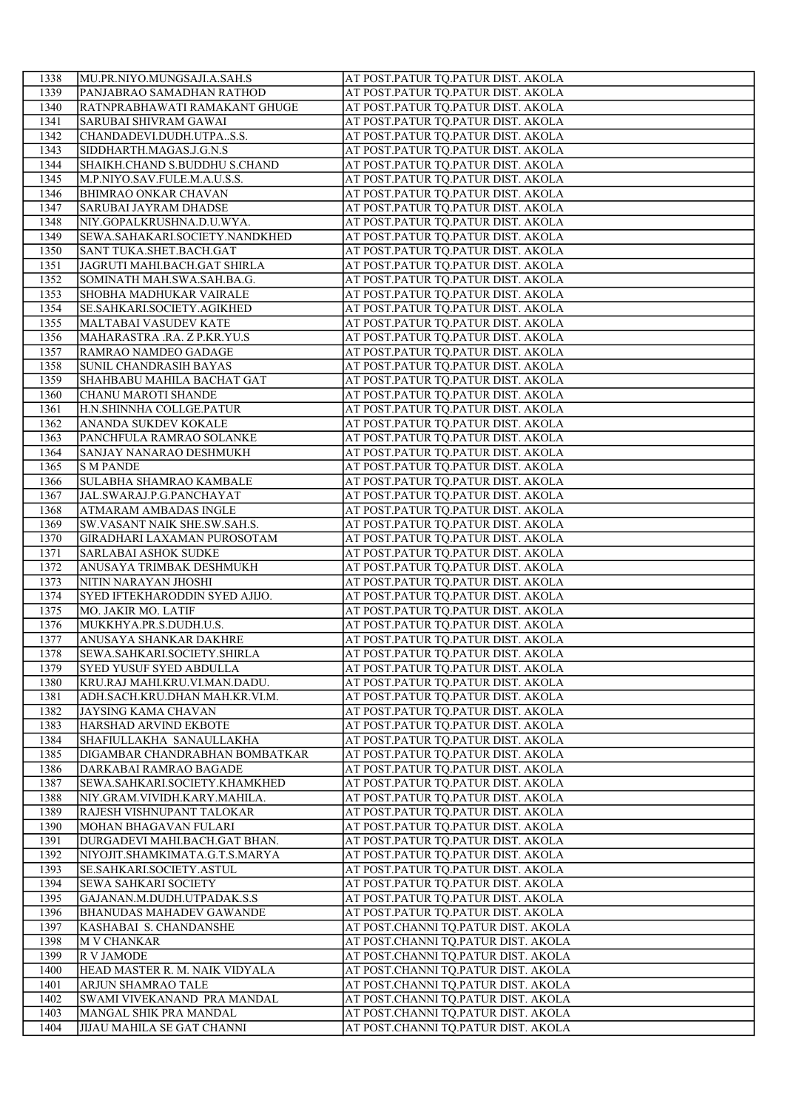| 1338         | MU.PR.NIYO.MUNGSAJI.A.SAH.S                                     | AT POST.PATUR TQ.PATUR DIST. AKOLA                                       |
|--------------|-----------------------------------------------------------------|--------------------------------------------------------------------------|
| 1339         | PANJABRAO SAMADHAN RATHOD                                       | AT POST.PATUR TQ.PATUR DIST. AKOLA                                       |
| 1340         | RATNPRABHAWATI RAMAKANT GHUGE                                   | AT POST.PATUR TQ.PATUR DIST. AKOLA                                       |
| 1341         | SARUBAI SHIVRAM GAWAI                                           | AT POST.PATUR TQ.PATUR DIST. AKOLA                                       |
| 1342         | CHANDADEVI.DUDH.UTPAS.S.                                        | AT POST.PATUR TQ.PATUR DIST. AKOLA                                       |
| 1343         | SIDDHARTH.MAGAS.J.G.N.S                                         | AT POST.PATUR TQ.PATUR DIST. AKOLA                                       |
| 1344         | SHAIKH.CHAND S.BUDDHU S.CHAND                                   | AT POST.PATUR TQ.PATUR DIST. AKOLA                                       |
| 1345         | M.P.NIYO.SAV.FULE.M.A.U.S.S.                                    | AT POST.PATUR TQ.PATUR DIST. AKOLA                                       |
| 1346         | <b>BHIMRAO ONKAR CHAVAN</b>                                     | AT POST.PATUR TQ.PATUR DIST. AKOLA                                       |
| 1347         | <b>SARUBAI JAYRAM DHADSE</b>                                    | AT POST.PATUR TQ.PATUR DIST. AKOLA                                       |
| 1348         | NIY.GOPALKRUSHNA.D.U.WYA.                                       | AT POST.PATUR TQ.PATUR DIST. AKOLA                                       |
| 1349         | SEWA.SAHAKARI.SOCIETY.NANDKHED                                  | AT POST.PATUR TQ.PATUR DIST. AKOLA                                       |
| 1350         | SANT TUKA.SHET.BACH.GAT                                         | AT POST.PATUR TQ.PATUR DIST. AKOLA                                       |
| 1351         | JAGRUTI MAHI.BACH.GAT SHIRLA                                    | AT POST.PATUR TQ.PATUR DIST. AKOLA                                       |
| 1352         | SOMINATH MAH.SWA.SAH.BA.G.                                      | AT POST.PATUR TQ.PATUR DIST. AKOLA                                       |
| 1353         | SHOBHA MADHUKAR VAIRALE                                         | AT POST.PATUR TQ.PATUR DIST. AKOLA                                       |
| 1354         | SE.SAHKARI.SOCIETY.AGIKHED                                      | AT POST.PATUR TQ.PATUR DIST. AKOLA                                       |
| 1355         | MALTABAI VASUDEV KATE                                           | AT POST.PATUR TQ.PATUR DIST. AKOLA                                       |
| 1356         | MAHARASTRA .RA. Z P.KR.YU.S                                     | AT POST.PATUR TQ.PATUR DIST. AKOLA                                       |
| 1357         | RAMRAO NAMDEO GADAGE                                            | AT POST.PATUR TQ.PATUR DIST. AKOLA                                       |
| 1358         | SUNIL CHANDRASIH BAYAS                                          | AT POST.PATUR TQ.PATUR DIST. AKOLA                                       |
| 1359         | SHAHBABU MAHILA BACHAT GAT                                      | AT POST.PATUR TQ.PATUR DIST. AKOLA                                       |
| 1360         | CHANU MAROTI SHANDE                                             | AT POST.PATUR TQ.PATUR DIST. AKOLA                                       |
| 1361         | H.N.SHINNHA COLLGE.PATUR                                        | AT POST.PATUR TQ.PATUR DIST. AKOLA                                       |
| 1362         | ANANDA SUKDEV KOKALE                                            | AT POST.PATUR TQ.PATUR DIST. AKOLA                                       |
| 1363         | PANCHFULA RAMRAO SOLANKE                                        | AT POST.PATUR TQ.PATUR DIST. AKOLA                                       |
| 1364         | SANJAY NANARAO DESHMUKH                                         | AT POST.PATUR TQ.PATUR DIST. AKOLA                                       |
| 1365         | <b>S M PANDE</b>                                                | AT POST.PATUR TQ.PATUR DIST. AKOLA                                       |
| 1366         | SULABHA SHAMRAO KAMBALE                                         | AT POST.PATUR TQ.PATUR DIST. AKOLA                                       |
| 1367         | JAL.SWARAJ.P.G.PANCHAYAT                                        | AT POST.PATUR TQ.PATUR DIST. AKOLA                                       |
| 1368         | ATMARAM AMBADAS INGLE                                           | AT POST.PATUR TQ.PATUR DIST. AKOLA                                       |
| 1369         | SW.VASANT NAIK SHE.SW.SAH.S.                                    | AT POST.PATUR TQ.PATUR DIST. AKOLA                                       |
| 1370         | <b>GIRADHARI LAXAMAN PUROSOTAM</b>                              | AT POST.PATUR TQ.PATUR DIST. AKOLA                                       |
| 1371         | SARLABAI ASHOK SUDKE                                            | AT POST.PATUR TQ.PATUR DIST. AKOLA                                       |
| 1372         | ANUSAYA TRIMBAK DESHMUKH                                        | AT POST.PATUR TQ.PATUR DIST. AKOLA                                       |
| 1373         | NITIN NARAYAN JHOSHI                                            | AT POST.PATUR TQ.PATUR DIST. AKOLA                                       |
| 1374         | SYED IFTEKHARODDIN SYED AJIJO.                                  | AT POST.PATUR TQ.PATUR DIST. AKOLA                                       |
| 1375         | MO. JAKIR MO. LATIF                                             | AT POST.PATUR TQ.PATUR DIST. AKOLA                                       |
| 1376         | MUKKHYA.PR.S.DUDH.U.S.                                          | AT POST.PATUR TQ.PATUR DIST. AKOLA                                       |
| 1377         | ANUSAYA SHANKAR DAKHRE                                          | AT POST.PATUR TQ.PATUR DIST. AKOLA                                       |
| 1378         | SEWA.SAHKARI.SOCIETY.SHIRLA                                     | AT POST.PATUR TQ.PATUR DIST. AKOLA                                       |
| 1379         | <b>SYED YUSUF SYED ABDULLA</b>                                  | AT POST.PATUR TQ.PATUR DIST. AKOLA                                       |
| 1380         | KRU.RAJ MAHI.KRU.VI.MAN.DADU.<br>ADH.SACH.KRU.DHAN MAH.KR.VI.M. | AT POST.PATUR TQ.PATUR DIST. AKOLA                                       |
| 1381         |                                                                 | AT POST.PATUR TQ.PATUR DIST. AKOLA<br>AT POST.PATUR TQ.PATUR DIST. AKOLA |
| 1382<br>1383 | <b>JAYSING KAMA CHAVAN</b><br>HARSHAD ARVIND EKBOTE             | AT POST.PATUR TQ.PATUR DIST. AKOLA                                       |
| 1384         | SHAFIULLAKHA SANAULLAKHA                                        | AT POST.PATUR TQ.PATUR DIST. AKOLA                                       |
| 1385         | DIGAMBAR CHANDRABHAN BOMBATKAR                                  | AT POST.PATUR TQ.PATUR DIST. AKOLA                                       |
| 1386         | DARKABAI RAMRAO BAGADE                                          | AT POST.PATUR TQ.PATUR DIST. AKOLA                                       |
| 1387         | SEWA.SAHKARI.SOCIETY.KHAMKHED                                   | AT POST.PATUR TQ.PATUR DIST. AKOLA                                       |
| 1388         | NIY.GRAM.VIVIDH.KARY.MAHILA.                                    | AT POST.PATUR TQ.PATUR DIST. AKOLA                                       |
| 1389         | RAJESH VISHNUPANT TALOKAR                                       | AT POST.PATUR TQ.PATUR DIST. AKOLA                                       |
| 1390         | MOHAN BHAGAVAN FULARI                                           | AT POST.PATUR TQ.PATUR DIST. AKOLA                                       |
| 1391         | DURGADEVI MAHI.BACH.GAT BHAN.                                   | AT POST.PATUR TQ.PATUR DIST. AKOLA                                       |
| 1392         | NIYOJIT.SHAMKIMATA.G.T.S.MARYA                                  | AT POST.PATUR TQ.PATUR DIST. AKOLA                                       |
| 1393         | SE.SAHKARI.SOCIETY.ASTUL                                        | AT POST.PATUR TQ.PATUR DIST. AKOLA                                       |
| 1394         | <b>SEWA SAHKARI SOCIETY</b>                                     | AT POST.PATUR TQ.PATUR DIST. AKOLA                                       |
| 1395         | GAJANAN.M.DUDH.UTPADAK.S.S                                      | AT POST.PATUR TQ.PATUR DIST. AKOLA                                       |
| 1396         | <b>BHANUDAS MAHADEV GAWANDE</b>                                 | AT POST.PATUR TQ.PATUR DIST. AKOLA                                       |
| 1397         | KASHABAI S. CHANDANSHE                                          | AT POST.CHANNI TQ.PATUR DIST. AKOLA                                      |
| 1398         | <b>M V CHANKAR</b>                                              | AT POST.CHANNI TQ.PATUR DIST. AKOLA                                      |
| 1399         | R V JAMODE                                                      | AT POST.CHANNI TQ.PATUR DIST. AKOLA                                      |
| 1400         | HEAD MASTER R. M. NAIK VIDYALA                                  | AT POST.CHANNI TQ.PATUR DIST. AKOLA                                      |
| 1401         | ARJUN SHAMRAO TALE                                              | AT POST.CHANNI TQ.PATUR DIST. AKOLA                                      |
| 1402         | SWAMI VIVEKANAND PRA MANDAL                                     | AT POST.CHANNI TQ.PATUR DIST. AKOLA                                      |
| 1403         | MANGAL SHIK PRA MANDAL                                          | AT POST.CHANNI TQ.PATUR DIST. AKOLA                                      |
| 1404         | JIJAU MAHILA SE GAT CHANNI                                      | AT POST.CHANNI TQ.PATUR DIST. AKOLA                                      |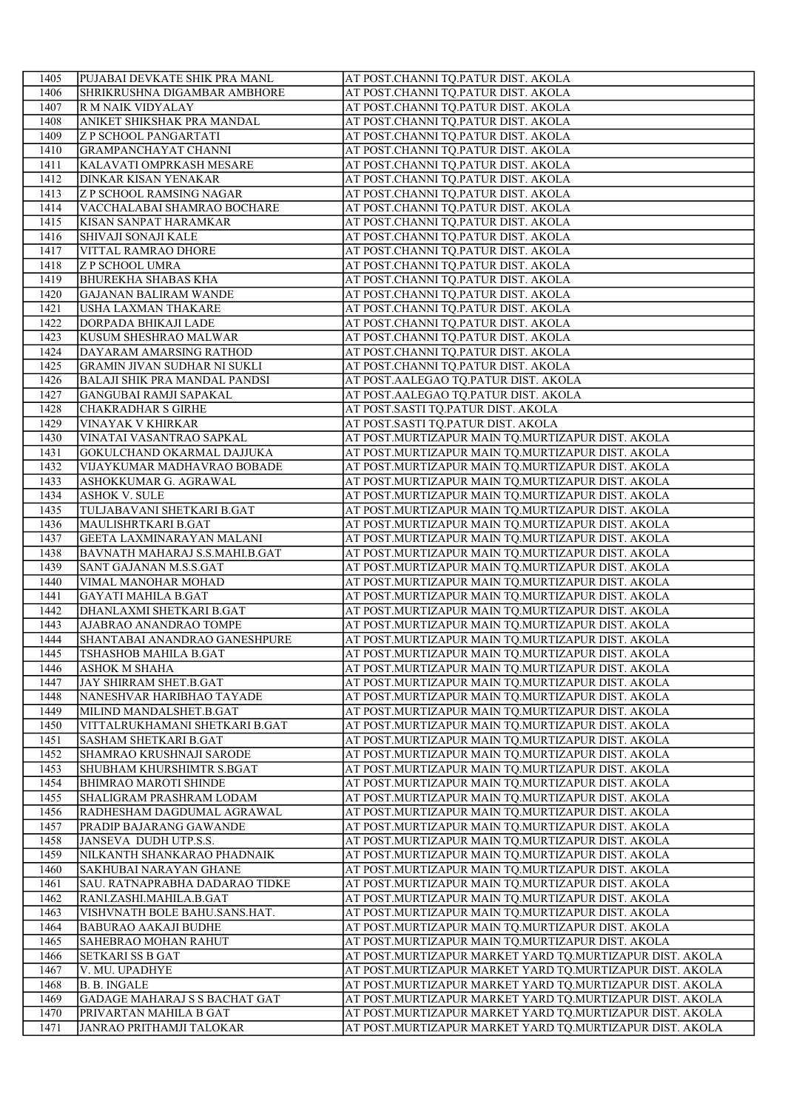| 1405         | PUJABAI DEVKATE SHIK PRA MANL                     | AT POST.CHANNI TQ.PATUR DIST. AKOLA                                                                    |
|--------------|---------------------------------------------------|--------------------------------------------------------------------------------------------------------|
| 1406         | SHRIKRUSHNA DIGAMBAR AMBHORE                      | AT POST.CHANNI TQ.PATUR DIST. AKOLA                                                                    |
| 1407         | R M NAIK VIDYALAY                                 | AT POST.CHANNI TQ.PATUR DIST. AKOLA                                                                    |
| 1408         | ANIKET SHIKSHAK PRA MANDAL                        | AT POST.CHANNI TQ.PATUR DIST. AKOLA                                                                    |
| 1409         | <b>Z P SCHOOL PANGARTATI</b>                      | AT POST.CHANNI TQ.PATUR DIST. AKOLA                                                                    |
| 1410         | <b>GRAMPANCHAYAT CHANNI</b>                       | AT POST.CHANNI TQ.PATUR DIST. AKOLA                                                                    |
| 1411         | KALAVATI OMPRKASH MESARE                          | AT POST.CHANNI TQ.PATUR DIST. AKOLA                                                                    |
| 1412         | <b>DINKAR KISAN YENAKAR</b>                       | AT POST.CHANNI TQ.PATUR DIST. AKOLA                                                                    |
| 1413         | <b>Z P SCHOOL RAMSING NAGAR</b>                   | AT POST.CHANNI TO.PATUR DIST. AKOLA                                                                    |
| 1414         | VACCHALABAI SHAMRAO BOCHARE                       | AT POST.CHANNI TQ.PATUR DIST. AKOLA                                                                    |
| 1415         | KISAN SANPAT HARAMKAR                             | AT POST.CHANNI TQ.PATUR DIST. AKOLA                                                                    |
| 1416         | <b>SHIVAJI SONAJI KALE</b>                        | AT POST.CHANNI TQ.PATUR DIST. AKOLA                                                                    |
| 1417         | VITTAL RAMRAO DHORE                               | AT POST.CHANNI TQ.PATUR DIST. AKOLA                                                                    |
| 1418         | <b>Z P SCHOOL UMRA</b>                            | AT POST.CHANNI TQ.PATUR DIST. AKOLA                                                                    |
| 1419         | <b>BHUREKHA SHABAS KHA</b>                        | AT POST.CHANNI TQ.PATUR DIST. AKOLA                                                                    |
| 1420         | <b>GAJANAN BALIRAM WANDE</b>                      | AT POST.CHANNI TQ.PATUR DIST. AKOLA                                                                    |
| 1421         | <b>USHA LAXMAN THAKARE</b>                        | AT POST.CHANNI TQ.PATUR DIST. AKOLA                                                                    |
| 1422         | DORPADA BHIKAJI LADE                              | AT POST.CHANNI TQ.PATUR DIST. AKOLA                                                                    |
| 1423         | KUSUM SHESHRAO MALWAR                             | AT POST.CHANNI TQ.PATUR DIST. AKOLA                                                                    |
| 1424         | DAYARAM AMARSING RATHOD                           | AT POST.CHANNI TQ.PATUR DIST. AKOLA                                                                    |
| 1425         | GRAMIN JIVAN SUDHAR NI SUKLI                      | AT POST.CHANNI TQ.PATUR DIST. AKOLA                                                                    |
| 1426         | <b>BALAJI SHIK PRA MANDAL PANDSI</b>              | AT POST.AALEGAO TQ.PATUR DIST. AKOLA                                                                   |
| 1427         | GANGUBAI RAMJI SAPAKAL                            | AT POST.AALEGAO TQ.PATUR DIST. AKOLA                                                                   |
| 1428         | <b>CHAKRADHAR S GIRHE</b>                         | AT POST.SASTI TQ.PATUR DIST. AKOLA                                                                     |
| 1429         | <b>VINAYAK V KHIRKAR</b>                          | AT POST.SASTI TQ.PATUR DIST. AKOLA                                                                     |
| 1430         | VINATAI VASANTRAO SAPKAL                          | AT POST.MURTIZAPUR MAIN TQ.MURTIZAPUR DIST. AKOLA                                                      |
| 1431         | GOKULCHAND OKARMAL DAJJUKA                        | AT POST.MURTIZAPUR MAIN TQ.MURTIZAPUR DIST. AKOLA                                                      |
| 1432         | VIJAYKUMAR MADHAVRAO BOBADE                       | AT POST.MURTIZAPUR MAIN TQ.MURTIZAPUR DIST. AKOLA                                                      |
| 1433         | ASHOKKUMAR G. AGRAWAL                             | AT POST.MURTIZAPUR MAIN TQ.MURTIZAPUR DIST. AKOLA                                                      |
| 1434         | <b>ASHOK V. SULE</b>                              | AT POST.MURTIZAPUR MAIN TQ.MURTIZAPUR DIST. AKOLA                                                      |
| 1435         | TULJABAVANI SHETKARI B.GAT                        | AT POST.MURTIZAPUR MAIN TQ.MURTIZAPUR DIST. AKOLA                                                      |
| 1436         | MAULISHRTKARI B.GAT                               | AT POST.MURTIZAPUR MAIN TQ.MURTIZAPUR DIST. AKOLA                                                      |
| 1437         | <b>GEETA LAXMINARAYAN MALANI</b>                  | AT POST.MURTIZAPUR MAIN TQ.MURTIZAPUR DIST. AKOLA                                                      |
| 1438         | BAVNATH MAHARAJ S.S.MAHI.B.GAT                    | AT POST.MURTIZAPUR MAIN TQ.MURTIZAPUR DIST. AKOLA                                                      |
| 1439         | SANT GAJANAN M.S.S.GAT                            | AT POST.MURTIZAPUR MAIN TQ.MURTIZAPUR DIST. AKOLA                                                      |
| 1440         | VIMAL MANOHAR MOHAD                               | AT POST.MURTIZAPUR MAIN TQ.MURTIZAPUR DIST. AKOLA                                                      |
| 1441         | <b>GAYATI MAHILA B.GAT</b>                        | AT POST.MURTIZAPUR MAIN TQ.MURTIZAPUR DIST. AKOLA                                                      |
| 1442         | DHANLAXMI SHETKARI B.GAT                          | AT POST.MURTIZAPUR MAIN TQ.MURTIZAPUR DIST. AKOLA                                                      |
| 1443         | AJABRAO ANANDRAO TOMPE                            | AT POST.MURTIZAPUR MAIN TQ.MURTIZAPUR DIST. AKOLA                                                      |
| 1444         | SHANTABAI ANANDRAO GANESHPURE                     | AT POST.MURTIZAPUR MAIN TQ.MURTIZAPUR DIST. AKOLA                                                      |
| 1445         | TSHASHOB MAHILA B.GAT                             | AT POST.MURTIZAPUR MAIN TQ.MURTIZAPUR DIST. AKOLA                                                      |
| 1446         | <b>ASHOK M SHAHA</b>                              | AT POST.MURTIZAPUR MAIN TQ.MURTIZAPUR DIST. AKOLA                                                      |
| 1447         | JAY SHIRRAM SHET.B.GAT                            | AT POST.MURTIZAPUR MAIN TQ.MURTIZAPUR DIST. AKOLA                                                      |
| 1448         | NANESHVAR HARIBHAO TAYADE                         | AT POST.MURTIZAPUR MAIN TQ.MURTIZAPUR DIST. AKOLA                                                      |
| 1449         | MILIND MANDALSHET.B.GAT                           | AT POST.MURTIZAPUR MAIN TQ.MURTIZAPUR DIST. AKOLA                                                      |
| 1450         | VITTALRUKHAMANI SHETKARI B.GAT                    | AT POST.MURTIZAPUR MAIN TQ.MURTIZAPUR DIST. AKOLA                                                      |
| 1451<br>1452 | SASHAM SHETKARI B.GAT<br>SHAMRAO KRUSHNAJI SARODE | AT POST.MURTIZAPUR MAIN TQ.MURTIZAPUR DIST. AKOLA<br>AT POST.MURTIZAPUR MAIN TQ.MURTIZAPUR DIST. AKOLA |
| 1453         | SHUBHAM KHURSHIMTR S.BGAT                         | AT POST.MURTIZAPUR MAIN TQ.MURTIZAPUR DIST. AKOLA                                                      |
| 1454         | <b>BHIMRAO MAROTI SHINDE</b>                      | AT POST.MURTIZAPUR MAIN TQ.MURTIZAPUR DIST. AKOLA                                                      |
| 1455         | SHALIGRAM PRASHRAM LODAM                          | AT POST.MURTIZAPUR MAIN TQ.MURTIZAPUR DIST. AKOLA                                                      |
| 1456         | RADHESHAM DAGDUMAL AGRAWAL                        | AT POST.MURTIZAPUR MAIN TQ.MURTIZAPUR DIST. AKOLA                                                      |
| 1457         | PRADIP BAJARANG GAWANDE                           | AT POST.MURTIZAPUR MAIN TQ.MURTIZAPUR DIST. AKOLA                                                      |
| 1458         | JANSEVA DUDH UTP.S.S.                             | AT POST.MURTIZAPUR MAIN TQ.MURTIZAPUR DIST. AKOLA                                                      |
| 1459         | NILKANTH SHANKARAO PHADNAIK                       | AT POST.MURTIZAPUR MAIN TQ.MURTIZAPUR DIST. AKOLA                                                      |
| 1460         | SAKHUBAI NARAYAN GHANE                            | AT POST.MURTIZAPUR MAIN TQ.MURTIZAPUR DIST. AKOLA                                                      |
| 1461         | SAU. RATNAPRABHA DADARAO TIDKE                    | AT POST.MURTIZAPUR MAIN TQ.MURTIZAPUR DIST. AKOLA                                                      |
| 1462         | RANI.ZASHI.MAHILA.B.GAT                           | AT POST.MURTIZAPUR MAIN TQ.MURTIZAPUR DIST. AKOLA                                                      |
| 1463         | VISHVNATH BOLE BAHU.SANS.HAT.                     | AT POST.MURTIZAPUR MAIN TQ.MURTIZAPUR DIST. AKOLA                                                      |
| 1464         | <b>BABURAO AAKAJI BUDHE</b>                       | AT POST.MURTIZAPUR MAIN TQ.MURTIZAPUR DIST. AKOLA                                                      |
| 1465         | SAHEBRAO MOHAN RAHUT                              | AT POST.MURTIZAPUR MAIN TQ.MURTIZAPUR DIST. AKOLA                                                      |
| 1466         | <b>SETKARI SS B GAT</b>                           | AT POST.MURTIZAPUR MARKET YARD TQ.MURTIZAPUR DIST. AKOLA                                               |
| 1467         | V. MU. UPADHYE                                    | AT POST.MURTIZAPUR MARKET YARD TQ.MURTIZAPUR DIST. AKOLA                                               |
| 1468         | <b>B. B. INGALE</b>                               | AT POST.MURTIZAPUR MARKET YARD TQ.MURTIZAPUR DIST. AKOLA                                               |
| 1469         | GADAGE MAHARAJ S S BACHAT GAT                     | AT POST.MURTIZAPUR MARKET YARD TQ.MURTIZAPUR DIST. AKOLA                                               |
| 1470         | PRIVARTAN MAHILA B GAT                            | AT POST.MURTIZAPUR MARKET YARD TQ.MURTIZAPUR DIST. AKOLA                                               |
| 1471         | JANRAO PRITHAMJI TALOKAR                          | AT POST.MURTIZAPUR MARKET YARD TQ.MURTIZAPUR DIST. AKOLA                                               |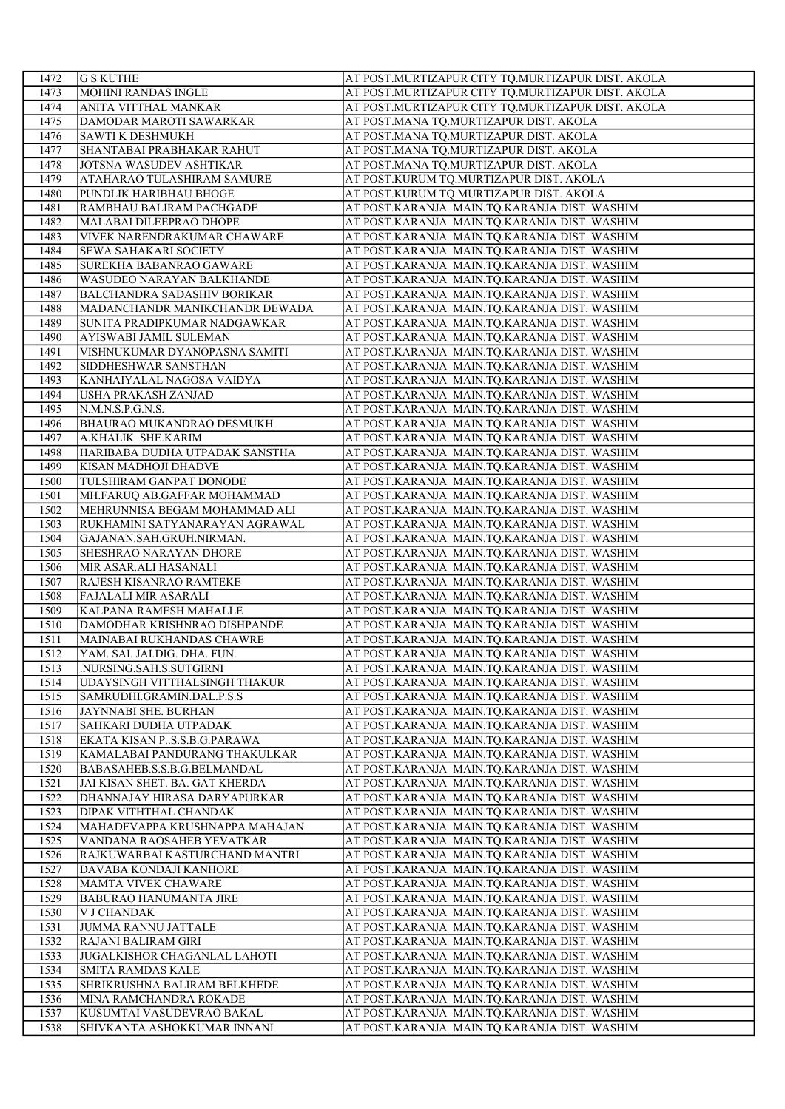| 1472         | <b>G S KUTHE</b>                                           | AT POST.MURTIZAPUR CITY TQ.MURTIZAPUR DIST. AKOLA                                            |
|--------------|------------------------------------------------------------|----------------------------------------------------------------------------------------------|
| 1473         | <b>MOHINI RANDAS INGLE</b>                                 | AT POST.MURTIZAPUR CITY TQ.MURTIZAPUR DIST. AKOLA                                            |
| 1474         | ANITA VITTHAL MANKAR                                       | AT POST.MURTIZAPUR CITY TQ.MURTIZAPUR DIST. AKOLA                                            |
| 1475         | DAMODAR MAROTI SAWARKAR                                    | AT POST.MANA TQ.MURTIZAPUR DIST. AKOLA                                                       |
| 1476         | <b>SAWTI K DESHMUKH</b>                                    | AT POST.MANA TQ.MURTIZAPUR DIST. AKOLA                                                       |
| 1477         | SHANTABAI PRABHAKAR RAHUT                                  | AT POST.MANA TQ.MURTIZAPUR DIST. AKOLA                                                       |
| 1478         | JOTSNA WASUDEV ASHTIKAR                                    | AT POST.MANA TQ.MURTIZAPUR DIST. AKOLA                                                       |
| 1479         | ATAHARAO TULASHIRAM SAMURE                                 | AT POST.KURUM TQ.MURTIZAPUR DIST. AKOLA                                                      |
| 1480         | PUNDLIK HARIBHAU BHOGE                                     | AT POST.KURUM TQ.MURTIZAPUR DIST. AKOLA                                                      |
| 1481         | RAMBHAU BALIRAM PACHGADE                                   | AT POST.KARANJA MAIN.TQ.KARANJA DIST. WASHIM                                                 |
| 1482         | MALABAI DILEEPRAO DHOPE                                    | AT POST.KARANJA MAIN.TQ.KARANJA DIST. WASHIM                                                 |
| 1483         | VIVEK NARENDRAKUMAR CHAWARE                                | AT POST.KARANJA MAIN.TQ.KARANJA DIST. WASHIM                                                 |
| 1484         | <b>SEWA SAHAKARI SOCIETY</b>                               | AT POST.KARANJA MAIN.TQ.KARANJA DIST. WASHIM                                                 |
| 1485         | SUREKHA BABANRAO GAWARE                                    | AT POST.KARANJA MAIN.TQ.KARANJA DIST. WASHIM                                                 |
| 1486         | <b>WASUDEO NARAYAN BALKHANDE</b>                           | AT POST.KARANJA MAIN.TQ.KARANJA DIST. WASHIM                                                 |
| 1487         | <b>BALCHANDRA SADASHIV BORIKAR</b>                         | AT POST.KARANJA MAIN.TQ.KARANJA DIST. WASHIM                                                 |
| 1488         | MADANCHANDR MANIKCHANDR DEWADA                             | AT POST.KARANJA MAIN.TQ.KARANJA DIST. WASHIM                                                 |
| 1489         | SUNITA PRADIPKUMAR NADGAWKAR                               | AT POST.KARANJA MAIN.TQ.KARANJA DIST. WASHIM                                                 |
| 1490         | AYISWABI JAMIL SULEMAN                                     | AT POST.KARANJA MAIN.TQ.KARANJA DIST. WASHIM                                                 |
| 1491         | VISHNUKUMAR DYANOPASNA SAMITI                              | AT POST.KARANJA MAIN.TQ.KARANJA DIST. WASHIM                                                 |
| 1492         | SIDDHESHWAR SANSTHAN                                       | AT POST.KARANJA MAIN.TQ.KARANJA DIST. WASHIM                                                 |
| 1493         | KANHAIYALAL NAGOSA VAIDYA                                  | AT POST.KARANJA MAIN.TO.KARANJA DIST. WASHIM                                                 |
| 1494         | <b>USHA PRAKASH ZANJAD</b>                                 | AT POST.KARANJA MAIN.TQ.KARANJA DIST. WASHIM                                                 |
| 1495         | N.M.N.S.P.G.N.S.                                           | AT POST.KARANJA MAIN.TQ.KARANJA DIST. WASHIM                                                 |
| 1496         | <b>BHAURAO MUKANDRAO DESMUKH</b>                           | AT POST.KARANJA MAIN.TQ.KARANJA DIST. WASHIM                                                 |
| 1497         | A.KHALIK SHE.KARIM                                         | AT POST.KARANJA MAIN.TQ.KARANJA DIST. WASHIM                                                 |
| 1498         | HARIBABA DUDHA UTPADAK SANSTHA                             | AT POST.KARANJA MAIN.TQ.KARANJA DIST. WASHIM                                                 |
| 1499         | KISAN MADHOJI DHADVE                                       | AT POST.KARANJA MAIN.TQ.KARANJA DIST. WASHIM                                                 |
| 1500         | TULSHIRAM GANPAT DONODE                                    | AT POST.KARANJA MAIN.TQ.KARANJA DIST. WASHIM                                                 |
| 1501         | MH.FARUQ AB.GAFFAR MOHAMMAD                                | AT POST.KARANJA MAIN.TQ.KARANJA DIST. WASHIM                                                 |
| 1502         | MEHRUNNISA BEGAM MOHAMMAD ALI                              | AT POST.KARANJA MAIN.TQ.KARANJA DIST. WASHIM                                                 |
| 1503         | RUKHAMINI SATYANARAYAN AGRAWAL                             | AT POST.KARANJA MAIN.TQ.KARANJA DIST. WASHIM                                                 |
| 1504         | GAJANAN.SAH.GRUH.NIRMAN.                                   | AT POST.KARANJA MAIN.TQ.KARANJA DIST. WASHIM                                                 |
| 1505         | SHESHRAO NARAYAN DHORE                                     | AT POST.KARANJA MAIN.TQ.KARANJA DIST. WASHIM                                                 |
| 1506         | MIR ASAR.ALI HASANALI                                      | AT POST.KARANJA MAIN.TQ.KARANJA DIST. WASHIM                                                 |
| 1507         | RAJESH KISANRAO RAMTEKE                                    | AT POST.KARANJA MAIN.TQ.KARANJA DIST. WASHIM                                                 |
| 1508         | <b>FAJALALI MIR ASARALI</b>                                | AT POST.KARANJA MAIN.TQ.KARANJA DIST. WASHIM                                                 |
| 1509         | KALPANA RAMESH MAHALLE                                     | AT POST.KARANJA MAIN.TQ.KARANJA DIST. WASHIM                                                 |
| 1510         | DAMODHAR KRISHNRAO DISHPANDE                               | AT POST.KARANJA MAIN.TQ.KARANJA DIST. WASHIM                                                 |
| 1511         | MAINABAI RUKHANDAS CHAWRE                                  | AT POST.KARANJA MAIN.TQ.KARANJA DIST. WASHIM                                                 |
| 1512         | YAM. SAI. JAI.DIG. DHA. FUN.                               | AT POST.KARANJA MAIN.TQ.KARANJA DIST. WASHIM                                                 |
| 1513         | NURSING.SAH.S.SUTGIRNI                                     | AT POST.KARANJA MAIN.TQ.KARANJA DIST. WASHIM                                                 |
| 1514         | UDAYSINGH VITTHALSINGH THAKUR<br>SAMRUDHI.GRAMIN.DAL.P.S.S | AT POST.KARANJA MAIN.TQ.KARANJA DIST. WASHIM                                                 |
| 1515         |                                                            | AT POST.KARANJA MAIN.TQ.KARANJA DIST. WASHIM                                                 |
| 1516         | JAYNNABI SHE. BURHAN                                       | AT POST.KARANJA MAIN.TQ.KARANJA DIST. WASHIM                                                 |
| 1517<br>1518 | SAHKARI DUDHA UTPADAK<br>EKATA KISAN PS.S.B.G.PARAWA       | AT POST.KARANJA MAIN.TQ.KARANJA DIST. WASHIM<br>AT POST.KARANJA MAIN.TQ.KARANJA DIST. WASHIM |
| 1519         | KAMALABAI PANDURANG THAKULKAR                              | AT POST.KARANJA MAIN.TQ.KARANJA DIST. WASHIM                                                 |
| 1520         | BABASAHEB.S.S.B.G.BELMANDAL                                | AT POST.KARANJA MAIN.TQ.KARANJA DIST. WASHIM                                                 |
| 1521         | JAI KISAN SHET. BA. GAT KHERDA                             | AT POST.KARANJA MAIN.TQ.KARANJA DIST. WASHIM                                                 |
| 1522         | DHANNAJAY HIRASA DARYAPURKAR                               | AT POST.KARANJA MAIN.TQ.KARANJA DIST. WASHIM                                                 |
| 1523         | DIPAK VITHTHAL CHANDAK                                     | AT POST.KARANJA MAIN.TQ.KARANJA DIST. WASHIM                                                 |
| 1524         | MAHADEVAPPA KRUSHNAPPA MAHAJAN                             | AT POST.KARANJA MAIN.TQ.KARANJA DIST. WASHIM                                                 |
| 1525         | VANDANA RAOSAHEB YEVATKAR                                  | AT POST.KARANJA MAIN.TQ.KARANJA DIST. WASHIM                                                 |
| 1526         | RAJKUWARBAI KASTURCHAND MANTRI                             | AT POST.KARANJA MAIN.TQ.KARANJA DIST. WASHIM                                                 |
| 1527         | DAVABA KONDAJI KANHORE                                     | AT POST.KARANJA MAIN.TQ.KARANJA DIST. WASHIM                                                 |
| 1528         | MAMTA VIVEK CHAWARE                                        | AT POST.KARANJA MAIN.TQ.KARANJA DIST. WASHIM                                                 |
| 1529         | <b>BABURAO HANUMANTA JIRE</b>                              | AT POST.KARANJA MAIN.TQ.KARANJA DIST. WASHIM                                                 |
| 1530         | <b>V J CHANDAK</b>                                         | AT POST.KARANJA MAIN.TQ.KARANJA DIST. WASHIM                                                 |
| 1531         | JUMMA RANNU JATTALE                                        | AT POST.KARANJA MAIN.TQ.KARANJA DIST. WASHIM                                                 |
| 1532         | RAJANI BALIRAM GIRI                                        | AT POST.KARANJA MAIN.TQ.KARANJA DIST. WASHIM                                                 |
| 1533         | JUGALKISHOR CHAGANLAL LAHOTI                               | AT POST.KARANJA MAIN.TQ.KARANJA DIST. WASHIM                                                 |
| 1534         | <b>SMITA RAMDAS KALE</b>                                   | AT POST.KARANJA MAIN.TQ.KARANJA DIST. WASHIM                                                 |
| 1535         | SHRIKRUSHNA BALIRAM BELKHEDE                               | AT POST.KARANJA MAIN.TQ.KARANJA DIST. WASHIM                                                 |
| 1536         | MINA RAMCHANDRA ROKADE                                     | AT POST.KARANJA MAIN.TQ.KARANJA DIST. WASHIM                                                 |
| 1537         | KUSUMTAI VASUDEVRAO BAKAL                                  | AT POST.KARANJA MAIN.TQ.KARANJA DIST. WASHIM                                                 |
| 1538         | SHIVKANTA ASHOKKUMAR INNANI                                | AT POST.KARANJA MAIN.TQ.KARANJA DIST. WASHIM                                                 |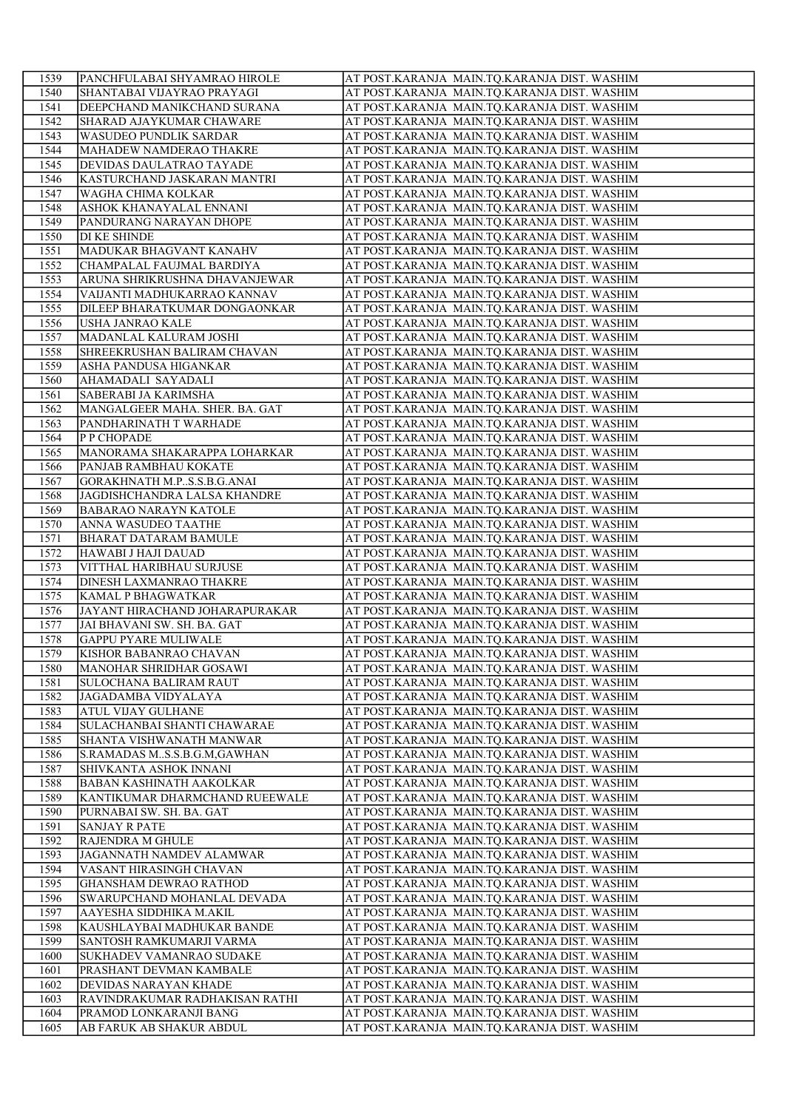| 1539         | PANCHFULABAI SHYAMRAO HIROLE                             | AT POST.KARANJA MAIN.TO.KARANJA DIST. WASHIM                                                 |
|--------------|----------------------------------------------------------|----------------------------------------------------------------------------------------------|
| 1540         | SHANTABAI VIJAYRAO PRAYAGI                               | AT POST.KARANJA MAIN.TQ.KARANJA DIST. WASHIM                                                 |
| 1541         | DEEPCHAND MANIKCHAND SURANA                              | AT POST.KARANJA MAIN.TQ.KARANJA DIST. WASHIM                                                 |
| 1542         | SHARAD AJAYKUMAR CHAWARE                                 | AT POST.KARANJA MAIN.TQ.KARANJA DIST. WASHIM                                                 |
| 1543         | WASUDEO PUNDLIK SARDAR                                   | AT POST.KARANJA MAIN.TQ.KARANJA DIST. WASHIM                                                 |
| 1544         | MAHADEW NAMDERAO THAKRE                                  | AT POST.KARANJA MAIN.TQ.KARANJA DIST. WASHIM                                                 |
| 1545         | DEVIDAS DAULATRAO TAYADE                                 | AT POST.KARANJA MAIN.TQ.KARANJA DIST. WASHIM                                                 |
| 1546         | KASTURCHAND JASKARAN MANTRI                              | AT POST.KARANJA MAIN.TQ.KARANJA DIST. WASHIM                                                 |
| 1547         | <b>WAGHA CHIMA KOLKAR</b>                                | AT POST.KARANJA MAIN.TQ.KARANJA DIST. WASHIM                                                 |
| 1548         | ASHOK KHANAYALAL ENNANI                                  | AT POST.KARANJA MAIN.TQ.KARANJA DIST. WASHIM                                                 |
| 1549         | PANDURANG NARAYAN DHOPE                                  | AT POST.KARANJA MAIN.TQ.KARANJA DIST. WASHIM                                                 |
| 1550         | <b>DI KE SHINDE</b>                                      | AT POST.KARANJA MAIN.TQ.KARANJA DIST. WASHIM                                                 |
| 1551         | MADUKAR BHAGVANT KANAHV                                  | AT POST.KARANJA MAIN.TQ.KARANJA DIST. WASHIM                                                 |
| 1552         | CHAMPALAL FAUJMAL BARDIYA                                | AT POST.KARANJA MAIN.TQ.KARANJA DIST. WASHIM                                                 |
| 1553         | ARUNA SHRIKRUSHNA DHAVANJEWAR                            | AT POST.KARANJA MAIN.TQ.KARANJA DIST. WASHIM                                                 |
| 1554         | VAIJANTI MADHUKARRAO KANNAV                              | AT POST.KARANJA MAIN.TQ.KARANJA DIST. WASHIM                                                 |
| 1555         | DILEEP BHARATKUMAR DONGAONKAR                            | AT POST.KARANJA MAIN.TQ.KARANJA DIST. WASHIM                                                 |
| 1556         | USHA JANRAO KALE                                         | AT POST.KARANJA MAIN.TQ.KARANJA DIST. WASHIM                                                 |
| 1557         | MADANLAL KALURAM JOSHI                                   | AT POST.KARANJA MAIN.TQ.KARANJA DIST. WASHIM                                                 |
| 1558<br>1559 | SHREEKRUSHAN BALIRAM CHAVAN<br>ASHA PANDUSA HIGANKAR     | AT POST.KARANJA MAIN.TQ.KARANJA DIST. WASHIM<br>AT POST.KARANJA MAIN.TQ.KARANJA DIST. WASHIM |
| 1560         | AHAMADALI SAYADALI                                       | AT POST.KARANJA MAIN.TO.KARANJA DIST. WASHIM                                                 |
| 1561         | SABERABI JA KARIMSHA                                     | AT POST.KARANJA MAIN.TQ.KARANJA DIST. WASHIM                                                 |
| 1562         | MANGALGEER MAHA. SHER. BA. GAT                           | AT POST.KARANJA MAIN.TQ.KARANJA DIST. WASHIM                                                 |
| 1563         | PANDHARINATH T WARHADE                                   | AT POST.KARANJA MAIN.TQ.KARANJA DIST. WASHIM                                                 |
| 1564         | <b>P P CHOPADE</b>                                       | AT POST.KARANJA MAIN.TQ.KARANJA DIST. WASHIM                                                 |
| 1565         | MANORAMA SHAKARAPPA LOHARKAR                             | AT POST.KARANJA MAIN.TQ.KARANJA DIST. WASHIM                                                 |
| 1566         | PANJAB RAMBHAU KOKATE                                    | AT POST.KARANJA MAIN.TQ.KARANJA DIST. WASHIM                                                 |
| 1567         | GORAKHNATH M.PS.S.B.G.ANAI                               | AT POST.KARANJA MAIN.TQ.KARANJA DIST. WASHIM                                                 |
| 1568         | JAGDISHCHANDRA LALSA KHANDRE                             | AT POST.KARANJA MAIN.TQ.KARANJA DIST. WASHIM                                                 |
| 1569         | <b>BABARAO NARAYN KATOLE</b>                             | AT POST.KARANJA MAIN.TQ.KARANJA DIST. WASHIM                                                 |
| 1570         | ANNA WASUDEO TAATHE                                      | AT POST.KARANJA MAIN.TQ.KARANJA DIST. WASHIM                                                 |
| 1571         | <b>BHARAT DATARAM BAMULE</b>                             | AT POST.KARANJA MAIN.TQ.KARANJA DIST. WASHIM                                                 |
| 1572         | HAWABI J HAJI DAUAD                                      | AT POST.KARANJA MAIN.TQ.KARANJA DIST. WASHIM                                                 |
| 1573         | VITTHAL HARIBHAU SURJUSE                                 | AT POST.KARANJA MAIN.TQ.KARANJA DIST. WASHIM                                                 |
| 1574         | <b>DINESH LAXMANRAO THAKRE</b>                           | AT POST.KARANJA MAIN.TQ.KARANJA DIST. WASHIM                                                 |
| 1575         | KAMAL P BHAGWATKAR                                       | AT POST.KARANJA MAIN.TQ.KARANJA DIST. WASHIM                                                 |
| 1576         | JAYANT HIRACHAND JOHARAPURAKAR                           | AT POST.KARANJA MAIN.TQ.KARANJA DIST. WASHIM                                                 |
| 1577         | JAI BHAVANI SW. SH. BA. GAT                              | AT POST.KARANJA MAIN.TQ.KARANJA DIST. WASHIM                                                 |
| 1578         | <b>GAPPU PYARE MULIWALE</b>                              | AT POST.KARANJA MAIN.TQ.KARANJA DIST. WASHIM                                                 |
| 1579         | KISHOR BABANRAO CHAVAN                                   | AT POST.KARANJA MAIN.TQ.KARANJA DIST. WASHIM                                                 |
| 1580<br>1581 | MANOHAR SHRIDHAR GOSAWI<br><b>SULOCHANA BALIRAM RAUT</b> | AT POST.KARANJA MAIN.TQ.KARANJA DIST. WASHIM<br>AT POST.KARANJA MAIN.TQ.KARANJA DIST. WASHIM |
| 1582         | JAGADAMBA VIDYALAYA                                      | AT POST.KARANJA MAIN.TQ.KARANJA DIST. WASHIM                                                 |
| 1583         | <b>ATUL VIJAY GULHANE</b>                                | AT POST.KARANJA MAIN.TQ.KARANJA DIST. WASHIM                                                 |
| 1584         | SULACHANBAI SHANTI CHAWARAE                              | AT POST.KARANJA MAIN.TQ.KARANJA DIST. WASHIM                                                 |
| 1585         | SHANTA VISHWANATH MANWAR                                 | AT POST.KARANJA MAIN.TQ.KARANJA DIST. WASHIM                                                 |
| 1586         | S.RAMADAS MS.S.B.G.M,GAWHAN                              | AT POST.KARANJA MAIN.TQ.KARANJA DIST. WASHIM                                                 |
| 1587         | SHIVKANTA ASHOK INNANI                                   | AT POST.KARANJA MAIN.TQ.KARANJA DIST. WASHIM                                                 |
| 1588         | <b>BABAN KASHINATH AAKOLKAR</b>                          | AT POST.KARANJA MAIN.TQ.KARANJA DIST. WASHIM                                                 |
| 1589         | KANTIKUMAR DHARMCHAND RUEEWALE                           | AT POST.KARANJA MAIN.TQ.KARANJA DIST. WASHIM                                                 |
| 1590         | PURNABAI SW. SH. BA. GAT                                 | AT POST.KARANJA MAIN.TQ.KARANJA DIST. WASHIM                                                 |
| 1591         | <b>SANJAY R PATE</b>                                     | AT POST.KARANJA MAIN.TQ.KARANJA DIST. WASHIM                                                 |
| 1592         | RAJENDRA M GHULE                                         | AT POST.KARANJA MAIN.TQ.KARANJA DIST. WASHIM                                                 |
| 1593         | JAGANNATH NAMDEV ALAMWAR                                 | AT POST.KARANJA MAIN.TQ.KARANJA DIST. WASHIM                                                 |
| 1594         | VASANT HIRASINGH CHAVAN                                  | AT POST.KARANJA MAIN.TQ.KARANJA DIST. WASHIM                                                 |
| 1595         | <b>GHANSHAM DEWRAO RATHOD</b>                            | AT POST.KARANJA MAIN.TQ.KARANJA DIST. WASHIM                                                 |
| 1596         | SWARUPCHAND MOHANLAL DEVADA                              | AT POST.KARANJA MAIN.TQ.KARANJA DIST. WASHIM                                                 |
| 1597         | AAYESHA SIDDHIKA M.AKIL                                  | AT POST.KARANJA MAIN.TQ.KARANJA DIST. WASHIM                                                 |
| 1598         | KAUSHLAYBAI MADHUKAR BANDE                               | AT POST.KARANJA MAIN.TQ.KARANJA DIST. WASHIM                                                 |
| 1599         | SANTOSH RAMKUMARJI VARMA                                 | AT POST.KARANJA MAIN.TQ.KARANJA DIST. WASHIM                                                 |
| 1600         | SUKHADEV VAMANRAO SUDAKE                                 | AT POST.KARANJA MAIN.TQ.KARANJA DIST. WASHIM                                                 |
| 1601<br>1602 | PRASHANT DEVMAN KAMBALE<br>DEVIDAS NARAYAN KHADE         | AT POST.KARANJA MAIN.TQ.KARANJA DIST. WASHIM<br>AT POST.KARANJA MAIN.TQ.KARANJA DIST. WASHIM |
| 1603         | RAVINDRAKUMAR RADHAKISAN RATHI                           | AT POST.KARANJA MAIN.TQ.KARANJA DIST. WASHIM                                                 |
| 1604         | PRAMOD LONKARANJI BANG                                   | AT POST.KARANJA MAIN.TQ.KARANJA DIST. WASHIM                                                 |
| 1605         | AB FARUK AB SHAKUR ABDUL                                 | AT POST.KARANJA MAIN.TQ.KARANJA DIST. WASHIM                                                 |
|              |                                                          |                                                                                              |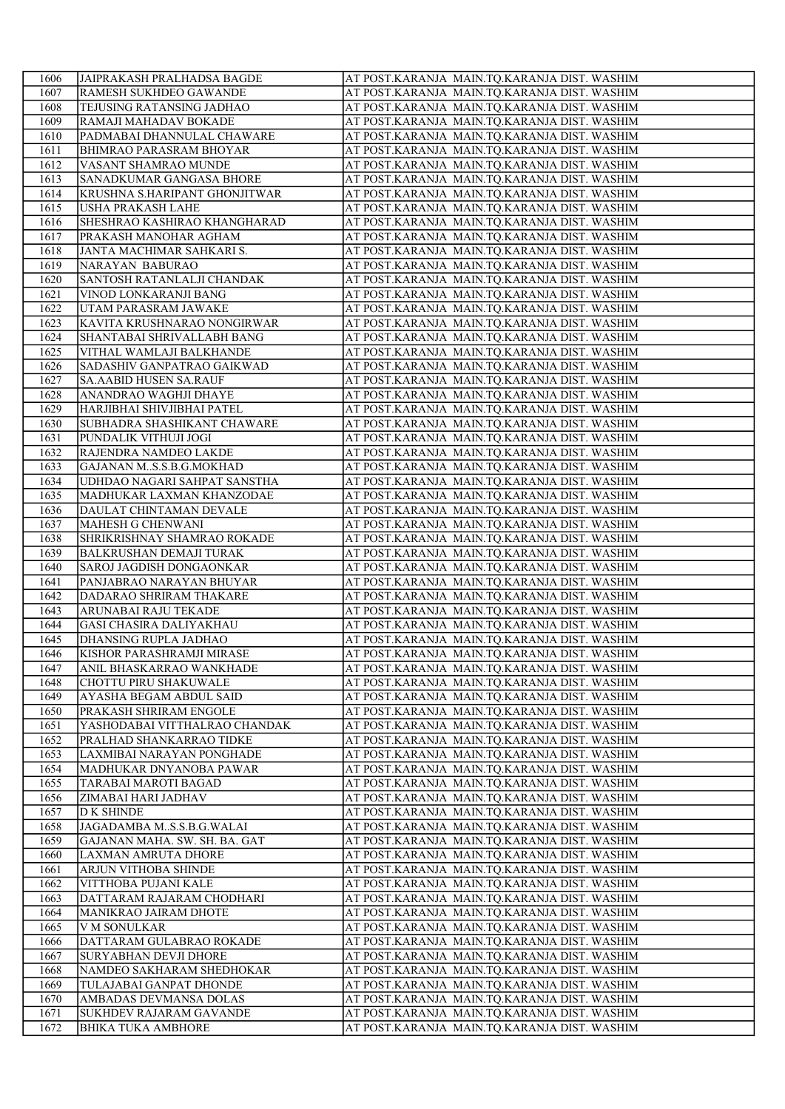| 1606         | JAIPRAKASH PRALHADSA BAGDE                             | AT POST.KARANJA MAIN.TO.KARANJA DIST. WASHIM                                                 |
|--------------|--------------------------------------------------------|----------------------------------------------------------------------------------------------|
| 1607         | <b>RAMESH SUKHDEO GAWANDE</b>                          | AT POST.KARANJA MAIN.TQ.KARANJA DIST. WASHIM                                                 |
| 1608         | <b>TEJUSING RATANSING JADHAO</b>                       | AT POST.KARANJA MAIN.TQ.KARANJA DIST. WASHIM                                                 |
| 1609         | RAMAJI MAHADAV BOKADE                                  | AT POST.KARANJA MAIN.TQ.KARANJA DIST. WASHIM                                                 |
| 1610         | PADMABAI DHANNULAL CHAWARE                             | AT POST.KARANJA MAIN.TQ.KARANJA DIST. WASHIM                                                 |
| 1611         | <b>BHIMRAO PARASRAM BHOYAR</b>                         | AT POST.KARANJA MAIN.TQ.KARANJA DIST. WASHIM                                                 |
| 1612         | VASANT SHAMRAO MUNDE                                   | AT POST.KARANJA MAIN.TQ.KARANJA DIST. WASHIM                                                 |
| 1613         | SANADKUMAR GANGASA BHORE                               | AT POST.KARANJA MAIN.TQ.KARANJA DIST. WASHIM                                                 |
| 1614         | KRUSHNA S.HARIPANT GHONJITWAR                          | AT POST.KARANJA MAIN.TQ.KARANJA DIST. WASHIM                                                 |
| 1615         | <b>USHA PRAKASH LAHE</b>                               | AT POST.KARANJA MAIN.TQ.KARANJA DIST. WASHIM                                                 |
| 1616         | <b>SHESHRAO KASHIRAO KHANGHARAD</b>                    | AT POST.KARANJA MAIN.TQ.KARANJA DIST. WASHIM                                                 |
| 1617         | PRAKASH MANOHAR AGHAM                                  | AT POST.KARANJA MAIN.TQ.KARANJA DIST. WASHIM                                                 |
| 1618         | JANTA MACHIMAR SAHKARI S.                              | AT POST. KARANJA MAIN. TQ. KARANJA DIST. WASHIM                                              |
| 1619         | NARAYAN BABURAO                                        | AT POST.KARANJA MAIN.TQ.KARANJA DIST. WASHIM                                                 |
| 1620         | SANTOSH RATANLALJI CHANDAK                             | AT POST.KARANJA MAIN.TQ.KARANJA DIST. WASHIM                                                 |
| 1621         | VINOD LONKARANJI BANG                                  | AT POST.KARANJA MAIN.TQ.KARANJA DIST. WASHIM                                                 |
| 1622         | UTAM PARASRAM JAWAKE                                   | AT POST.KARANJA MAIN.TQ.KARANJA DIST. WASHIM                                                 |
| 1623         | KAVITA KRUSHNARAO NONGIRWAR                            | AT POST.KARANJA MAIN.TQ.KARANJA DIST. WASHIM                                                 |
| 1624         | <b>SHANTABAI SHRIVALLABH BANG</b>                      | AT POST.KARANJA MAIN.TQ.KARANJA DIST. WASHIM                                                 |
| 1625         | VITHAL WAMLAJI BALKHANDE                               | AT POST.KARANJA MAIN.TQ.KARANJA DIST. WASHIM                                                 |
| 1626         | SADASHIV GANPATRAO GAIKWAD                             | AT POST.KARANJA MAIN.TQ.KARANJA DIST. WASHIM                                                 |
| 1627         | <b>SA.AABID HUSEN SA.RAUF</b>                          | AT POST.KARANJA MAIN.TO.KARANJA DIST. WASHIM                                                 |
| 1628         | ANANDRAO WAGHJI DHAYE                                  | AT POST.KARANJA MAIN.TQ.KARANJA DIST. WASHIM                                                 |
| 1629         | HARJIBHAI SHIVJIBHAI PATEL                             | AT POST.KARANJA MAIN.TQ.KARANJA DIST. WASHIM                                                 |
| 1630         | SUBHADRA SHASHIKANT CHAWARE                            | AT POST.KARANJA MAIN.TQ.KARANJA DIST. WASHIM                                                 |
| 1631         | PUNDALIK VITHUJI JOGI                                  | AT POST.KARANJA MAIN.TQ.KARANJA DIST. WASHIM                                                 |
| 1632         | RAJENDRA NAMDEO LAKDE                                  | AT POST.KARANJA MAIN.TQ.KARANJA DIST. WASHIM                                                 |
| 1633         | GAJANAN MS.S.B.G.MOKHAD                                | AT POST.KARANJA MAIN.TQ.KARANJA DIST. WASHIM                                                 |
| 1634         | UDHDAO NAGARI SAHPAT SANSTHA                           | AT POST.KARANJA MAIN.TQ.KARANJA DIST. WASHIM                                                 |
| 1635         | MADHUKAR LAXMAN KHANZODAE                              | AT POST.KARANJA MAIN.TQ.KARANJA DIST. WASHIM                                                 |
| 1636         | DAULAT CHINTAMAN DEVALE                                | AT POST.KARANJA MAIN.TQ.KARANJA DIST. WASHIM                                                 |
| 1637         | MAHESH G CHENWANI                                      | AT POST.KARANJA MAIN.TQ.KARANJA DIST. WASHIM                                                 |
| 1638         | SHRIKRISHNAY SHAMRAO ROKADE                            | AT POST.KARANJA MAIN.TQ.KARANJA DIST. WASHIM                                                 |
| 1639         | <b>BALKRUSHAN DEMAJI TURAK</b>                         |                                                                                              |
| 1640         | <b>SAROJ JAGDISH DONGAONKAR</b>                        | AT POST.KARANJA MAIN.TQ.KARANJA DIST. WASHIM<br>AT POST.KARANJA MAIN.TQ.KARANJA DIST. WASHIM |
| 1641         | PANJABRAO NARAYAN BHUYAR                               | AT POST.KARANJA MAIN.TQ.KARANJA DIST. WASHIM                                                 |
|              |                                                        | AT POST.KARANJA MAIN.TQ.KARANJA DIST. WASHIM                                                 |
| 1642         | DADARAO SHRIRAM THAKARE                                |                                                                                              |
| 1643<br>1644 | ARUNABAI RAJU TEKADE<br><b>GASI CHASIRA DALIYAKHAU</b> | AT POST.KARANJA MAIN.TQ.KARANJA DIST. WASHIM                                                 |
|              | DHANSING RUPLA JADHAO                                  | AT POST.KARANJA MAIN.TQ.KARANJA DIST. WASHIM                                                 |
| 1645         | KISHOR PARASHRAMJI MIRASE                              | AT POST.KARANJA MAIN.TQ.KARANJA DIST. WASHIM                                                 |
| 1646         |                                                        | AT POST.KARANJA MAIN.TQ.KARANJA DIST. WASHIM                                                 |
| 1647         | ANIL BHASKARRAO WANKHADE                               | AT POST.KARANJA MAIN.TQ.KARANJA DIST. WASHIM                                                 |
| 1648         | CHOTTU PIRU SHAKUWALE                                  | AT POST.KARANJA MAIN.TQ.KARANJA DIST. WASHIM                                                 |
| 1649         | AYASHA BEGAM ABDUL SAID                                | AT POST.KARANJA MAIN.TQ.KARANJA DIST. WASHIM                                                 |
| 1650         | PRAKASH SHRIRAM ENGOLE                                 | AT POST.KARANJA MAIN.TQ.KARANJA DIST. WASHIM                                                 |
| 1651         | YASHODABAI VITTHALRAO CHANDAK                          | AT POST.KARANJA MAIN.TQ.KARANJA DIST. WASHIM                                                 |
| 1652         | PRALHAD SHANKARRAO TIDKE                               | AT POST.KARANJA MAIN.TQ.KARANJA DIST. WASHIM                                                 |
| 1653         | LAXMIBAI NARAYAN PONGHADE                              | AT POST.KARANJA MAIN.TQ.KARANJA DIST. WASHIM                                                 |
| 1654         | MADHUKAR DNYANOBA PAWAR                                | AT POST.KARANJA MAIN.TQ.KARANJA DIST. WASHIM                                                 |
| 1655         | TARABAI MAROTI BAGAD                                   | AT POST.KARANJA MAIN.TQ.KARANJA DIST. WASHIM                                                 |
| 1656         | ZIMABAI HARI JADHAV                                    | AT POST.KARANJA MAIN.TQ.KARANJA DIST. WASHIM                                                 |
| 1657         | <b>D K SHINDE</b>                                      | AT POST.KARANJA MAIN.TQ.KARANJA DIST. WASHIM                                                 |
| 1658         | JAGADAMBA MS.S.B.G.WALAI                               | AT POST.KARANJA MAIN.TQ.KARANJA DIST. WASHIM                                                 |
| 1659         | GAJANAN MAHA. SW. SH. BA. GAT                          | AT POST.KARANJA MAIN.TQ.KARANJA DIST. WASHIM                                                 |
| 1660         | LAXMAN AMRUTA DHORE                                    | AT POST.KARANJA MAIN.TQ.KARANJA DIST. WASHIM                                                 |
| 1661         | <b>ARJUN VITHOBA SHINDE</b>                            | AT POST.KARANJA MAIN.TQ.KARANJA DIST. WASHIM                                                 |
| 1662         | VITTHOBA PUJANI KALE                                   | AT POST.KARANJA MAIN.TQ.KARANJA DIST. WASHIM                                                 |
| 1663         | DATTARAM RAJARAM CHODHARI                              | AT POST.KARANJA MAIN.TQ.KARANJA DIST. WASHIM                                                 |
| 1664         | MANIKRAO JAIRAM DHOTE                                  | AT POST.KARANJA MAIN.TQ.KARANJA DIST. WASHIM                                                 |
| 1665         | V M SONULKAR                                           | AT POST.KARANJA MAIN.TQ.KARANJA DIST. WASHIM                                                 |
| 1666         | DATTARAM GULABRAO ROKADE                               | AT POST.KARANJA MAIN.TQ.KARANJA DIST. WASHIM                                                 |
| 1667         | <b>SURYABHAN DEVJI DHORE</b>                           | AT POST.KARANJA MAIN.TQ.KARANJA DIST. WASHIM                                                 |
| 1668         | NAMDEO SAKHARAM SHEDHOKAR                              | AT POST.KARANJA MAIN.TQ.KARANJA DIST. WASHIM                                                 |
| 1669         | TULAJABAI GANPAT DHONDE                                | AT POST.KARANJA MAIN.TQ.KARANJA DIST. WASHIM                                                 |
| 1670         | AMBADAS DEVMANSA DOLAS                                 | AT POST.KARANJA MAIN.TQ.KARANJA DIST. WASHIM                                                 |
| 1671         | <b>SUKHDEV RAJARAM GAVANDE</b>                         | AT POST.KARANJA MAIN.TQ.KARANJA DIST. WASHIM                                                 |
| 1672         | <b>BHIKA TUKA AMBHORE</b>                              | AT POST.KARANJA MAIN.TQ.KARANJA DIST. WASHIM                                                 |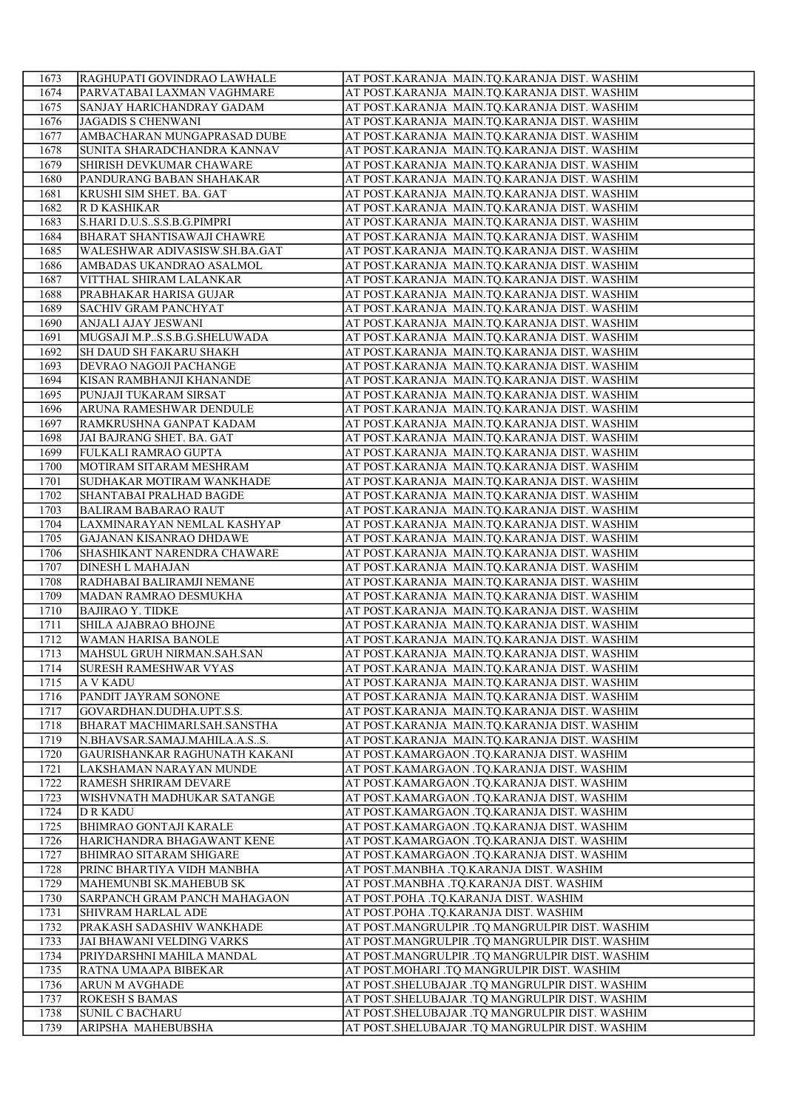| 1673         | RAGHUPATI GOVINDRAO LAWHALE                                  | AT POST.KARANJA MAIN.TQ.KARANJA DIST. WASHIM                                                 |
|--------------|--------------------------------------------------------------|----------------------------------------------------------------------------------------------|
| 1674         | PARVATABAI LAXMAN VAGHMARE                                   | AT POST.KARANJA MAIN.TQ.KARANJA DIST. WASHIM                                                 |
| 1675         | SANJAY HARICHANDRAY GADAM                                    | AT POST.KARANJA MAIN.TQ.KARANJA DIST. WASHIM                                                 |
| 1676         | JAGADIS S CHENWANI                                           | AT POST.KARANJA MAIN.TQ.KARANJA DIST. WASHIM                                                 |
| 1677         | AMBACHARAN MUNGAPRASAD DUBE                                  | AT POST.KARANJA MAIN.TQ.KARANJA DIST. WASHIM                                                 |
| 1678         | SUNITA SHARADCHANDRA KANNAV                                  | AT POST.KARANJA MAIN.TQ.KARANJA DIST. WASHIM                                                 |
| 1679         | SHIRISH DEVKUMAR CHAWARE                                     | AT POST.KARANJA MAIN.TQ.KARANJA DIST. WASHIM                                                 |
| 1680         | PANDURANG BABAN SHAHAKAR                                     | AT POST.KARANJA MAIN.TQ.KARANJA DIST. WASHIM                                                 |
| 1681         | KRUSHI SIM SHET. BA. GAT                                     | AT POST.KARANJA MAIN.TQ.KARANJA DIST. WASHIM                                                 |
| 1682         | R D KASHIKAR                                                 | AT POST.KARANJA MAIN.TQ.KARANJA DIST. WASHIM                                                 |
| 1683         | S.HARI D.U.SS.S.B.G.PIMPRI                                   | AT POST.KARANJA MAIN.TQ.KARANJA DIST. WASHIM                                                 |
| 1684         | <b>BHARAT SHANTISAWAJI CHAWRE</b>                            | AT POST.KARANJA MAIN.TQ.KARANJA DIST. WASHIM                                                 |
| 1685         | WALESHWAR ADIVASISW.SH.BA.GAT                                | AT POST.KARANJA MAIN.TQ.KARANJA DIST. WASHIM                                                 |
| 1686         | AMBADAS UKANDRAO ASALMOL                                     | AT POST.KARANJA MAIN.TQ.KARANJA DIST. WASHIM                                                 |
| 1687         | VITTHAL SHIRAM LALANKAR                                      | AT POST.KARANJA MAIN.TQ.KARANJA DIST. WASHIM                                                 |
| 1688         | PRABHAKAR HARISA GUJAR                                       | AT POST.KARANJA MAIN.TQ.KARANJA DIST. WASHIM                                                 |
| 1689         | <b>SACHIV GRAM PANCHYAT</b>                                  | AT POST.KARANJA MAIN.TQ.KARANJA DIST. WASHIM                                                 |
| 1690         | ANJALI AJAY JESWANI                                          | AT POST.KARANJA MAIN.TQ.KARANJA DIST. WASHIM                                                 |
| 1691         | MUGSAJI M.P., S.S.B.G. SHELUWADA                             | AT POST.KARANJA MAIN.TQ.KARANJA DIST. WASHIM                                                 |
| 1692         | SH DAUD SH FAKARU SHAKH                                      | AT POST.KARANJA MAIN.TQ.KARANJA DIST. WASHIM                                                 |
| 1693         | DEVRAO NAGOJI PACHANGE                                       | AT POST.KARANJA MAIN.TQ.KARANJA DIST. WASHIM                                                 |
| 1694         | KISAN RAMBHANJI KHANANDE                                     | AT POST.KARANJA MAIN.TO.KARANJA DIST. WASHIM                                                 |
| 1695         | PUNJAJI TUKARAM SIRSAT                                       | AT POST.KARANJA MAIN.TQ.KARANJA DIST. WASHIM                                                 |
| 1696         | ARUNA RAMESHWAR DENDULE                                      | AT POST.KARANJA MAIN.TQ.KARANJA DIST. WASHIM                                                 |
| 1697         | RAMKRUSHNA GANPAT KADAM                                      | AT POST.KARANJA MAIN.TQ.KARANJA DIST. WASHIM                                                 |
| 1698         | JAI BAJRANG SHET. BA. GAT                                    | AT POST.KARANJA MAIN.TQ.KARANJA DIST. WASHIM                                                 |
| 1699         | FULKALI RAMRAO GUPTA                                         | AT POST.KARANJA MAIN.TQ.KARANJA DIST. WASHIM                                                 |
| 1700         | MOTIRAM SITARAM MESHRAM                                      | AT POST.KARANJA MAIN.TQ.KARANJA DIST. WASHIM                                                 |
| 1701         | SUDHAKAR MOTIRAM WANKHADE                                    | AT POST.KARANJA MAIN.TQ.KARANJA DIST. WASHIM                                                 |
| 1702         | SHANTABAI PRALHAD BAGDE                                      | AT POST.KARANJA MAIN.TQ.KARANJA DIST. WASHIM                                                 |
| 1703         | <b>BALIRAM BABARAO RAUT</b>                                  | AT POST.KARANJA MAIN.TQ.KARANJA DIST. WASHIM                                                 |
| 1704         | LAXMINARAYAN NEMLAL KASHYAP                                  | AT POST.KARANJA MAIN.TQ.KARANJA DIST. WASHIM                                                 |
| 1705         | <b>GAJANAN KISANRAO DHDAWE</b>                               | AT POST.KARANJA MAIN.TQ.KARANJA DIST. WASHIM                                                 |
| 1706         | SHASHIKANT NARENDRA CHAWARE                                  | AT POST.KARANJA MAIN.TQ.KARANJA DIST. WASHIM                                                 |
| 1707         | <b>DINESH L MAHAJAN</b>                                      | AT POST.KARANJA MAIN.TQ.KARANJA DIST. WASHIM                                                 |
| 1708         | RADHABAI BALIRAMJI NEMANE                                    | AT POST.KARANJA MAIN.TQ.KARANJA DIST. WASHIM                                                 |
| 1709         | MADAN RAMRAO DESMUKHA                                        | AT POST.KARANJA MAIN.TQ.KARANJA DIST. WASHIM                                                 |
| 1710         | <b>BAJIRAO Y. TIDKE</b>                                      | AT POST.KARANJA MAIN.TQ.KARANJA DIST. WASHIM                                                 |
| 1711         | SHILA AJABRAO BHOJNE                                         | AT POST.KARANJA MAIN.TQ.KARANJA DIST. WASHIM                                                 |
| 1712         | WAMAN HARISA BANOLE                                          | AT POST.KARANJA MAIN.TQ.KARANJA DIST. WASHIM                                                 |
| 1713         | MAHSUL GRUH NIRMAN.SAH.SAN                                   | AT POST.KARANJA MAIN.TQ.KARANJA DIST. WASHIM                                                 |
| 1714         | <b>SURESH RAMESHWAR VYAS</b>                                 | AT POST.KARANJA MAIN.TQ.KARANJA DIST. WASHIM                                                 |
| 1715         | <b>A V KADU</b>                                              | AT POST.KARANJA MAIN.TQ.KARANJA DIST. WASHIM                                                 |
| 1716         | PANDIT JAYRAM SONONE                                         | AT POST.KARANJA MAIN.TQ.KARANJA DIST. WASHIM                                                 |
| 1717         | GOVARDHAN.DUDHA.UPT.S.S.                                     | AT POST.KARANJA MAIN.TQ.KARANJA DIST. WASHIM<br>AT POST.KARANJA MAIN.TQ.KARANJA DIST. WASHIM |
| 1718<br>1719 | BHARAT MACHIMARI.SAH.SANSTHA<br>N.BHAVSAR.SAMAJ.MAHILA.A.SS. |                                                                                              |
| 1720         | GAURISHANKAR RAGHUNATH KAKANI                                | AT POST.KARANJA MAIN.TQ.KARANJA DIST. WASHIM<br>AT POST.KAMARGAON .TQ.KARANJA DIST. WASHIM   |
| 1721         | LAKSHAMAN NARAYAN MUNDE                                      | AT POST.KAMARGAON .TQ.KARANJA DIST. WASHIM                                                   |
| 1722         | RAMESH SHRIRAM DEVARE                                        | AT POST.KAMARGAON .TQ.KARANJA DIST. WASHIM                                                   |
| 1723         | WISHVNATH MADHUKAR SATANGE                                   | AT POST.KAMARGAON .TQ.KARANJA DIST. WASHIM                                                   |
| 1724         | D R KADU                                                     | AT POST.KAMARGAON .TQ.KARANJA DIST. WASHIM                                                   |
| 1725         | <b>BHIMRAO GONTAJI KARALE</b>                                | AT POST.KAMARGAON .TQ.KARANJA DIST. WASHIM                                                   |
| 1726         | HARICHANDRA BHAGAWANT KENE                                   | AT POST.KAMARGAON .TQ.KARANJA DIST. WASHIM                                                   |
| 1727         | <b>BHIMRAO SITARAM SHIGARE</b>                               | AT POST.KAMARGAON .TQ.KARANJA DIST. WASHIM                                                   |
| 1728         | PRINC BHARTIYA VIDH MANBHA                                   | AT POST.MANBHA .TQ.KARANJA DIST. WASHIM                                                      |
| 1729         | MAHEMUNBI SK.MAHEBUB SK                                      | AT POST.MANBHA .TQ.KARANJA DIST. WASHIM                                                      |
| 1730         | <b>SARPANCH GRAM PANCH MAHAGAON</b>                          | AT POST.POHA .TQ.KARANJA DIST. WASHIM                                                        |
| 1731         | <b>SHIVRAM HARLAL ADE</b>                                    | AT POST.POHA .TQ.KARANJA DIST. WASHIM                                                        |
| 1732         | PRAKASH SADASHIV WANKHADE                                    | AT POST.MANGRULPIR .TQ MANGRULPIR DIST. WASHIM                                               |
| 1733         | JAI BHAWANI VELDING VARKS                                    | AT POST.MANGRULPIR .TQ MANGRULPIR DIST. WASHIM                                               |
| 1734         | PRIYDARSHNI MAHILA MANDAL                                    | AT POST.MANGRULPIR .TQ MANGRULPIR DIST. WASHIM                                               |
| 1735         | RATNA UMAAPA BIBEKAR                                         | AT POST.MOHARI .TQ MANGRULPIR DIST. WASHIM                                                   |
| 1736         | <b>ARUN M AVGHADE</b>                                        | AT POST. SHELUBAJAR .TQ MANGRULPIR DIST. WASHIM                                              |
| 1737         | <b>ROKESH S BAMAS</b>                                        | AT POST. SHELUBAJAR .TQ MANGRULPIR DIST. WASHIM                                              |
| 1738         | <b>SUNIL C BACHARU</b>                                       | AT POST.SHELUBAJAR .TQ MANGRULPIR DIST. WASHIM                                               |
| 1739         | ARIPSHA MAHEBUBSHA                                           | AT POST.SHELUBAJAR .TQ MANGRULPIR DIST. WASHIM                                               |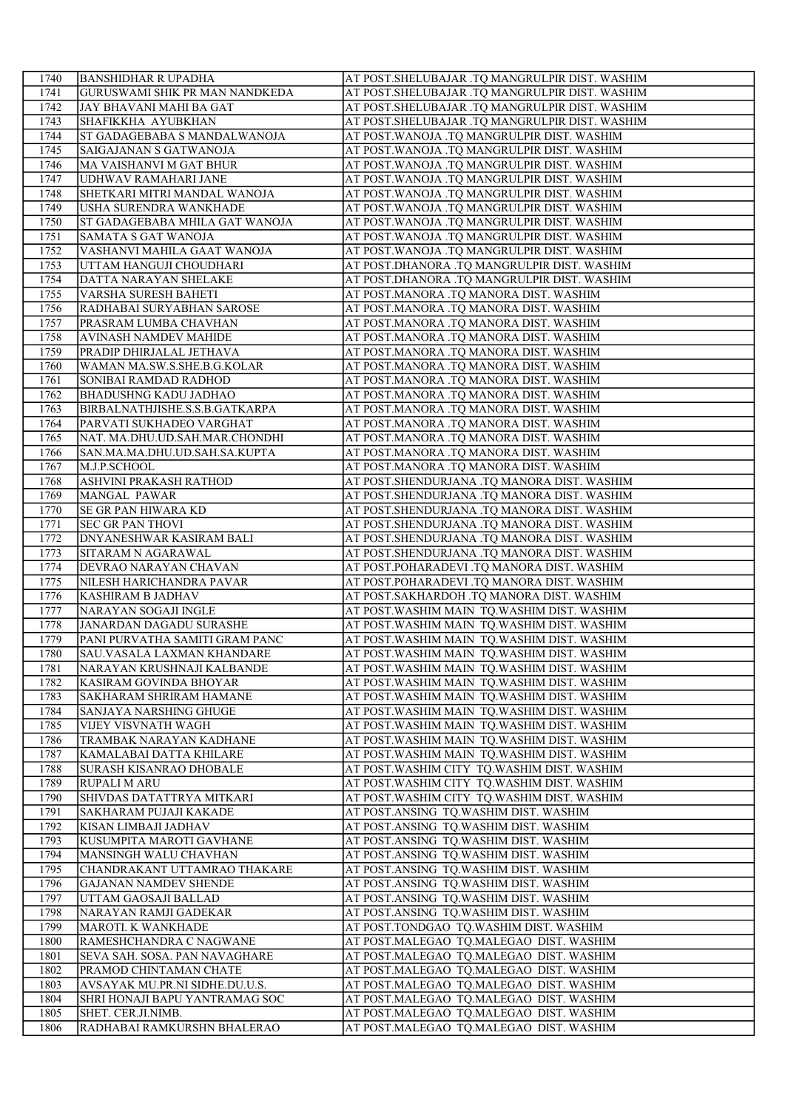| 1740 | <b>BANSHIDHAR R UPADHA</b>                            | AT POST.SHELUBAJAR .TQ MANGRULPIR DIST. WASHIM                                 |
|------|-------------------------------------------------------|--------------------------------------------------------------------------------|
| 1741 | <b>GURUSWAMI SHIK PR MAN NANDKEDA</b>                 | AT POST.SHELUBAJAR .TQ MANGRULPIR DIST. WASHIM                                 |
| 1742 | JAY BHAVANI MAHI BA GAT                               | AT POST.SHELUBAJAR .TQ MANGRULPIR DIST. WASHIM                                 |
| 1743 | SHAFIKKHA AYUBKHAN                                    | AT POST.SHELUBAJAR .TQ MANGRULPIR DIST. WASHIM                                 |
| 1744 | ST GADAGEBABA S MANDALWANOJA                          | AT POST.WANOJA .TQ MANGRULPIR DIST. WASHIM                                     |
| 1745 | SAIGAJANAN S GATWANOJA                                | AT POST.WANOJA .TQ MANGRULPIR DIST. WASHIM                                     |
| 1746 | MA VAISHANVI M GAT BHUR                               | AT POST. WANOJA .TQ MANGRULPIR DIST. WASHIM                                    |
| 1747 | UDHWAV RAMAHARI JANE                                  | AT POST. WANOJA .TQ MANGRULPIR DIST. WASHIM                                    |
| 1748 | SHETKARI MITRI MANDAL WANOJA                          | AT POST. WANOJA .TQ MANGRULPIR DIST. WASHIM                                    |
| 1749 | USHA SURENDRA WANKHADE                                | AT POST. WANOJA .TQ MANGRULPIR DIST. WASHIM                                    |
| 1750 | <b>ST GADAGEBABA MHILA GAT WANOJA</b>                 | AT POST.WANOJA .TQ MANGRULPIR DIST. WASHIM                                     |
| 1751 | SAMATA S GAT WANOJA                                   | AT POST.WANOJA .TQ MANGRULPIR DIST. WASHIM                                     |
| 1752 | VASHANVI MAHILA GAAT WANOJA                           | AT POST. WANOJA .TQ MANGRULPIR DIST. WASHIM                                    |
| 1753 | UTTAM HANGUJI CHOUDHARI                               | AT POST.DHANORA .TQ MANGRULPIR DIST. WASHIM                                    |
| 1754 | DATTA NARAYAN SHELAKE                                 | AT POST.DHANORA .TQ MANGRULPIR DIST. WASHIM                                    |
| 1755 | VARSHA SURESH BAHETI                                  | AT POST.MANORA .TQ MANORA DIST. WASHIM                                         |
| 1756 | RADHABAI SURYABHAN SAROSE                             | AT POST.MANORA .TQ MANORA DIST. WASHIM                                         |
| 1757 | PRASRAM LUMBA CHAVHAN                                 | AT POST.MANORA .TQ MANORA DIST. WASHIM                                         |
| 1758 | <b>AVINASH NAMDEV MAHIDE</b>                          | AT POST.MANORA .TQ MANORA DIST. WASHIM                                         |
| 1759 | PRADIP DHIRJALAL JETHAVA                              | AT POST.MANORA .TQ MANORA DIST. WASHIM                                         |
| 1760 | WAMAN MA.SW.S.SHE.B.G.KOLAR                           | AT POST.MANORA .TQ MANORA DIST. WASHIM                                         |
| 1761 | SONIBAI RAMDAD RADHOD                                 | AT POST.MANORA .TQ MANORA DIST. WASHIM                                         |
| 1762 | <b>BHADUSHNG KADU JADHAO</b>                          | AT POST.MANORA .TQ MANORA DIST. WASHIM                                         |
| 1763 | BIRBALNATHJISHE.S.S.B.GATKARPA                        | AT POST.MANORA .TQ MANORA DIST. WASHIM                                         |
| 1764 | PARVATI SUKHADEO VARGHAT                              | AT POST.MANORA .TQ MANORA DIST. WASHIM                                         |
|      | NAT. MA.DHU.UD.SAH.MAR.CHONDHI                        |                                                                                |
| 1765 |                                                       | AT POST.MANORA .TQ MANORA DIST. WASHIM                                         |
| 1766 | SAN.MA.MA.DHU.UD.SAH.SA.KUPTA                         | AT POST.MANORA .TQ MANORA DIST. WASHIM                                         |
| 1767 | M.J.P.SCHOOL                                          | AT POST.MANORA .TQ MANORA DIST. WASHIM                                         |
| 1768 | ASHVINI PRAKASH RATHOD                                | AT POST.SHENDURJANA .TQ MANORA DIST. WASHIM                                    |
| 1769 | MANGAL PAWAR                                          | AT POST.SHENDURJANA .TQ MANORA DIST. WASHIM                                    |
| 1770 | <b>SE GR PAN HIWARA KD</b>                            | AT POST.SHENDURJANA .TQ MANORA DIST. WASHIM                                    |
| 1771 | <b>SEC GR PAN THOVI</b>                               | AT POST.SHENDURJANA .TQ MANORA DIST. WASHIM                                    |
| 1772 | DNYANESHWAR KASIRAM BALI                              | AT POST.SHENDURJANA .TQ MANORA DIST. WASHIM                                    |
| 1773 | SITARAM N AGARAWAL                                    | AT POST.SHENDURJANA .TQ MANORA DIST. WASHIM                                    |
| 1774 | DEVRAO NARAYAN CHAVAN                                 | AT POST.POHARADEVI .TQ MANORA DIST. WASHIM                                     |
| 1775 | NILESH HARICHANDRA PAVAR                              | AT POST.POHARADEVI .TQ MANORA DIST. WASHIM                                     |
| 1776 | <b>KASHIRAM B JADHAV</b>                              | AT POST.SAKHARDOH .TQ MANORA DIST. WASHIM                                      |
| 1777 | NARAYAN SOGAJI INGLE                                  | AT POST. WASHIM MAIN TQ. WASHIM DIST. WASHIM                                   |
| 1778 | JANARDAN DAGADU SURASHE                               | AT POST. WASHIM MAIN TQ. WASHIM DIST. WASHIM                                   |
| 1779 | PANI PURVATHA SAMITI GRAM PANC                        | AT POST. WASHIM MAIN TQ. WASHIM DIST. WASHIM                                   |
| 1780 | SAU.VASALA LAXMAN KHANDARE                            | AT POST. WASHIM MAIN TQ. WASHIM DIST. WASHIM                                   |
| 1781 | NARAYAN KRUSHNAJI KALBANDE                            | AT POST. WASHIM MAIN TQ. WASHIM DIST. WASHIM                                   |
| 1782 | KASIRAM GOVINDA BHOYAR                                | AT POST. WASHIM MAIN TQ. WASHIM DIST. WASHIM                                   |
| 1783 | SAKHARAM SHRIRAM HAMANE                               | AT POST. WASHIM MAIN TQ. WASHIM DIST. WASHIM                                   |
| 1784 | SANJAYA NARSHING GHUGE                                | AT POST. WASHIM MAIN TQ. WASHIM DIST. WASHIM                                   |
| 1785 | VIJEY VISVNATH WAGH                                   | AT POST. WASHIM MAIN TQ. WASHIM DIST. WASHIM                                   |
| 1786 | TRAMBAK NARAYAN KADHANE                               | AT POST. WASHIM MAIN TQ. WASHIM DIST. WASHIM                                   |
| 1787 | KAMALABAI DATTA KHILARE                               | AT POST. WASHIM MAIN TO. WASHIM DIST. WASHIM                                   |
| 1788 | <b>SURASH KISANRAO DHOBALE</b>                        | AT POST. WASHIM CITY TQ. WASHIM DIST. WASHIM                                   |
| 1789 | <b>RUPALI M ARU</b>                                   | AT POST. WASHIM CITY TQ. WASHIM DIST. WASHIM                                   |
| 1790 | SHIVDAS DATATTRYA MITKARI                             | AT POST. WASHIM CITY TQ. WASHIM DIST. WASHIM                                   |
| 1791 | SAKHARAM PUJAJI KAKADE                                | AT POST.ANSING TQ.WASHIM DIST. WASHIM                                          |
| 1792 | KISAN LIMBAJI JADHAV                                  | AT POST.ANSING TQ.WASHIM DIST. WASHIM                                          |
| 1793 | KUSUMPITA MAROTI GAVHANE                              | AT POST.ANSING TQ.WASHIM DIST. WASHIM                                          |
| 1794 |                                                       |                                                                                |
| 1795 | MANSINGH WALU CHAVHAN<br>CHANDRAKANT UTTAMRAO THAKARE | AT POST.ANSING TQ.WASHIM DIST. WASHIM<br>AT POST.ANSING TQ.WASHIM DIST. WASHIM |
|      |                                                       |                                                                                |
| 1796 | <b>GAJANAN NAMDEV SHENDE</b>                          | AT POST.ANSING TQ.WASHIM DIST. WASHIM                                          |
| 1797 | UTTAM GAOSAJI BALLAD                                  | AT POST.ANSING TQ.WASHIM DIST. WASHIM                                          |
| 1798 | NARAYAN RAMJI GADEKAR                                 | AT POST.ANSING TQ.WASHIM DIST. WASHIM                                          |
| 1799 | MAROTI. K WANKHADE                                    | AT POST.TONDGAO TQ.WASHIM DIST. WASHIM                                         |
| 1800 | RAMESHCHANDRA C NAGWANE                               | AT POST.MALEGAO TQ.MALEGAO DIST. WASHIM                                        |
| 1801 | SEVA SAH. SOSA. PAN NAVAGHARE                         | AT POST.MALEGAO TQ.MALEGAO DIST. WASHIM                                        |
| 1802 | PRAMOD CHINTAMAN CHATE                                | AT POST.MALEGAO TQ.MALEGAO DIST. WASHIM                                        |
| 1803 | AVSAYAK MU.PR.NI SIDHE.DU.U.S.                        | AT POST.MALEGAO TQ.MALEGAO DIST. WASHIM                                        |
| 1804 | SHRI HONAJI BAPU YANTRAMAG SOC                        | AT POST.MALEGAO TQ.MALEGAO DIST. WASHIM                                        |
| 1805 | SHET. CER.JI.NIMB.                                    | AT POST.MALEGAO TQ.MALEGAO DIST. WASHIM                                        |
| 1806 | RADHABAI RAMKURSHN BHALERAO                           | AT POST.MALEGAO TQ.MALEGAO DIST. WASHIM                                        |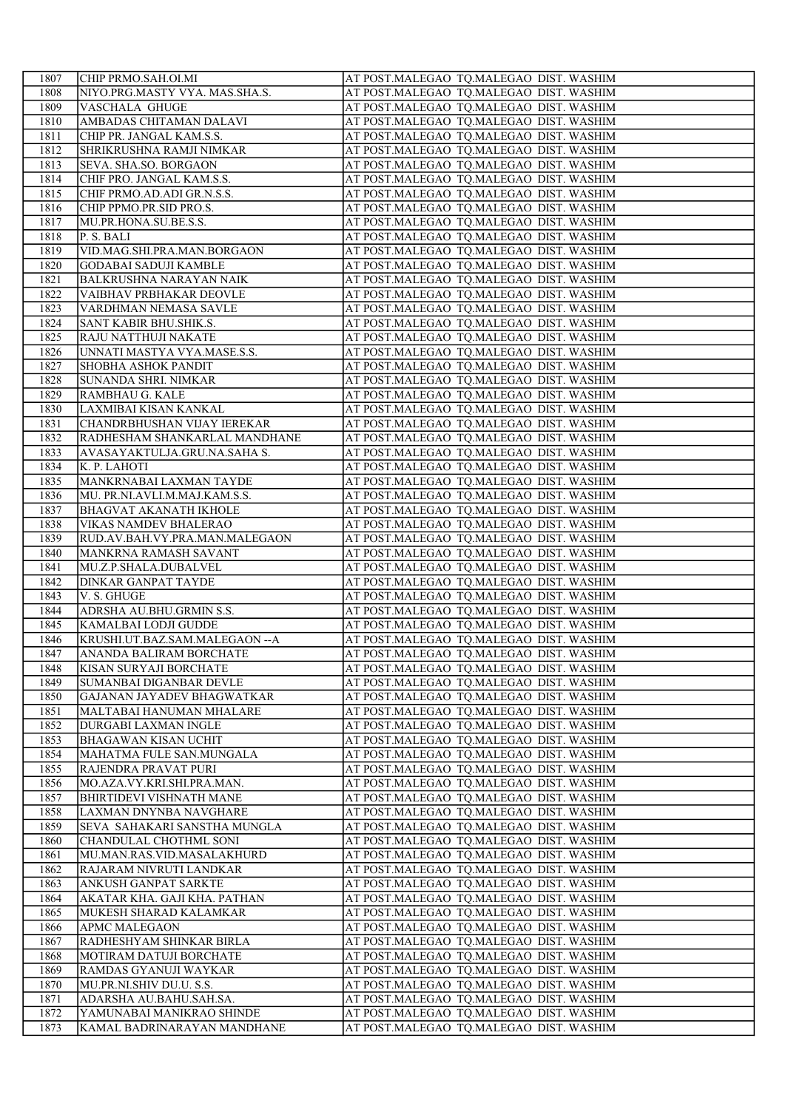| 1807         | CHIP PRMO.SAH.OI.MI                                       | AT POST.MALEGAO TQ.MALEGAO DIST. WASHIM                                            |
|--------------|-----------------------------------------------------------|------------------------------------------------------------------------------------|
| 1808         | NIYO.PRG.MASTY VYA. MAS.SHA.S.                            | AT POST.MALEGAO TQ.MALEGAO DIST. WASHIM                                            |
| 1809         | VASCHALA GHUGE                                            | AT POST.MALEGAO TQ.MALEGAO DIST. WASHIM                                            |
| 1810         | AMBADAS CHITAMAN DALAVI                                   | AT POST.MALEGAO TQ.MALEGAO DIST. WASHIM                                            |
| 1811         | CHIP PR. JANGAL KAM.S.S.                                  | AT POST.MALEGAO TQ.MALEGAO DIST. WASHIM                                            |
| 1812         | SHRIKRUSHNA RAMJI NIMKAR                                  | AT POST.MALEGAO TQ.MALEGAO DIST. WASHIM                                            |
| 1813         | <b>SEVA. SHA.SO. BORGAON</b>                              | AT POST.MALEGAO TQ.MALEGAO DIST. WASHIM                                            |
| 1814         | CHIF PRO. JANGAL KAM.S.S.                                 | AT POST.MALEGAO TQ.MALEGAO DIST. WASHIM                                            |
| 1815         | CHIF PRMO.AD.ADI GR.N.S.S.                                | AT POST.MALEGAO TQ.MALEGAO DIST. WASHIM                                            |
| 1816         | CHIP PPMO.PR.SID PRO.S.                                   | AT POST.MALEGAO TQ.MALEGAO DIST. WASHIM                                            |
| 1817         | MU.PR.HONA.SU.BE.S.S.                                     | AT POST.MALEGAO TQ.MALEGAO DIST. WASHIM                                            |
| 1818         | P. S. BALI                                                | AT POST.MALEGAO TQ.MALEGAO DIST. WASHIM                                            |
| 1819<br>1820 | VID.MAG.SHI.PRA.MAN.BORGAON                               | AT POST.MALEGAO TQ.MALEGAO DIST. WASHIM                                            |
| 1821         | <b>GODABAI SADUJI KAMBLE</b>                              | AT POST.MALEGAO TQ.MALEGAO DIST. WASHIM                                            |
| 1822         | <b>BALKRUSHNA NARAYAN NAIK</b><br>VAIBHAV PRBHAKAR DEOVLE | AT POST.MALEGAO TQ.MALEGAO DIST. WASHIM<br>AT POST.MALEGAO TQ.MALEGAO DIST. WASHIM |
| 1823         | VARDHMAN NEMASA SAVLE                                     | AT POST.MALEGAO TQ.MALEGAO DIST. WASHIM                                            |
| 1824         | SANT KABIR BHU.SHIK.S.                                    | AT POST.MALEGAO TQ.MALEGAO DIST. WASHIM                                            |
| 1825         | RAJU NATTHUJI NAKATE                                      | AT POST.MALEGAO TQ.MALEGAO DIST. WASHIM                                            |
| 1826         | UNNATI MASTYA VYA.MASE.S.S.                               | AT POST.MALEGAO TQ.MALEGAO DIST. WASHIM                                            |
| 1827         | <b>SHOBHA ASHOK PANDIT</b>                                | AT POST.MALEGAO TQ.MALEGAO DIST. WASHIM                                            |
| 1828         | SUNANDA SHRI. NIMKAR                                      | AT POST.MALEGAO TQ.MALEGAO DIST. WASHIM                                            |
| 1829         | RAMBHAU G. KALE                                           | AT POST.MALEGAO TQ.MALEGAO DIST. WASHIM                                            |
| 1830         | LAXMIBAI KISAN KANKAL                                     | AT POST.MALEGAO TQ.MALEGAO DIST. WASHIM                                            |
| 1831         | CHANDRBHUSHAN VIJAY IEREKAR                               | AT POST.MALEGAO TQ.MALEGAO DIST. WASHIM                                            |
| 1832         | RADHESHAM SHANKARLAL MANDHANE                             | AT POST.MALEGAO TQ.MALEGAO DIST. WASHIM                                            |
| 1833         | AVASAYAKTULJA.GRU.NA.SAHA S.                              | AT POST.MALEGAO TQ.MALEGAO DIST. WASHIM                                            |
| 1834         | K. P. LAHOTI                                              | AT POST.MALEGAO TQ.MALEGAO DIST. WASHIM                                            |
| 1835         | MANKRNABAI LAXMAN TAYDE                                   | AT POST.MALEGAO TQ.MALEGAO DIST. WASHIM                                            |
| 1836         | MU. PR.NI.AVLI.M.MAJ.KAM.S.S.                             | AT POST.MALEGAO TQ.MALEGAO DIST. WASHIM                                            |
| 1837         | <b>BHAGVAT AKANATH IKHOLE</b>                             | AT POST.MALEGAO TQ.MALEGAO DIST. WASHIM                                            |
| 1838         | <b>VIKAS NAMDEV BHALERAO</b>                              | AT POST.MALEGAO TQ.MALEGAO DIST. WASHIM                                            |
| 1839<br>1840 | RUD.AV.BAH.VY.PRA.MAN.MALEGAON                            | AT POST.MALEGAO TQ.MALEGAO DIST. WASHIM                                            |
| 1841         | MANKRNA RAMASH SAVANT<br>MU.Z.P.SHALA.DUBALVEL            | AT POST.MALEGAO TQ.MALEGAO DIST. WASHIM<br>AT POST.MALEGAO TQ.MALEGAO DIST. WASHIM |
| 1842         | <b>DINKAR GANPAT TAYDE</b>                                | AT POST.MALEGAO TQ.MALEGAO DIST. WASHIM                                            |
| 1843         | V. S. GHUGE                                               | AT POST.MALEGAO TQ.MALEGAO DIST. WASHIM                                            |
| 1844         | ADRSHA AU.BHU.GRMIN S.S.                                  | AT POST.MALEGAO TQ.MALEGAO DIST. WASHIM                                            |
| 1845         | KAMALBAI LODJI GUDDE                                      | AT POST.MALEGAO TQ.MALEGAO DIST. WASHIM                                            |
| 1846         | KRUSHI.UT.BAZ.SAM.MALEGAON -- A                           | AT POST.MALEGAO TQ.MALEGAO DIST. WASHIM                                            |
| 1847         | ANANDA BALIRAM BORCHATE                                   | AT POST.MALEGAO TQ.MALEGAO DIST. WASHIM                                            |
| 1848         | <b>KISAN SURYAJI BORCHATE</b>                             | AT POST.MALEGAO TQ.MALEGAO DIST. WASHIM                                            |
| 1849         | SUMANBAI DIGANBAR DEVLE                                   | AT POST.MALEGAO TQ.MALEGAO DIST. WASHIM                                            |
| 1850         | <b>GAJANAN JAYADEV BHAGWATKAR</b>                         | AT POST.MALEGAO TQ.MALEGAO DIST. WASHIM                                            |
| 1851         | MALTABAI HANUMAN MHALARE                                  | AT POST.MALEGAO TQ.MALEGAO DIST. WASHIM                                            |
| 1852         | DURGABI LAXMAN INGLE                                      | AT POST.MALEGAO TQ.MALEGAO DIST. WASHIM                                            |
| 1853         | <b>BHAGAWAN KISAN UCHIT</b>                               | AT POST.MALEGAO TQ.MALEGAO DIST. WASHIM                                            |
| 1854         | MAHATMA FULE SAN.MUNGALA                                  | AT POST.MALEGAO TQ.MALEGAO DIST. WASHIM                                            |
| 1855         | RAJENDRA PRAVAT PURI                                      | AT POST.MALEGAO TQ.MALEGAO DIST. WASHIM                                            |
| 1856         | MO.AZA.VY.KRI.SHI.PRA.MAN.                                | AT POST.MALEGAO TQ.MALEGAO DIST. WASHIM                                            |
| 1857<br>1858 | <b>BHIRTIDEVI VISHNATH MANE</b><br>LAXMAN DNYNBA NAVGHARE | AT POST.MALEGAO TQ.MALEGAO DIST. WASHIM<br>AT POST.MALEGAO TQ.MALEGAO DIST. WASHIM |
| 1859         | SEVA SAHAKARI SANSTHA MUNGLA                              | AT POST.MALEGAO TQ.MALEGAO DIST. WASHIM                                            |
| 1860         | CHANDULAL CHOTHML SONI                                    | AT POST.MALEGAO TQ.MALEGAO DIST. WASHIM                                            |
| 1861         | MU.MAN.RAS.VID.MASALAKHURD                                | AT POST.MALEGAO TQ.MALEGAO DIST. WASHIM                                            |
| 1862         | RAJARAM NIVRUTI LANDKAR                                   | AT POST.MALEGAO TQ.MALEGAO DIST. WASHIM                                            |
| 1863         | ANKUSH GANPAT SARKTE                                      | AT POST.MALEGAO TQ.MALEGAO DIST. WASHIM                                            |
| 1864         | AKATAR KHA. GAJI KHA. PATHAN                              | AT POST.MALEGAO TQ.MALEGAO DIST. WASHIM                                            |
| 1865         | MUKESH SHARAD KALAMKAR                                    | AT POST.MALEGAO TQ.MALEGAO DIST. WASHIM                                            |
| 1866         | <b>APMC MALEGAON</b>                                      | AT POST.MALEGAO TQ.MALEGAO DIST. WASHIM                                            |
| 1867         | RADHESHYAM SHINKAR BIRLA                                  | AT POST.MALEGAO TQ.MALEGAO DIST. WASHIM                                            |
| 1868         | MOTIRAM DATUJI BORCHATE                                   | AT POST.MALEGAO TQ.MALEGAO DIST. WASHIM                                            |
| 1869         | RAMDAS GYANUJI WAYKAR                                     | AT POST.MALEGAO TQ.MALEGAO DIST. WASHIM                                            |
| 1870         | MU.PR.NI.SHIV DU.U. S.S.                                  | AT POST.MALEGAO TQ.MALEGAO DIST. WASHIM                                            |
| 1871         | ADARSHA AU.BAHU.SAH.SA.                                   | AT POST.MALEGAO TQ.MALEGAO DIST. WASHIM                                            |
| 1872         | YAMUNABAI MANIKRAO SHINDE                                 | AT POST.MALEGAO TQ.MALEGAO DIST. WASHIM                                            |
| 1873         | KAMAL BADRINARAYAN MANDHANE                               | AT POST.MALEGAO TQ.MALEGAO DIST. WASHIM                                            |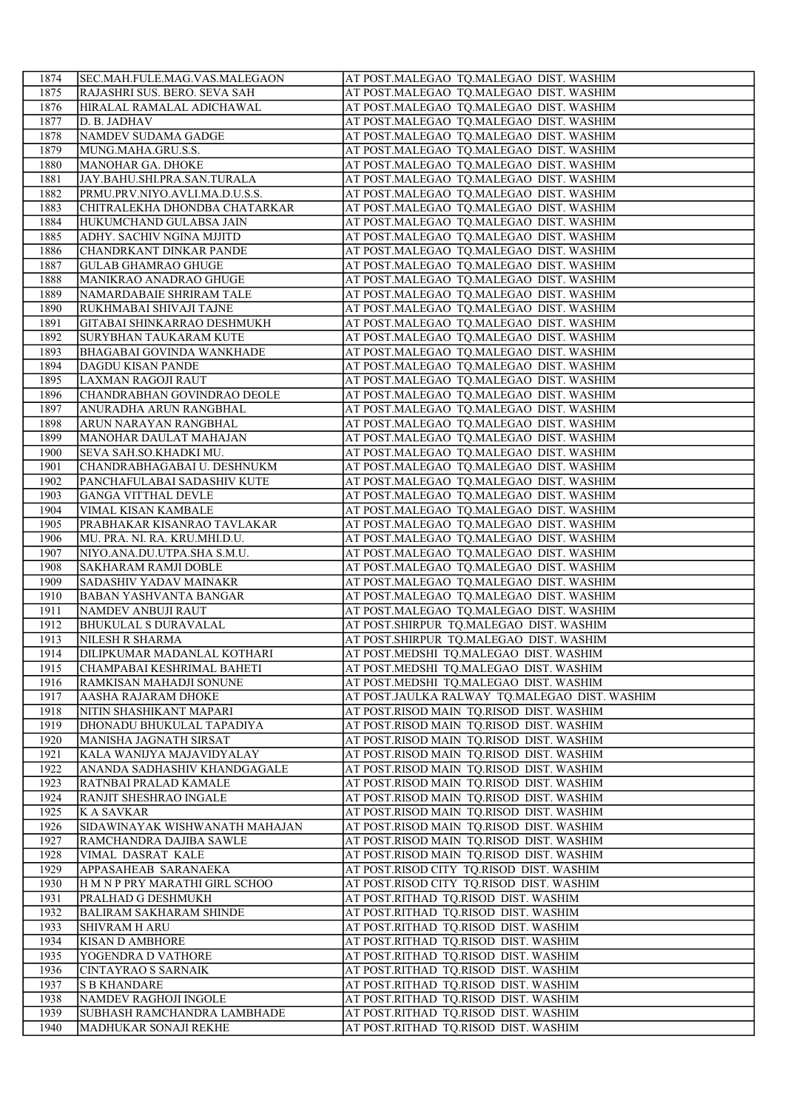| 1874         | SEC.MAH.FULE.MAG.VAS.MALEGAON                         | AT POST.MALEGAO TQ.MALEGAO DIST. WASHIM                                                 |
|--------------|-------------------------------------------------------|-----------------------------------------------------------------------------------------|
| 1875         | RAJASHRI SUS. BERO. SEVA SAH                          | AT POST.MALEGAO TQ.MALEGAO DIST. WASHIM                                                 |
| 1876         | HIRALAL RAMALAL ADICHAWAL                             | AT POST.MALEGAO TQ.MALEGAO DIST. WASHIM                                                 |
| 1877         | D. B. JADHAV                                          | AT POST.MALEGAO TQ.MALEGAO DIST. WASHIM                                                 |
| 1878         | NAMDEV SUDAMA GADGE                                   | AT POST.MALEGAO TQ.MALEGAO DIST. WASHIM                                                 |
| 1879         | MUNG.MAHA.GRU.S.S.                                    | AT POST.MALEGAO TQ.MALEGAO DIST. WASHIM                                                 |
| 1880         | MANOHAR GA. DHOKE                                     | AT POST.MALEGAO TQ.MALEGAO DIST. WASHIM                                                 |
| 1881         | JAY.BAHU.SHI.PRA.SAN.TURALA                           | AT POST.MALEGAO TQ.MALEGAO DIST. WASHIM                                                 |
| 1882         | PRMU.PRV.NIYO.AVLI.MA.D.U.S.S.                        | AT POST.MALEGAO TQ.MALEGAO DIST. WASHIM                                                 |
| 1883         | CHITRALEKHA DHONDBA CHATARKAR                         | AT POST.MALEGAO TQ.MALEGAO DIST. WASHIM                                                 |
| 1884         | HUKUMCHAND GULABSA JAIN                               | AT POST.MALEGAO TQ.MALEGAO DIST. WASHIM                                                 |
| 1885         | ADHY. SACHIV NGINA MJJITD                             | AT POST.MALEGAO TQ.MALEGAO DIST. WASHIM                                                 |
| 1886         | CHANDRKANT DINKAR PANDE                               | AT POST.MALEGAO TQ.MALEGAO DIST. WASHIM                                                 |
| 1887         | <b>GULAB GHAMRAO GHUGE</b>                            | AT POST.MALEGAO TQ.MALEGAO DIST. WASHIM                                                 |
| 1888         | MANIKRAO ANADRAO GHUGE                                | AT POST.MALEGAO TQ.MALEGAO DIST. WASHIM                                                 |
| 1889         | NAMARDABAIE SHRIRAM TALE                              | AT POST.MALEGAO TQ.MALEGAO DIST. WASHIM                                                 |
| 1890         | RUKHMABAI SHIVAJI TAJNE                               | AT POST.MALEGAO TQ.MALEGAO DIST. WASHIM                                                 |
| 1891         | GITABAI SHINKARRAO DESHMUKH                           | AT POST.MALEGAO TQ.MALEGAO DIST. WASHIM                                                 |
| 1892         | <b>SURYBHAN TAUKARAM KUTE</b>                         | AT POST.MALEGAO TQ.MALEGAO DIST. WASHIM                                                 |
| 1893         | <b>BHAGABAI GOVINDA WANKHADE</b>                      | AT POST.MALEGAO TQ.MALEGAO DIST. WASHIM                                                 |
| 1894         | <b>DAGDU KISAN PANDE</b>                              | AT POST.MALEGAO TQ.MALEGAO DIST. WASHIM                                                 |
| 1895         | LAXMAN RAGOJI RAUT                                    | AT POST.MALEGAO TQ.MALEGAO DIST. WASHIM                                                 |
| 1896         | CHANDRABHAN GOVINDRAO DEOLE                           | AT POST.MALEGAO TQ.MALEGAO DIST. WASHIM                                                 |
| 1897         | ANURADHA ARUN RANGBHAL                                | AT POST.MALEGAO TQ.MALEGAO DIST. WASHIM                                                 |
| 1898         | ARUN NARAYAN RANGBHAL                                 | AT POST.MALEGAO TQ.MALEGAO DIST. WASHIM                                                 |
| 1899         | MANOHAR DAULAT MAHAJAN                                | AT POST.MALEGAO TQ.MALEGAO DIST. WASHIM                                                 |
| 1900         | SEVA SAH.SO.KHADKI MU.                                | AT POST.MALEGAO TQ.MALEGAO DIST. WASHIM                                                 |
| 1901         | CHANDRABHAGABAI U. DESHNUKM                           | AT POST.MALEGAO TQ.MALEGAO DIST. WASHIM                                                 |
| 1902         | PANCHAFULABAI SADASHIV KUTE                           | AT POST.MALEGAO TQ.MALEGAO DIST. WASHIM                                                 |
| 1903         | <b>GANGA VITTHAL DEVLE</b>                            | AT POST.MALEGAO TQ.MALEGAO DIST. WASHIM                                                 |
| 1904         | VIMAL KISAN KAMBALE                                   | AT POST.MALEGAO TQ.MALEGAO DIST. WASHIM                                                 |
| 1905         | PRABHAKAR KISANRAO TAVLAKAR                           | AT POST.MALEGAO TQ.MALEGAO DIST. WASHIM                                                 |
| 1906         | MU. PRA. NI. RA. KRU.MHI.D.U.                         | AT POST.MALEGAO TQ.MALEGAO DIST. WASHIM                                                 |
| 1907         | NIYO.ANA.DU.UTPA.SHA S.M.U.                           | AT POST.MALEGAO TQ.MALEGAO DIST. WASHIM                                                 |
| 1908         | <b>SAKHARAM RAMJI DOBLE</b>                           | AT POST.MALEGAO TQ.MALEGAO DIST. WASHIM                                                 |
| 1909         | <b>SADASHIV YADAV MAINAKR</b>                         | AT POST.MALEGAO TQ.MALEGAO DIST. WASHIM                                                 |
| 1910         | <b>BABAN YASHVANTA BANGAR</b>                         | AT POST.MALEGAO TQ.MALEGAO DIST. WASHIM                                                 |
| 1911         | NAMDEV ANBUJI RAUT                                    | AT POST.MALEGAO TQ.MALEGAO DIST. WASHIM                                                 |
| 1912         | <b>BHUKULAL S DURAVALAL</b>                           | AT POST.SHIRPUR TQ.MALEGAO DIST. WASHIM                                                 |
| 1913         | NILESH R SHARMA                                       | AT POST.SHIRPUR TQ.MALEGAO DIST. WASHIM                                                 |
| 1914         | DILIPKUMAR MADANLAL KOTHARI                           | AT POST.MEDSHI TQ.MALEGAO DIST. WASHIM                                                  |
| 1915         | CHAMPABAI KESHRIMAL BAHETI                            | AT POST.MEDSHI TQ.MALEGAO DIST. WASHIM                                                  |
| 1916<br>1917 | RAMKISAN MAHADJI SONUNE<br><b>AASHA RAJARAM DHOKE</b> | AT POST.MEDSHI TQ.MALEGAO DIST. WASHIM<br>AT POST.JAULKA RALWAY TQ.MALEGAO DIST. WASHIM |
|              |                                                       |                                                                                         |
| 1918<br>1919 | NITIN SHASHIKANT MAPARI<br>DHONADU BHUKULAL TAPADIYA  | AT POST.RISOD MAIN TQ.RISOD DIST. WASHIM<br>AT POST.RISOD MAIN TQ.RISOD DIST. WASHIM    |
| 1920         | MANISHA JAGNATH SIRSAT                                | AT POST.RISOD MAIN TQ.RISOD DIST. WASHIM                                                |
| 1921         | KALA WANIJYA MAJAVIDYALAY                             | AT POST.RISOD MAIN TQ.RISOD DIST. WASHIM                                                |
| 1922         | ANANDA SADHASHIV KHANDGAGALE                          | AT POST.RISOD MAIN TQ.RISOD DIST. WASHIM                                                |
| 1923         | RATNBAI PRALAD KAMALE                                 | AT POST.RISOD MAIN TQ.RISOD DIST. WASHIM                                                |
| 1924         | RANJIT SHESHRAO INGALE                                | AT POST.RISOD MAIN TQ.RISOD DIST. WASHIM                                                |
| 1925         | K A SAVKAR                                            | AT POST.RISOD MAIN TQ.RISOD DIST. WASHIM                                                |
| 1926         | SIDAWINAYAK WISHWANATH MAHAJAN                        | AT POST.RISOD MAIN TQ.RISOD DIST. WASHIM                                                |
| 1927         | RAMCHANDRA DAJIBA SAWLE                               | AT POST.RISOD MAIN TQ.RISOD DIST. WASHIM                                                |
| 1928         | VIMAL DASRAT KALE                                     | AT POST.RISOD MAIN TQ.RISOD DIST. WASHIM                                                |
| 1929         | APPASAHEAB SARANAEKA                                  | AT POST.RISOD CITY TQ.RISOD DIST. WASHIM                                                |
| 1930         | H M N P PRY MARATHI GIRL SCHOO                        | AT POST.RISOD CITY TQ.RISOD DIST. WASHIM                                                |
| 1931         | PRALHAD G DESHMUKH                                    | AT POST.RITHAD TQ.RISOD DIST. WASHIM                                                    |
| 1932         | <b>BALIRAM SAKHARAM SHINDE</b>                        | AT POST.RITHAD TQ.RISOD DIST. WASHIM                                                    |
| 1933         | <b>SHIVRAM H ARU</b>                                  | AT POST.RITHAD TQ.RISOD DIST. WASHIM                                                    |
| 1934         | <b>KISAN D AMBHORE</b>                                | AT POST.RITHAD TQ.RISOD DIST. WASHIM                                                    |
| 1935         | YOGENDRA D VATHORE                                    | AT POST.RITHAD TQ.RISOD DIST. WASHIM                                                    |
| 1936         | <b>CINTAYRAO S SARNAIK</b>                            | AT POST.RITHAD TQ.RISOD DIST. WASHIM                                                    |
| 1937         | <b>S B KHANDARE</b>                                   | AT POST.RITHAD TQ.RISOD DIST. WASHIM                                                    |
| 1938         | NAMDEV RAGHOJI INGOLE                                 | AT POST.RITHAD TQ.RISOD DIST. WASHIM                                                    |
| 1939         | SUBHASH RAMCHANDRA LAMBHADE                           | AT POST.RITHAD TQ.RISOD DIST. WASHIM                                                    |
| 1940         | MADHUKAR SONAJI REKHE                                 | AT POST.RITHAD TQ.RISOD DIST. WASHIM                                                    |